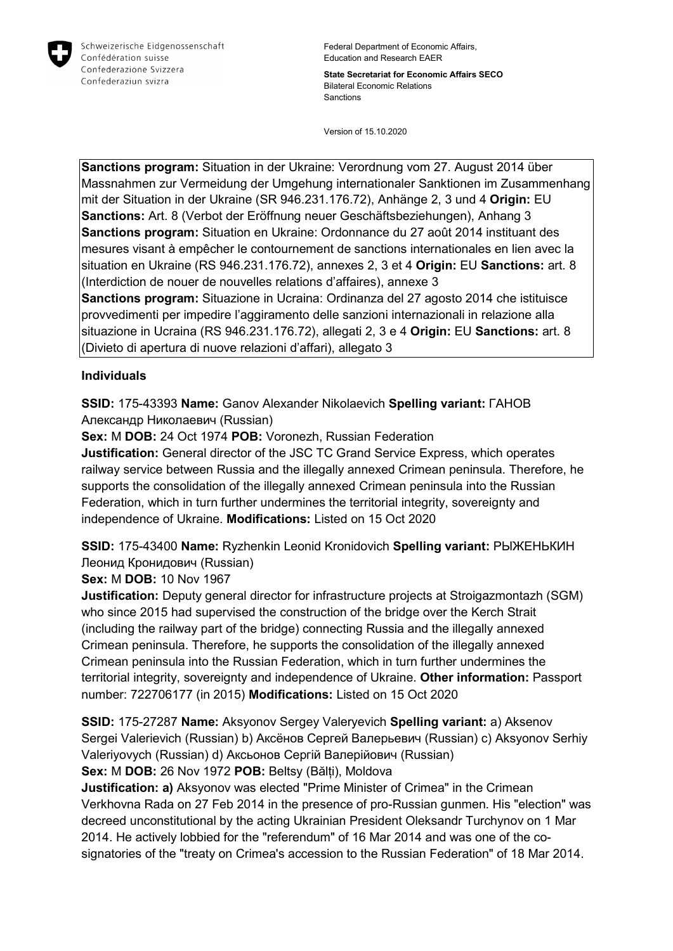

**State Secretariat for Economic Affairs SECO** Bilateral Economic Relations Sanctions

Version of 15.10.2020

**Sanctions program:** Situation in der Ukraine: Verordnung vom 27. August 2014 über Massnahmen zur Vermeidung der Umgehung internationaler Sanktionen im Zusammenhang mit der Situation in der Ukraine (SR 946.231.176.72), Anhänge 2, 3 und 4 **Origin:** EU **Sanctions:** Art. 8 (Verbot der Eröffnung neuer Geschäftsbeziehungen), Anhang 3 **Sanctions program:** Situation en Ukraine: Ordonnance du 27 août 2014 instituant des mesures visant à empêcher le contournement de sanctions internationales en lien avec la situation en Ukraine (RS 946.231.176.72), annexes 2, 3 et 4 **Origin:** EU **Sanctions:** art. 8 (Interdiction de nouer de nouvelles relations d'affaires), annexe 3 **Sanctions program:** Situazione in Ucraina: Ordinanza del 27 agosto 2014 che istituisce provvedimenti per impedire l'aggiramento delle sanzioni internazionali in relazione alla

situazione in Ucraina (RS 946.231.176.72), allegati 2, 3 e 4 **Origin:** EU **Sanctions:** art. 8 (Divieto di apertura di nuove relazioni d'affari), allegato 3

## **Individuals**

**SSID:** 175-43393 **Name:** Ganov Alexander Nikolaevich **Spelling variant:** ГАНОВ Александр Николаевич (Russian)

**Sex:** M **DOB:** 24 Oct 1974 **POB:** Voronezh, Russian Federation

**Justification:** General director of the JSC TC Grand Service Express, which operates railway service between Russia and the illegally annexed Crimean peninsula. Therefore, he supports the consolidation of the illegally annexed Crimean peninsula into the Russian Federation, which in turn further undermines the territorial integrity, sovereignty and independence of Ukraine. **Modifications:** Listed on 15 Oct 2020

**SSID:** 175-43400 **Name:** Ryzhenkin Leonid Kronidovich **Spelling variant:** РЫЖЕНЬКИН Леонид Кронидович (Russian)

**Sex:** M **DOB:** 10 Nov 1967

**Justification:** Deputy general director for infrastructure projects at Stroigazmontazh (SGM) who since 2015 had supervised the construction of the bridge over the Kerch Strait (including the railway part of the bridge) connecting Russia and the illegally annexed Crimean peninsula. Therefore, he supports the consolidation of the illegally annexed Crimean peninsula into the Russian Federation, which in turn further undermines the territorial integrity, sovereignty and independence of Ukraine. **Other information:** Passport number: 722706177 (in 2015) **Modifications:** Listed on 15 Oct 2020

**SSID:** 175-27287 **Name:** Aksyonov Sergey Valeryevich **Spelling variant:** a) Aksenov Sergei Valerievich (Russian) b) Аксёнов Сергей Валерьевич (Russian) c) Aksyonov Serhiy Valeriyovych (Russian) d) Аксьонов Сергій Валерійович (Russian) **Sex:** M **DOB:** 26 Nov 1972 **POB:** Beltsy (Bălți), Moldova

**Justification: a)** Aksyonov was elected "Prime Minister of Crimea" in the Crimean Verkhovna Rada on 27 Feb 2014 in the presence of pro-Russian gunmen. His "election" was decreed unconstitutional by the acting Ukrainian President Oleksandr Turchynov on 1 Mar

2014. He actively lobbied for the "referendum" of 16 Mar 2014 and was one of the cosignatories of the "treaty on Crimea's accession to the Russian Federation" of 18 Mar 2014.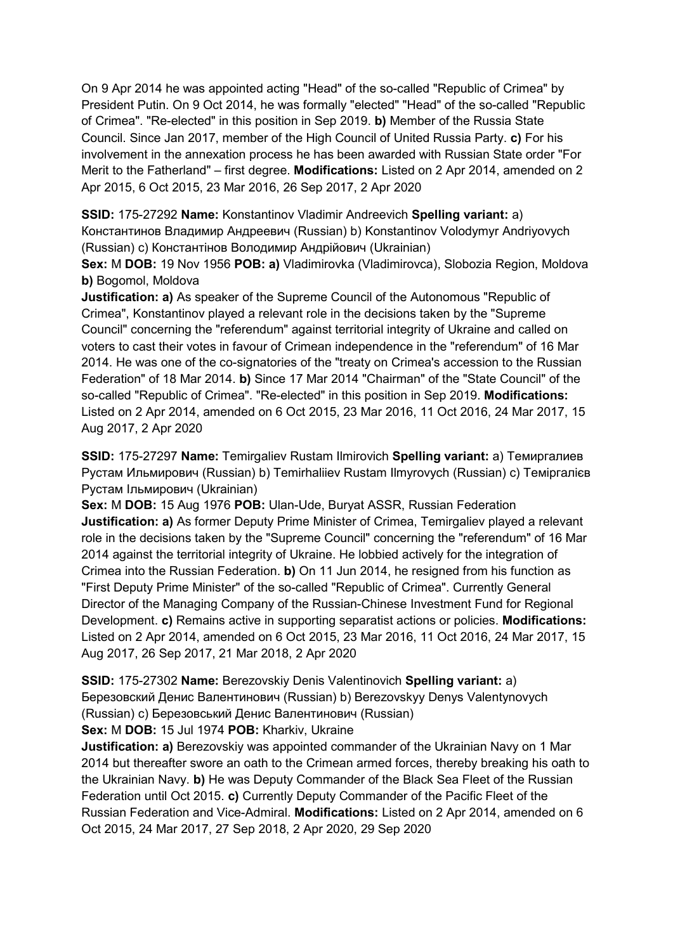On 9 Apr 2014 he was appointed acting "Head" of the so-called "Republic of Crimea" by President Putin. On 9 Oct 2014, he was formally "elected" "Head" of the so-called "Republic of Crimea". "Re-elected" in this position in Sep 2019. **b)** Member of the Russia State Council. Since Jan 2017, member of the High Council of United Russia Party. **c)** For his involvement in the annexation process he has been awarded with Russian State order "For Merit to the Fatherland" – first degree. **Modifications:** Listed on 2 Apr 2014, amended on 2 Apr 2015, 6 Oct 2015, 23 Mar 2016, 26 Sep 2017, 2 Apr 2020

**SSID:** 175-27292 **Name:** Konstantinov Vladimir Andreevich **Spelling variant:** a) Константинов Владимир Андреевич (Russian) b) Konstantinov Volodymyr Andriyovych (Russian) c) Константiнов Володимир Андрійович (Ukrainian)

**Sex:** M **DOB:** 19 Nov 1956 **POB: a)** Vladimirovka (Vladimirovca), Slobozia Region, Moldova **b)** Bogomol, Moldova

**Justification: a)** As speaker of the Supreme Council of the Autonomous "Republic of Crimea", Konstantinov played a relevant role in the decisions taken by the "Supreme Council" concerning the "referendum" against territorial integrity of Ukraine and called on voters to cast their votes in favour of Crimean independence in the "referendum" of 16 Mar 2014. He was one of the co-signatories of the "treaty on Crimea's accession to the Russian Federation" of 18 Mar 2014. **b)** Since 17 Mar 2014 "Chairman" of the "State Council" of the so-called "Republic of Crimea". "Re-elected" in this position in Sep 2019. **Modifications:**  Listed on 2 Apr 2014, amended on 6 Oct 2015, 23 Mar 2016, 11 Oct 2016, 24 Mar 2017, 15 Aug 2017, 2 Apr 2020

**SSID:** 175-27297 **Name:** Temirgaliev Rustam Ilmirovich **Spelling variant:** a) Темиргалиев Рустам Ильмирович (Russian) b) Temirhaliiev Rustam Ilmyrovych (Russian) c) Темiргалiєв Рустам Iльмирович (Ukrainian)

**Sex:** M **DOB:** 15 Aug 1976 **POB:** Ulan-Ude, Buryat ASSR, Russian Federation **Justification: a)** As former Deputy Prime Minister of Crimea, Temirgaliev played a relevant role in the decisions taken by the "Supreme Council" concerning the "referendum" of 16 Mar 2014 against the territorial integrity of Ukraine. He lobbied actively for the integration of Crimea into the Russian Federation. **b)** On 11 Jun 2014, he resigned from his function as "First Deputy Prime Minister" of the so-called "Republic of Crimea". Currently General Director of the Managing Company of the Russian-Chinese Investment Fund for Regional Development. **c)** Remains active in supporting separatist actions or policies. **Modifications:**  Listed on 2 Apr 2014, amended on 6 Oct 2015, 23 Mar 2016, 11 Oct 2016, 24 Mar 2017, 15 Aug 2017, 26 Sep 2017, 21 Mar 2018, 2 Apr 2020

**SSID:** 175-27302 **Name:** Berezovskiy Denis Valentinovich **Spelling variant:** a) Березовский Денис Валентинович (Russian) b) Berezovskyy Denys Valentynovych (Russian) c) Березовський Денис Валентинович (Russian) **Sex:** M **DOB:** 15 Jul 1974 **POB:** Kharkiv, Ukraine

**Justification: a)** Berezovskiy was appointed commander of the Ukrainian Navy on 1 Mar 2014 but thereafter swore an oath to the Crimean armed forces, thereby breaking his oath to the Ukrainian Navy. **b)** He was Deputy Commander of the Black Sea Fleet of the Russian Federation until Oct 2015. **c)** Currently Deputy Commander of the Pacific Fleet of the Russian Federation and Vice-Admiral. **Modifications:** Listed on 2 Apr 2014, amended on 6 Oct 2015, 24 Mar 2017, 27 Sep 2018, 2 Apr 2020, 29 Sep 2020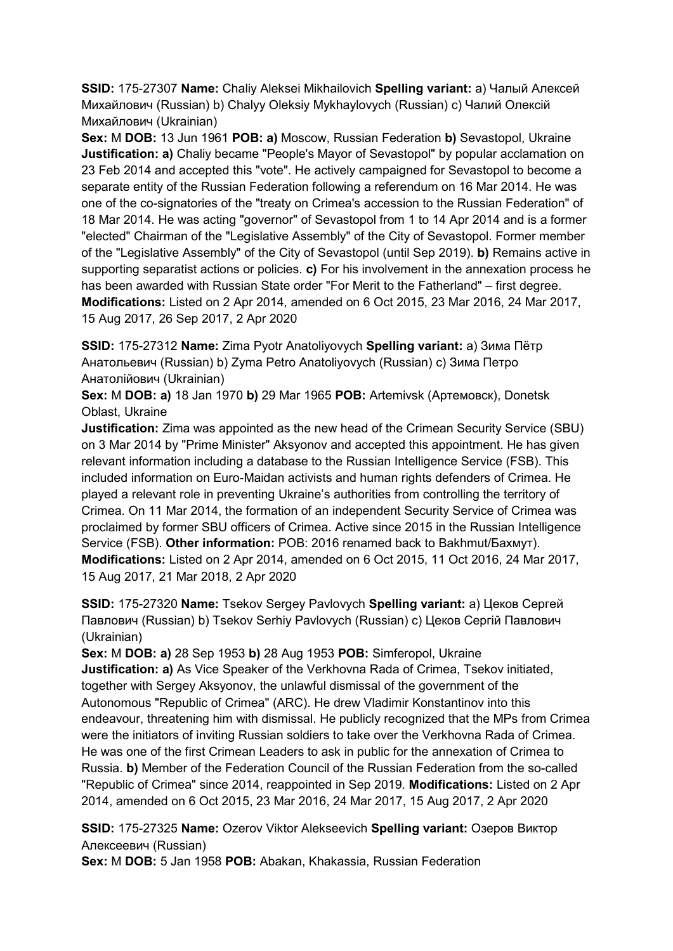**SSID:** 175-27307 **Name:** Chaliy Aleksei Mikhailovich **Spelling variant:** a) Чалый Алексей Михайлович (Russian) b) Chalyy Oleksiy Mykhaylovych (Russian) c) Чалий Олексій Михайлович (Ukrainian)

**Sex:** M **DOB:** 13 Jun 1961 **POB: a)** Moscow, Russian Federation **b)** Sevastopol, Ukraine **Justification: a)** Chaliy became "People's Mayor of Sevastopol" by popular acclamation on 23 Feb 2014 and accepted this "vote". He actively campaigned for Sevastopol to become a separate entity of the Russian Federation following a referendum on 16 Mar 2014. He was one of the co-signatories of the "treaty on Crimea's accession to the Russian Federation" of 18 Mar 2014. He was acting "governor" of Sevastopol from 1 to 14 Apr 2014 and is a former "elected" Chairman of the "Legislative Assembly" of the City of Sevastopol. Former member of the "Legislative Assembly" of the City of Sevastopol (until Sep 2019). **b)** Remains active in supporting separatist actions or policies. **c)** For his involvement in the annexation process he has been awarded with Russian State order "For Merit to the Fatherland" – first degree. **Modifications:** Listed on 2 Apr 2014, amended on 6 Oct 2015, 23 Mar 2016, 24 Mar 2017, 15 Aug 2017, 26 Sep 2017, 2 Apr 2020

**SSID:** 175-27312 **Name:** Zima Pyotr Anatoliyovych **Spelling variant:** a) Зима Пётр Анатольевич (Russian) b) Zyma Petro Anatoliyovych (Russian) c) Зима Петро Анатолійович (Ukrainian)

**Sex:** M **DOB: a)** 18 Jan 1970 **b)** 29 Mar 1965 **POB:** Artemivsk (Артемовск), Donetsk Oblast, Ukraine

**Justification:** Zima was appointed as the new head of the Crimean Security Service (SBU) on 3 Mar 2014 by "Prime Minister" Aksyonov and accepted this appointment. He has given relevant information including a database to the Russian Intelligence Service (FSB). This included information on Euro-Maidan activists and human rights defenders of Crimea. He played a relevant role in preventing Ukraine's authorities from controlling the territory of Crimea. On 11 Mar 2014, the formation of an independent Security Service of Crimea was proclaimed by former SBU officers of Crimea. Active since 2015 in the Russian Intelligence Service (FSB). **Other information:** POB: 2016 renamed back to Bakhmut/Бахмут). **Modifications:** Listed on 2 Apr 2014, amended on 6 Oct 2015, 11 Oct 2016, 24 Mar 2017, 15 Aug 2017, 21 Mar 2018, 2 Apr 2020

**SSID:** 175-27320 **Name:** Tsekov Sergey Pavlovych **Spelling variant:** a) Цеков Сергей Павлович (Russian) b) Tsekov Serhiy Pavlovych (Russian) c) Цеков Сергій Павлович (Ukrainian)

**Sex:** M **DOB: a)** 28 Sep 1953 **b)** 28 Aug 1953 **POB:** Simferopol, Ukraine **Justification: a)** As Vice Speaker of the Verkhovna Rada of Crimea, Tsekov initiated, together with Sergey Aksyonov, the unlawful dismissal of the government of the Autonomous "Republic of Crimea" (ARC). He drew Vladimir Konstantinov into this endeavour, threatening him with dismissal. He publicly recognized that the MPs from Crimea were the initiators of inviting Russian soldiers to take over the Verkhovna Rada of Crimea. He was one of the first Crimean Leaders to ask in public for the annexation of Crimea to Russia. **b)** Member of the Federation Council of the Russian Federation from the so-called "Republic of Crimea" since 2014, reappointed in Sep 2019. **Modifications:** Listed on 2 Apr 2014, amended on 6 Oct 2015, 23 Mar 2016, 24 Mar 2017, 15 Aug 2017, 2 Apr 2020

**SSID:** 175-27325 **Name:** Ozerov Viktor Alekseevich **Spelling variant:** Озеров Виктор Алексеевич (Russian)

**Sex:** M **DOB:** 5 Jan 1958 **POB:** Abakan, Khakassia, Russian Federation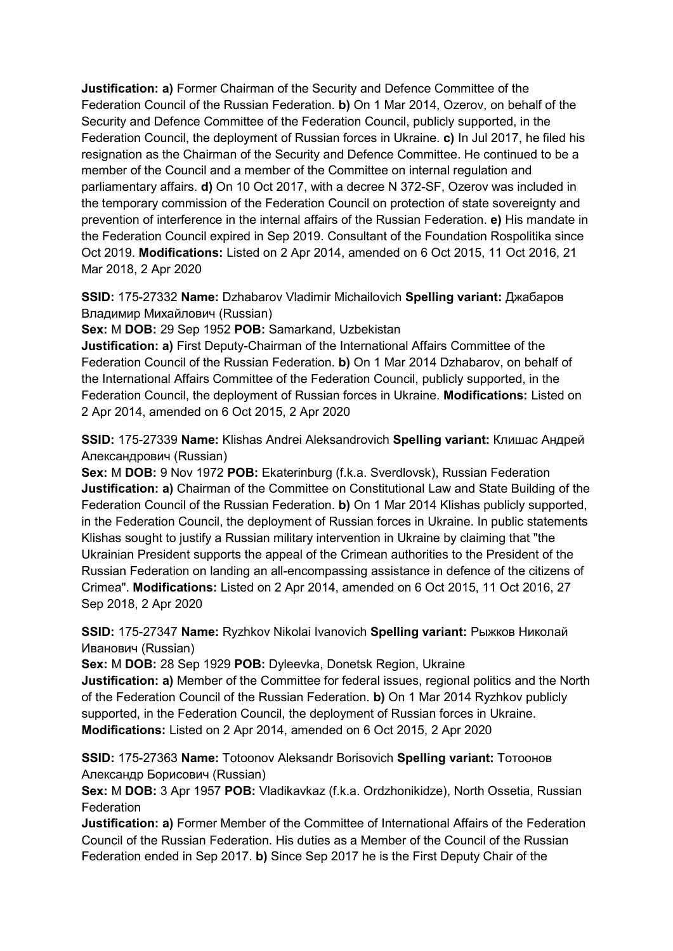**Justification: a)** Former Chairman of the Security and Defence Committee of the Federation Council of the Russian Federation. **b)** On 1 Mar 2014, Ozerov, on behalf of the Security and Defence Committee of the Federation Council, publicly supported, in the Federation Council, the deployment of Russian forces in Ukraine. **c)** In Jul 2017, he filed his resignation as the Chairman of the Security and Defence Committee. He continued to be a member of the Council and a member of the Committee on internal regulation and parliamentary affairs. **d)** On 10 Oct 2017, with a decree N 372-SF, Ozerov was included in the temporary commission of the Federation Council on protection of state sovereignty and prevention of interference in the internal affairs of the Russian Federation. **e)** His mandate in the Federation Council expired in Sep 2019. Consultant of the Foundation Rospolitika since Oct 2019. **Modifications:** Listed on 2 Apr 2014, amended on 6 Oct 2015, 11 Oct 2016, 21 Mar 2018, 2 Apr 2020

**SSID:** 175-27332 **Name:** Dzhabarov Vladimir Michailovich **Spelling variant:** Джабаров Владимир Михайлович (Russian)

**Sex:** M **DOB:** 29 Sep 1952 **POB:** Samarkand, Uzbekistan

**Justification: a)** First Deputy-Chairman of the International Affairs Committee of the Federation Council of the Russian Federation. **b)** On 1 Mar 2014 Dzhabarov, on behalf of the International Affairs Committee of the Federation Council, publicly supported, in the Federation Council, the deployment of Russian forces in Ukraine. **Modifications:** Listed on 2 Apr 2014, amended on 6 Oct 2015, 2 Apr 2020

**SSID:** 175-27339 **Name:** Klishas Andrei Aleksandrovich **Spelling variant:** Клишас Андрей Александрович (Russian)

**Sex:** M **DOB:** 9 Nov 1972 **POB:** Ekaterinburg (f.k.a. Sverdlovsk), Russian Federation **Justification: a)** Chairman of the Committee on Constitutional Law and State Building of the Federation Council of the Russian Federation. **b)** On 1 Mar 2014 Klishas publicly supported, in the Federation Council, the deployment of Russian forces in Ukraine. In public statements Klishas sought to justify a Russian military intervention in Ukraine by claiming that "the Ukrainian President supports the appeal of the Crimean authorities to the President of the Russian Federation on landing an all-encompassing assistance in defence of the citizens of Crimea". **Modifications:** Listed on 2 Apr 2014, amended on 6 Oct 2015, 11 Oct 2016, 27 Sep 2018, 2 Apr 2020

**SSID:** 175-27347 **Name:** Ryzhkov Nikolai Ivanovich **Spelling variant:** Рыжков Николай Иванович (Russian)

**Sex:** M **DOB:** 28 Sep 1929 **POB:** Dyleevka, Donetsk Region, Ukraine

**Justification: a)** Member of the Committee for federal issues, regional politics and the North of the Federation Council of the Russian Federation. **b)** On 1 Mar 2014 Ryzhkov publicly supported, in the Federation Council, the deployment of Russian forces in Ukraine. **Modifications:** Listed on 2 Apr 2014, amended on 6 Oct 2015, 2 Apr 2020

**SSID:** 175-27363 **Name:** Totoonov Aleksandr Borisovich **Spelling variant:** Тотоонов Александр Борисович (Russian)

**Sex:** M **DOB:** 3 Apr 1957 **POB:** Vladikavkaz (f.k.a. Ordzhonikidze), North Ossetia, Russian Federation

**Justification: a)** Former Member of the Committee of International Affairs of the Federation Council of the Russian Federation. His duties as a Member of the Council of the Russian Federation ended in Sep 2017. **b)** Since Sep 2017 he is the First Deputy Chair of the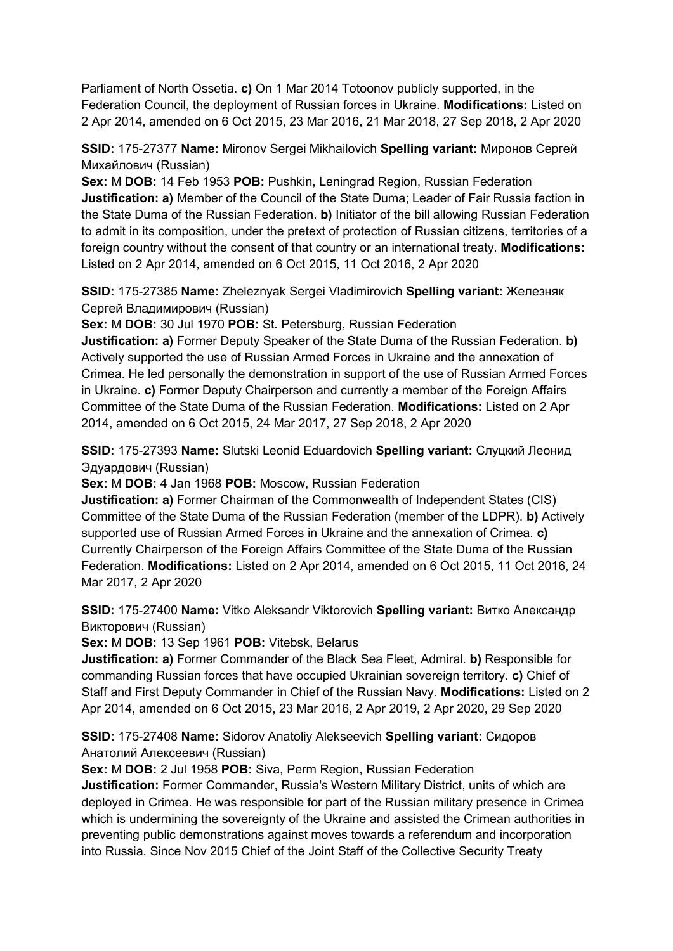Parliament of North Ossetia. **c)** On 1 Mar 2014 Totoonov publicly supported, in the Federation Council, the deployment of Russian forces in Ukraine. **Modifications:** Listed on 2 Apr 2014, amended on 6 Oct 2015, 23 Mar 2016, 21 Mar 2018, 27 Sep 2018, 2 Apr 2020

**SSID:** 175-27377 **Name:** Mironov Sergei Mikhailovich **Spelling variant:** Миронов Сергей Михайлович (Russian)

**Sex:** M **DOB:** 14 Feb 1953 **POB:** Pushkin, Leningrad Region, Russian Federation **Justification: a)** Member of the Council of the State Duma; Leader of Fair Russia faction in the State Duma of the Russian Federation. **b)** Initiator of the bill allowing Russian Federation to admit in its composition, under the pretext of protection of Russian citizens, territories of a foreign country without the consent of that country or an international treaty. **Modifications:**  Listed on 2 Apr 2014, amended on 6 Oct 2015, 11 Oct 2016, 2 Apr 2020

**SSID:** 175-27385 **Name:** Zheleznyak Sergei Vladimirovich **Spelling variant:** Железняк Сергей Владимирович (Russian)

**Sex:** M **DOB:** 30 Jul 1970 **POB:** St. Petersburg, Russian Federation

**Justification: a)** Former Deputy Speaker of the State Duma of the Russian Federation. **b)**  Actively supported the use of Russian Armed Forces in Ukraine and the annexation of Crimea. He led personally the demonstration in support of the use of Russian Armed Forces in Ukraine. **c)** Former Deputy Chairperson and currently a member of the Foreign Affairs Committee of the State Duma of the Russian Federation. **Modifications:** Listed on 2 Apr 2014, amended on 6 Oct 2015, 24 Mar 2017, 27 Sep 2018, 2 Apr 2020

**SSID:** 175-27393 **Name:** Slutski Leonid Eduardovich **Spelling variant:** Слуцкий Леонид Эдуардович (Russian)

**Sex:** M **DOB:** 4 Jan 1968 **POB:** Moscow, Russian Federation

**Justification: a)** Former Chairman of the Commonwealth of Independent States (CIS) Committee of the State Duma of the Russian Federation (member of the LDPR). **b)** Actively supported use of Russian Armed Forces in Ukraine and the annexation of Crimea. **c)**  Currently Chairperson of the Foreign Affairs Committee of the State Duma of the Russian Federation. **Modifications:** Listed on 2 Apr 2014, amended on 6 Oct 2015, 11 Oct 2016, 24 Mar 2017, 2 Apr 2020

**SSID:** 175-27400 **Name:** Vitko Aleksandr Viktorovich **Spelling variant:** Витко Александр Викторович (Russian)

**Sex:** M **DOB:** 13 Sep 1961 **POB:** Vitebsk, Belarus

**Justification: a)** Former Commander of the Black Sea Fleet, Admiral. **b)** Responsible for commanding Russian forces that have occupied Ukrainian sovereign territory. **c)** Chief of Staff and First Deputy Commander in Chief of the Russian Navy. **Modifications:** Listed on 2 Apr 2014, amended on 6 Oct 2015, 23 Mar 2016, 2 Apr 2019, 2 Apr 2020, 29 Sep 2020

**SSID:** 175-27408 **Name:** Sidorov Anatoliy Alekseevich **Spelling variant:** Сидоров Анатолий Алексеевич (Russian)

**Sex:** M **DOB:** 2 Jul 1958 **POB:** Siva, Perm Region, Russian Federation

**Justification:** Former Commander, Russia's Western Military District, units of which are deployed in Crimea. He was responsible for part of the Russian military presence in Crimea which is undermining the sovereignty of the Ukraine and assisted the Crimean authorities in preventing public demonstrations against moves towards a referendum and incorporation into Russia. Since Nov 2015 Chief of the Joint Staff of the Collective Security Treaty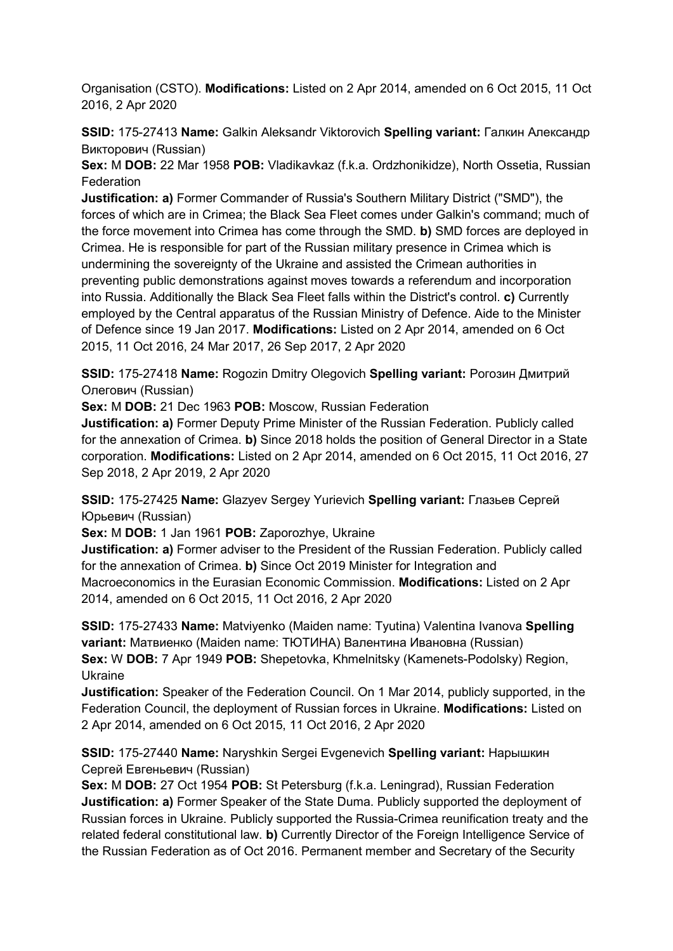Organisation (CSTO). **Modifications:** Listed on 2 Apr 2014, amended on 6 Oct 2015, 11 Oct 2016, 2 Apr 2020

**SSID:** 175-27413 **Name:** Galkin Aleksandr Viktorovich **Spelling variant:** Галкин Александр Викторович (Russian)

**Sex:** M **DOB:** 22 Mar 1958 **POB:** Vladikavkaz (f.k.a. Ordzhonikidze), North Ossetia, Russian **Federation** 

**Justification: a)** Former Commander of Russia's Southern Military District ("SMD"), the forces of which are in Crimea; the Black Sea Fleet comes under Galkin's command; much of the force movement into Crimea has come through the SMD. **b)** SMD forces are deployed in Crimea. He is responsible for part of the Russian military presence in Crimea which is undermining the sovereignty of the Ukraine and assisted the Crimean authorities in preventing public demonstrations against moves towards a referendum and incorporation into Russia. Additionally the Black Sea Fleet falls within the District's control. **c)** Currently employed by the Central apparatus of the Russian Ministry of Defence. Aide to the Minister of Defence since 19 Jan 2017. **Modifications:** Listed on 2 Apr 2014, amended on 6 Oct 2015, 11 Oct 2016, 24 Mar 2017, 26 Sep 2017, 2 Apr 2020

**SSID:** 175-27418 **Name:** Rogozin Dmitry Olegovich **Spelling variant:** Рогозин Дмитрий Олегович (Russian)

**Sex:** M **DOB:** 21 Dec 1963 **POB:** Moscow, Russian Federation

**Justification: a)** Former Deputy Prime Minister of the Russian Federation. Publicly called for the annexation of Crimea. **b)** Since 2018 holds the position of General Director in a State corporation. **Modifications:** Listed on 2 Apr 2014, amended on 6 Oct 2015, 11 Oct 2016, 27 Sep 2018, 2 Apr 2019, 2 Apr 2020

**SSID:** 175-27425 **Name:** Glazyev Sergey Yurievich **Spelling variant:** Глазьев Сергей Юрьевич (Russian)

**Sex:** M **DOB:** 1 Jan 1961 **POB:** Zaporozhye, Ukraine

**Justification: a)** Former adviser to the President of the Russian Federation. Publicly called for the annexation of Crimea. **b)** Since Oct 2019 Minister for Integration and Macroeconomics in the Eurasian Economic Commission. **Modifications:** Listed on 2 Apr 2014, amended on 6 Oct 2015, 11 Oct 2016, 2 Apr 2020

**SSID:** 175-27433 **Name:** Matviyenko (Maiden name: Tyutina) Valentina Ivanova **Spelling variant:** Матвиенко (Maiden name: ТЮТИНА) Валентина Ивановна (Russian) **Sex:** W **DOB:** 7 Apr 1949 **POB:** Shepetovka, Khmelnitsky (Kamenets-Podolsky) Region, Ukraine

**Justification:** Speaker of the Federation Council. On 1 Mar 2014, publicly supported, in the Federation Council, the deployment of Russian forces in Ukraine. **Modifications:** Listed on 2 Apr 2014, amended on 6 Oct 2015, 11 Oct 2016, 2 Apr 2020

**SSID:** 175-27440 **Name:** Naryshkin Sergei Evgenevich **Spelling variant:** Нарышкин Сергей Евгеньевич (Russian)

**Sex:** M **DOB:** 27 Oct 1954 **POB:** St Petersburg (f.k.a. Leningrad), Russian Federation **Justification: a)** Former Speaker of the State Duma. Publicly supported the deployment of Russian forces in Ukraine. Publicly supported the Russia-Crimea reunification treaty and the related federal constitutional law. **b)** Currently Director of the Foreign Intelligence Service of the Russian Federation as of Oct 2016. Permanent member and Secretary of the Security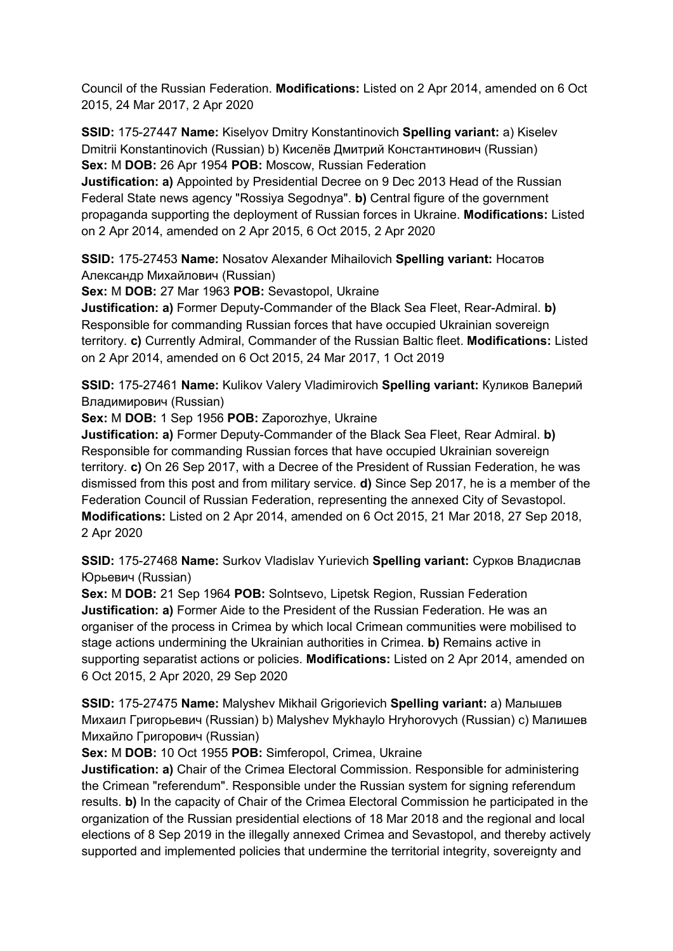Council of the Russian Federation. **Modifications:** Listed on 2 Apr 2014, amended on 6 Oct 2015, 24 Mar 2017, 2 Apr 2020

**SSID:** 175-27447 **Name:** Kiselyov Dmitry Konstantinovich **Spelling variant:** a) Kiselev Dmitrii Konstantinovich (Russian) b) Киселёв Дмитрий Константинович (Russian) **Sex:** M **DOB:** 26 Apr 1954 **POB:** Moscow, Russian Federation

**Justification: a)** Appointed by Presidential Decree on 9 Dec 2013 Head of the Russian Federal State news agency "Rossiya Segodnya". **b)** Central figure of the government propaganda supporting the deployment of Russian forces in Ukraine. **Modifications:** Listed on 2 Apr 2014, amended on 2 Apr 2015, 6 Oct 2015, 2 Apr 2020

**SSID:** 175-27453 **Name:** Nosatov Alexander Mihailovich **Spelling variant:** Носатов Александр Михайлович (Russian)

**Sex:** M **DOB:** 27 Mar 1963 **POB:** Sevastopol, Ukraine

**Justification: a)** Former Deputy-Commander of the Black Sea Fleet, Rear-Admiral. **b)**  Responsible for commanding Russian forces that have occupied Ukrainian sovereign territory. **c)** Currently Admiral, Commander of the Russian Baltic fleet. **Modifications:** Listed on 2 Apr 2014, amended on 6 Oct 2015, 24 Mar 2017, 1 Oct 2019

**SSID:** 175-27461 **Name:** Kulikov Valery Vladimirovich **Spelling variant:** Куликов Валерий Владимирович (Russian)

**Sex:** M **DOB:** 1 Sep 1956 **POB:** Zaporozhye, Ukraine

**Justification: a)** Former Deputy-Commander of the Black Sea Fleet, Rear Admiral. **b)**  Responsible for commanding Russian forces that have occupied Ukrainian sovereign territory. **c)** On 26 Sep 2017, with a Decree of the President of Russian Federation, he was dismissed from this post and from military service. **d)** Since Sep 2017, he is a member of the Federation Council of Russian Federation, representing the annexed City of Sevastopol. **Modifications:** Listed on 2 Apr 2014, amended on 6 Oct 2015, 21 Mar 2018, 27 Sep 2018, 2 Apr 2020

**SSID:** 175-27468 **Name:** Surkov Vladislav Yurievich **Spelling variant:** Сурков Владислав Юрьевич (Russian)

**Sex:** M **DOB:** 21 Sep 1964 **POB:** Solntsevo, Lipetsk Region, Russian Federation **Justification: a)** Former Aide to the President of the Russian Federation. He was an organiser of the process in Crimea by which local Crimean communities were mobilised to stage actions undermining the Ukrainian authorities in Crimea. **b)** Remains active in supporting separatist actions or policies. **Modifications:** Listed on 2 Apr 2014, amended on 6 Oct 2015, 2 Apr 2020, 29 Sep 2020

**SSID:** 175-27475 **Name:** Malyshev Mikhail Grigorievich **Spelling variant:** a) Малышев Михаил Григорьевич (Russian) b) Malyshev Mykhaylo Hryhorovych (Russian) c) Малишев Михайло Григорович (Russian)

**Sex:** M **DOB:** 10 Oct 1955 **POB:** Simferopol, Crimea, Ukraine

**Justification: a)** Chair of the Crimea Electoral Commission. Responsible for administering the Crimean "referendum". Responsible under the Russian system for signing referendum results. **b)** In the capacity of Chair of the Crimea Electoral Commission he participated in the organization of the Russian presidential elections of 18 Mar 2018 and the regional and local elections of 8 Sep 2019 in the illegally annexed Crimea and Sevastopol, and thereby actively supported and implemented policies that undermine the territorial integrity, sovereignty and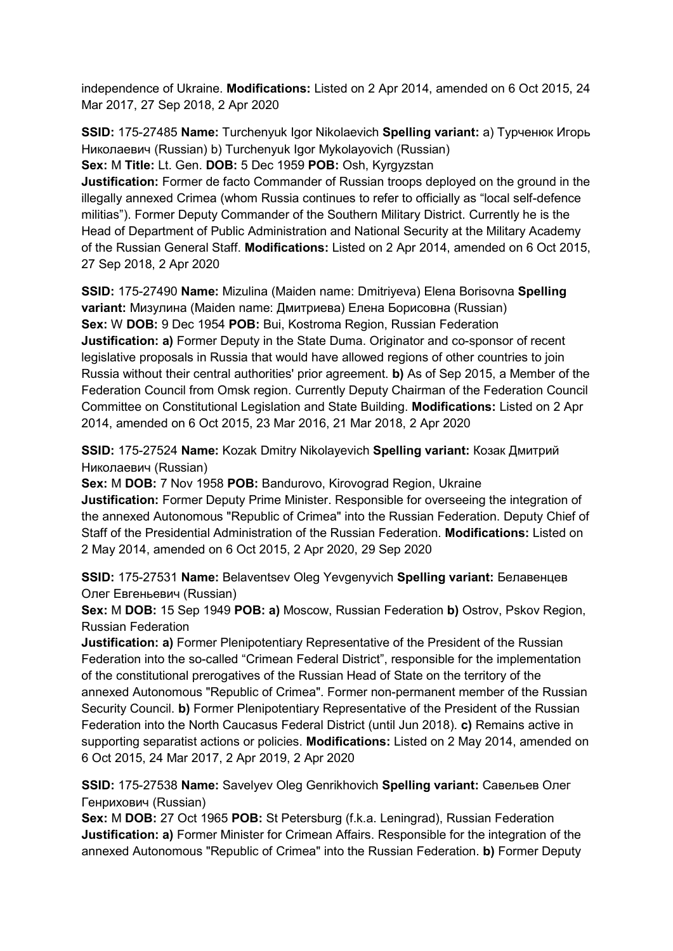independence of Ukraine. **Modifications:** Listed on 2 Apr 2014, amended on 6 Oct 2015, 24 Mar 2017, 27 Sep 2018, 2 Apr 2020

**SSID:** 175-27485 **Name:** Turchenyuk Igor Nikolaevich **Spelling variant:** a) Турченюк Игорь Николаевич (Russian) b) Turchenyuk Igor Mykolayovich (Russian)

**Sex:** M **Title:** Lt. Gen. **DOB:** 5 Dec 1959 **POB:** Osh, Kyrgyzstan

**Justification:** Former de facto Commander of Russian troops deployed on the ground in the illegally annexed Crimea (whom Russia continues to refer to officially as "local self-defence militias"). Former Deputy Commander of the Southern Military District. Currently he is the Head of Department of Public Administration and National Security at the Military Academy of the Russian General Staff. **Modifications:** Listed on 2 Apr 2014, amended on 6 Oct 2015, 27 Sep 2018, 2 Apr 2020

**SSID:** 175-27490 **Name:** Mizulina (Maiden name: Dmitriyeva) Elena Borisovna **Spelling variant:** Мизулина (Maiden name: Дмитриева) Елена Борисовна (Russian) **Sex:** W **DOB:** 9 Dec 1954 **POB:** Bui, Kostroma Region, Russian Federation **Justification: a)** Former Deputy in the State Duma. Originator and co-sponsor of recent legislative proposals in Russia that would have allowed regions of other countries to join Russia without their central authorities' prior agreement. **b)** As of Sep 2015, a Member of the Federation Council from Omsk region. Currently Deputy Chairman of the Federation Council Committee on Constitutional Legislation and State Building. **Modifications:** Listed on 2 Apr 2014, amended on 6 Oct 2015, 23 Mar 2016, 21 Mar 2018, 2 Apr 2020

**SSID:** 175-27524 **Name:** Kozak Dmitry Nikolayevich **Spelling variant:** Козак Дмитрий Николаевич (Russian)

**Sex:** M **DOB:** 7 Nov 1958 **POB:** Bandurovo, Kirovograd Region, Ukraine **Justification:** Former Deputy Prime Minister. Responsible for overseeing the integration of the annexed Autonomous "Republic of Crimea" into the Russian Federation. Deputy Chief of Staff of the Presidential Administration of the Russian Federation. **Modifications:** Listed on 2 May 2014, amended on 6 Oct 2015, 2 Apr 2020, 29 Sep 2020

**SSID:** 175-27531 **Name:** Belaventsev Oleg Yevgenyvich **Spelling variant:** Белавенцев Олег Евгеньевич (Russian)

**Sex:** M **DOB:** 15 Sep 1949 **POB: a)** Moscow, Russian Federation **b)** Ostrov, Pskov Region, Russian Federation

**Justification: a)** Former Plenipotentiary Representative of the President of the Russian Federation into the so-called "Crimean Federal District", responsible for the implementation of the constitutional prerogatives of the Russian Head of State on the territory of the annexed Autonomous "Republic of Crimea". Former non-permanent member of the Russian Security Council. **b)** Former Plenipotentiary Representative of the President of the Russian Federation into the North Caucasus Federal District (until Jun 2018). **c)** Remains active in supporting separatist actions or policies. **Modifications:** Listed on 2 May 2014, amended on 6 Oct 2015, 24 Mar 2017, 2 Apr 2019, 2 Apr 2020

**SSID:** 175-27538 **Name:** Savelyev Oleg Genrikhovich **Spelling variant:** Савельев Олег Генрихович (Russian)

**Sex:** M **DOB:** 27 Oct 1965 **POB:** St Petersburg (f.k.a. Leningrad), Russian Federation **Justification: a)** Former Minister for Crimean Affairs. Responsible for the integration of the annexed Autonomous "Republic of Crimea" into the Russian Federation. **b)** Former Deputy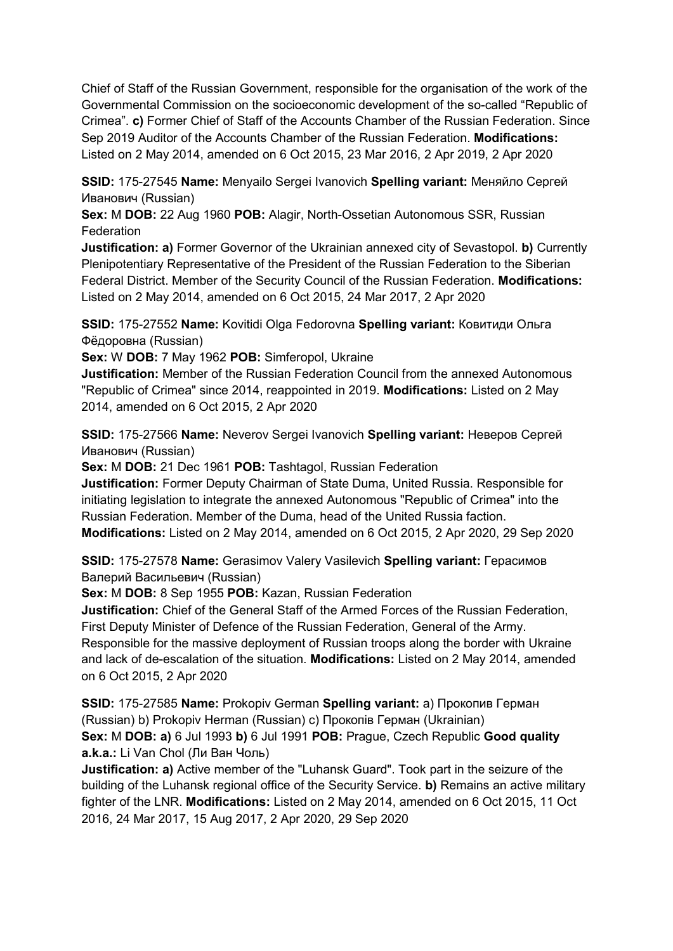Chief of Staff of the Russian Government, responsible for the organisation of the work of the Governmental Commission on the socioeconomic development of the so-called "Republic of Crimea". **c)** Former Chief of Staff of the Accounts Chamber of the Russian Federation. Since Sep 2019 Auditor of the Accounts Chamber of the Russian Federation. **Modifications:**  Listed on 2 May 2014, amended on 6 Oct 2015, 23 Mar 2016, 2 Apr 2019, 2 Apr 2020

**SSID:** 175-27545 **Name:** Menyailo Sergei Ivanovich **Spelling variant:** Меняйло Сергей Иванович (Russian)

**Sex:** M **DOB:** 22 Aug 1960 **POB:** Alagir, North-Ossetian Autonomous SSR, Russian **Federation** 

**Justification: a)** Former Governor of the Ukrainian annexed city of Sevastopol. **b)** Currently Plenipotentiary Representative of the President of the Russian Federation to the Siberian Federal District. Member of the Security Council of the Russian Federation. **Modifications:**  Listed on 2 May 2014, amended on 6 Oct 2015, 24 Mar 2017, 2 Apr 2020

**SSID:** 175-27552 **Name:** Kovitidi Olga Fedorovna **Spelling variant:** Ковитиди Ольга Фёдоровна (Russian)

**Sex:** W **DOB:** 7 May 1962 **POB:** Simferopol, Ukraine

**Justification:** Member of the Russian Federation Council from the annexed Autonomous "Republic of Crimea" since 2014, reappointed in 2019. **Modifications:** Listed on 2 May 2014, amended on 6 Oct 2015, 2 Apr 2020

**SSID:** 175-27566 **Name:** Neverov Sergei Ivanovich **Spelling variant:** Неверов Сергей Иванович (Russian)

**Sex:** M **DOB:** 21 Dec 1961 **POB:** Tashtagol, Russian Federation

**Justification:** Former Deputy Chairman of State Duma, United Russia. Responsible for initiating legislation to integrate the annexed Autonomous "Republic of Crimea" into the Russian Federation. Member of the Duma, head of the United Russia faction. **Modifications:** Listed on 2 May 2014, amended on 6 Oct 2015, 2 Apr 2020, 29 Sep 2020

**SSID:** 175-27578 **Name:** Gerasimov Valery Vasilevich **Spelling variant:** Герасимов Валерий Васильевич (Russian)

**Sex:** M **DOB:** 8 Sep 1955 **POB:** Kazan, Russian Federation

**Justification:** Chief of the General Staff of the Armed Forces of the Russian Federation, First Deputy Minister of Defence of the Russian Federation, General of the Army. Responsible for the massive deployment of Russian troops along the border with Ukraine and lack of de-escalation of the situation. **Modifications:** Listed on 2 May 2014, amended on 6 Oct 2015, 2 Apr 2020

**SSID:** 175-27585 **Name:** Prokopiv German **Spelling variant:** a) Прокопив Герман (Russian) b) Prokopiv Herman (Russian) c) Прокопiв Герман (Ukrainian) **Sex:** M **DOB: a)** 6 Jul 1993 **b)** 6 Jul 1991 **POB:** Prague, Czech Republic **Good quality a.k.a.:** Li Van Chol (Ли Ван Чоль)

**Justification: a)** Active member of the "Luhansk Guard". Took part in the seizure of the building of the Luhansk regional office of the Security Service. **b)** Remains an active military fighter of the LNR. **Modifications:** Listed on 2 May 2014, amended on 6 Oct 2015, 11 Oct 2016, 24 Mar 2017, 15 Aug 2017, 2 Apr 2020, 29 Sep 2020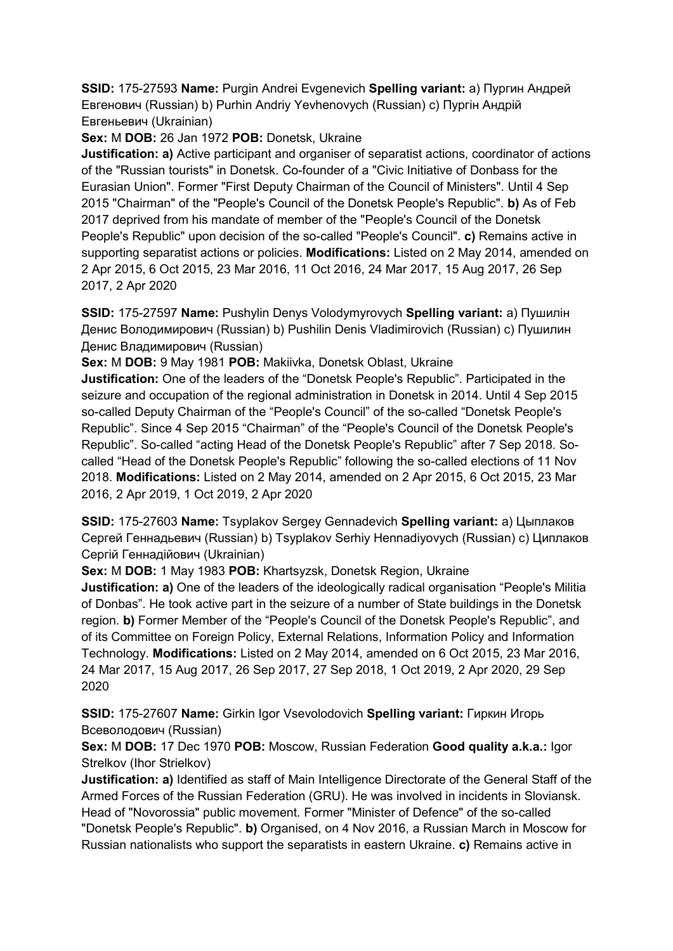**SSID:** 175-27593 **Name:** Purgin Andrei Evgenevich **Spelling variant:** a) Пургин Андрей Eвгенович (Russian) b) Purhin Andriy Yevhenovych (Russian) c) Пургін Андрій Евгеньевич (Ukrainian)

**Sex:** M **DOB:** 26 Jan 1972 **POB:** Donetsk, Ukraine

**Justification: a)** Active participant and organiser of separatist actions, coordinator of actions of the "Russian tourists" in Donetsk. Co-founder of a "Civic Initiative of Donbass for the Eurasian Union". Former "First Deputy Chairman of the Council of Ministers". Until 4 Sep 2015 "Chairman" of the "People's Council of the Donetsk People's Republic". **b)** As of Feb 2017 deprived from his mandate of member of the "People's Council of the Donetsk People's Republic" upon decision of the so-called "People's Council". **c)** Remains active in supporting separatist actions or policies. **Modifications:** Listed on 2 May 2014, amended on 2 Apr 2015, 6 Oct 2015, 23 Mar 2016, 11 Oct 2016, 24 Mar 2017, 15 Aug 2017, 26 Sep 2017, 2 Apr 2020

**SSID:** 175-27597 **Name:** Pushylin Denys Volodymyrovych **Spelling variant:** a) Пушилін Денис Володимирович (Russian) b) Pushilin Denis Vladimirovich (Russian) c) Пушилин Денис Владимирович (Russian)

**Sex:** M **DOB:** 9 May 1981 **POB:** Makiivka, Donetsk Oblast, Ukraine

**Justification:** One of the leaders of the "Donetsk People's Republic". Participated in the seizure and occupation of the regional administration in Donetsk in 2014. Until 4 Sep 2015 so-called Deputy Chairman of the "People's Council" of the so-called "Donetsk People's Republic". Since 4 Sep 2015 "Chairman" of the "People's Council of the Donetsk People's Republic". So-called "acting Head of the Donetsk People's Republic" after 7 Sep 2018. Socalled "Head of the Donetsk People's Republic" following the so-called elections of 11 Nov 2018. **Modifications:** Listed on 2 May 2014, amended on 2 Apr 2015, 6 Oct 2015, 23 Mar 2016, 2 Apr 2019, 1 Oct 2019, 2 Apr 2020

**SSID:** 175-27603 **Name:** Tsyplakov Sergey Gennadevich **Spelling variant:** a) Цыплаков Сергей Геннадьевич (Russian) b) Tsyplakov Serhiy Hennadiyovych (Russian) c) Циплаков Сергій Геннадійович (Ukrainian)

**Sex:** M **DOB:** 1 May 1983 **POB:** Khartsyzsk, Donetsk Region, Ukraine

**Justification: a)** One of the leaders of the ideologically radical organisation "People's Militia of Donbas". He took active part in the seizure of a number of State buildings in the Donetsk region. **b)** Former Member of the "People's Council of the Donetsk People's Republic", and of its Committee on Foreign Policy, External Relations, Information Policy and Information Technology. **Modifications:** Listed on 2 May 2014, amended on 6 Oct 2015, 23 Mar 2016, 24 Mar 2017, 15 Aug 2017, 26 Sep 2017, 27 Sep 2018, 1 Oct 2019, 2 Apr 2020, 29 Sep 2020

**SSID:** 175-27607 **Name:** Girkin Igor Vsevolodovich **Spelling variant:** Гиркин Игорь Всеволодович (Russian)

**Sex:** M **DOB:** 17 Dec 1970 **POB:** Moscow, Russian Federation **Good quality a.k.a.:** Igor Strelkov (Ihor Strielkov)

**Justification: a)** Identified as staff of Main Intelligence Directorate of the General Staff of the Armed Forces of the Russian Federation (GRU). He was involved in incidents in Sloviansk. Head of "Novorossia" public movement. Former "Minister of Defence" of the so-called "Donetsk People's Republic". **b)** Organised, on 4 Nov 2016, a Russian March in Moscow for Russian nationalists who support the separatists in eastern Ukraine. **c)** Remains active in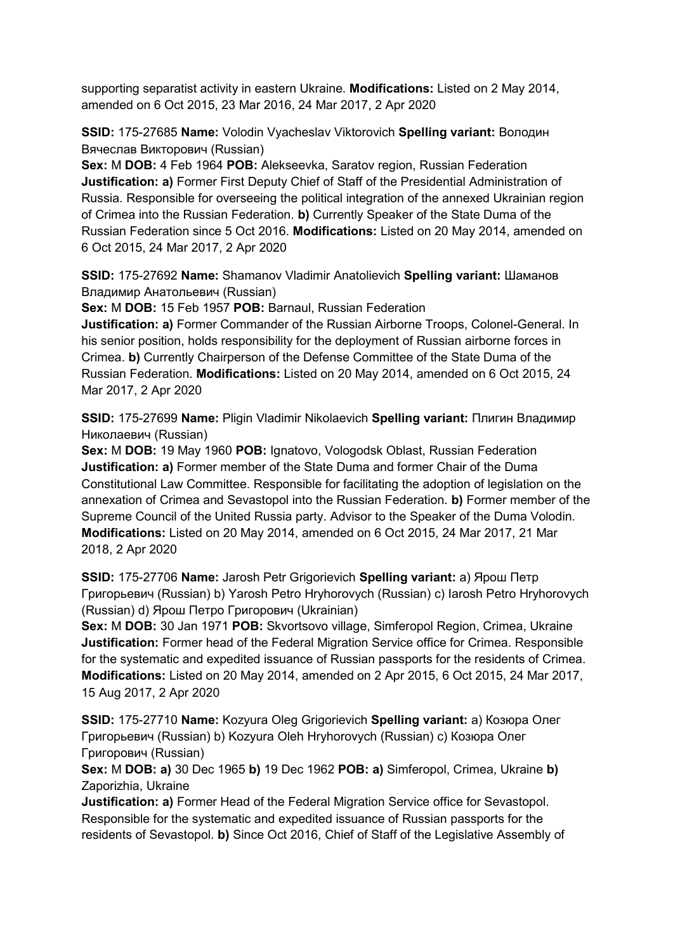supporting separatist activity in eastern Ukraine. **Modifications:** Listed on 2 May 2014, amended on 6 Oct 2015, 23 Mar 2016, 24 Mar 2017, 2 Apr 2020

**SSID:** 175-27685 **Name:** Volodin Vyacheslav Viktorovich **Spelling variant:** Володин Вячеслав Викторович (Russian)

**Sex:** M **DOB:** 4 Feb 1964 **POB:** Alekseevka, Saratov region, Russian Federation **Justification: a)** Former First Deputy Chief of Staff of the Presidential Administration of Russia. Responsible for overseeing the political integration of the annexed Ukrainian region of Crimea into the Russian Federation. **b)** Currently Speaker of the State Duma of the Russian Federation since 5 Oct 2016. **Modifications:** Listed on 20 May 2014, amended on 6 Oct 2015, 24 Mar 2017, 2 Apr 2020

**SSID:** 175-27692 **Name:** Shamanov Vladimir Anatolievich **Spelling variant:** Шаманов Владимир Анатольевич (Russian)

**Sex:** M **DOB:** 15 Feb 1957 **POB:** Barnaul, Russian Federation

**Justification: a)** Former Commander of the Russian Airborne Troops, Colonel-General. In his senior position, holds responsibility for the deployment of Russian airborne forces in Crimea. **b)** Currently Chairperson of the Defense Committee of the State Duma of the Russian Federation. **Modifications:** Listed on 20 May 2014, amended on 6 Oct 2015, 24 Mar 2017, 2 Apr 2020

**SSID:** 175-27699 **Name:** Pligin Vladimir Nikolaevich **Spelling variant:** Плигин Владимир Николаевич (Russian)

**Sex:** M **DOB:** 19 May 1960 **POB:** Ignatovo, Vologodsk Oblast, Russian Federation **Justification: a)** Former member of the State Duma and former Chair of the Duma Constitutional Law Committee. Responsible for facilitating the adoption of legislation on the annexation of Crimea and Sevastopol into the Russian Federation. **b)** Former member of the Supreme Council of the United Russia party. Advisor to the Speaker of the Duma Volodin. **Modifications:** Listed on 20 May 2014, amended on 6 Oct 2015, 24 Mar 2017, 21 Mar 2018, 2 Apr 2020

**SSID:** 175-27706 **Name:** Jarosh Petr Grigorievich **Spelling variant:** a) Ярош Петр Григорьевич (Russian) b) Yarosh Petro Hryhorovych (Russian) c) Iarosh Petro Hryhorovych (Russian) d) Ярош Петро Григорович (Ukrainian)

**Sex:** M **DOB:** 30 Jan 1971 **POB:** Skvortsovo village, Simferopol Region, Crimea, Ukraine **Justification:** Former head of the Federal Migration Service office for Crimea. Responsible for the systematic and expedited issuance of Russian passports for the residents of Crimea. **Modifications:** Listed on 20 May 2014, amended on 2 Apr 2015, 6 Oct 2015, 24 Mar 2017, 15 Aug 2017, 2 Apr 2020

**SSID:** 175-27710 **Name:** Kozyura Oleg Grigorievich **Spelling variant:** a) Козюра Олег Григорьевич (Russian) b) Kozyura Oleh Hryhorovych (Russian) c) Козюра Олег Григорович (Russian)

**Sex:** M **DOB: a)** 30 Dec 1965 **b)** 19 Dec 1962 **POB: a)** Simferopol, Crimea, Ukraine **b)**  Zaporizhia, Ukraine

**Justification: a)** Former Head of the Federal Migration Service office for Sevastopol. Responsible for the systematic and expedited issuance of Russian passports for the residents of Sevastopol. **b)** Since Oct 2016, Chief of Staff of the Legislative Assembly of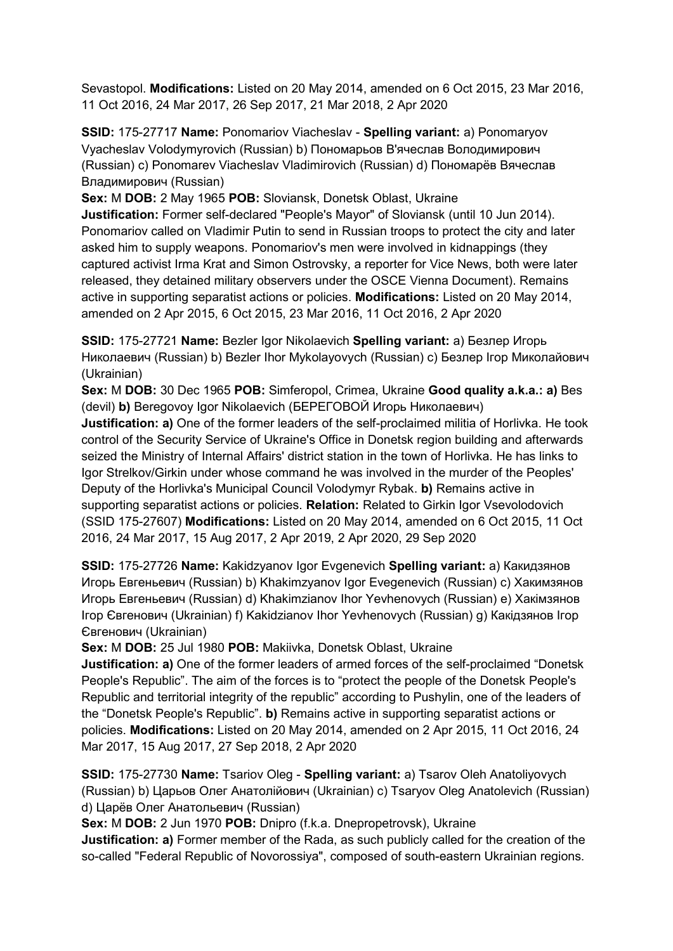Sevastopol. **Modifications:** Listed on 20 May 2014, amended on 6 Oct 2015, 23 Mar 2016, 11 Oct 2016, 24 Mar 2017, 26 Sep 2017, 21 Mar 2018, 2 Apr 2020

**SSID:** 175-27717 **Name:** Ponomariov Viacheslav - **Spelling variant:** a) Ponomaryov Vyacheslav Volodymyrovich (Russian) b) Пономарьов В'ячеслав Володимирович (Russian) c) Ponomarev Viacheslav Vladimirovich (Russian) d) Пономарёв Вячеслав Владимирович (Russian)

**Sex:** M **DOB:** 2 May 1965 **POB:** Sloviansk, Donetsk Oblast, Ukraine

**Justification:** Former self-declared "People's Mayor" of Sloviansk (until 10 Jun 2014). Ponomariov called on Vladimir Putin to send in Russian troops to protect the city and later asked him to supply weapons. Ponomariov's men were involved in kidnappings (they captured activist Irma Krat and Simon Ostrovsky, a reporter for Vice News, both were later released, they detained military observers under the OSCE Vienna Document). Remains active in supporting separatist actions or policies. **Modifications:** Listed on 20 May 2014, amended on 2 Apr 2015, 6 Oct 2015, 23 Mar 2016, 11 Oct 2016, 2 Apr 2020

**SSID:** 175-27721 **Name:** Bezler Igor Nikolaevich **Spelling variant:** a) Безлер Игорь Николаевич (Russian) b) Bezler Ihor Mykolayovych (Russian) c) Безлер Iгор Миколайович (Ukrainian)

**Sex:** M **DOB:** 30 Dec 1965 **POB:** Simferopol, Crimea, Ukraine **Good quality a.k.a.: a)** Bes (devil) **b)** Beregovoy Igor Nikolaevich (БЕРЕГОВОЙ Игорь Николаевич)

**Justification: a)** One of the former leaders of the self-proclaimed militia of Horlivka. He took control of the Security Service of Ukraine's Office in Donetsk region building and afterwards seized the Ministry of Internal Affairs' district station in the town of Horlivka. He has links to Igor Strelkov/Girkin under whose command he was involved in the murder of the Peoples' Deputy of the Horlivka's Municipal Council Volodymyr Rybak. **b)** Remains active in supporting separatist actions or policies. **Relation:** Related to Girkin Igor Vsevolodovich (SSID 175-27607) **Modifications:** Listed on 20 May 2014, amended on 6 Oct 2015, 11 Oct 2016, 24 Mar 2017, 15 Aug 2017, 2 Apr 2019, 2 Apr 2020, 29 Sep 2020

**SSID:** 175-27726 **Name:** Kakidzyanov Igor Evgenevich **Spelling variant:** a) Какидзянов Игорь Евгеньевич (Russian) b) Khakimzyanov Igor Evegenevich (Russian) c) Хакимзянов Игорь Евгеньевич (Russian) d) Khakimzianov Ihor Yevhenovych (Russian) e) Хакiмзянов Iгор Євгенович (Ukrainian) f) Kakidzianov Ihor Yevhenovych (Russian) g) Какiдзянов Iгор Євгенович (Ukrainian)

**Sex:** M **DOB:** 25 Jul 1980 **POB:** Makiivka, Donetsk Oblast, Ukraine

**Justification: a)** One of the former leaders of armed forces of the self-proclaimed "Donetsk People's Republic". The aim of the forces is to "protect the people of the Donetsk People's Republic and territorial integrity of the republic" according to Pushylin, one of the leaders of the "Donetsk People's Republic". **b)** Remains active in supporting separatist actions or policies. **Modifications:** Listed on 20 May 2014, amended on 2 Apr 2015, 11 Oct 2016, 24 Mar 2017, 15 Aug 2017, 27 Sep 2018, 2 Apr 2020

**SSID:** 175-27730 **Name:** Tsariov Oleg - **Spelling variant:** a) Tsarov Oleh Anatoliyovych (Russian) b) Царьов Олег Анатолiйович (Ukrainian) c) Tsaryov Oleg Anatolevich (Russian) d) Царёв Олег Анатольевич (Russian)

**Sex:** M **DOB:** 2 Jun 1970 **POB:** Dnipro (f.k.a. Dnepropetrovsk), Ukraine

**Justification: a)** Former member of the Rada, as such publicly called for the creation of the so-called "Federal Republic of Novorossiya", composed of south-eastern Ukrainian regions.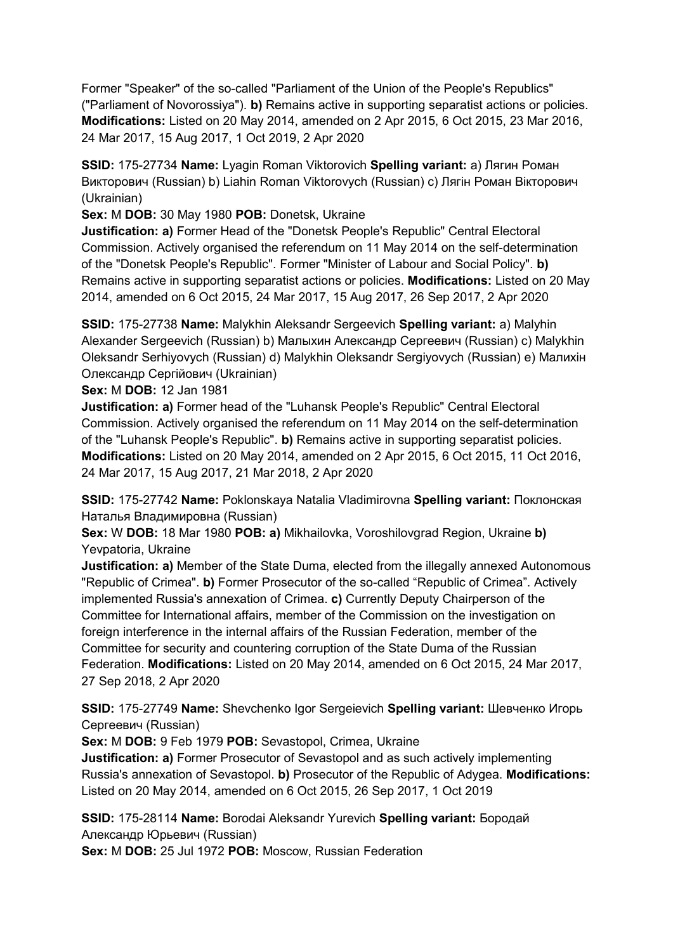Former "Speaker" of the so-called "Parliament of the Union of the People's Republics" ("Parliament of Novorossiya"). **b)** Remains active in supporting separatist actions or policies. **Modifications:** Listed on 20 May 2014, amended on 2 Apr 2015, 6 Oct 2015, 23 Mar 2016, 24 Mar 2017, 15 Aug 2017, 1 Oct 2019, 2 Apr 2020

**SSID:** 175-27734 **Name:** Lyagin Roman Viktorovich **Spelling variant:** a) Лягин Роман Викторович (Russian) b) Liahin Roman Viktorovych (Russian) c) Лягiн Роман Вікторович (Ukrainian)

**Sex:** M **DOB:** 30 May 1980 **POB:** Donetsk, Ukraine

**Justification: a)** Former Head of the "Donetsk People's Republic" Central Electoral Commission. Actively organised the referendum on 11 May 2014 on the self-determination of the "Donetsk People's Republic". Former "Minister of Labour and Social Policy". **b)**  Remains active in supporting separatist actions or policies. **Modifications:** Listed on 20 May 2014, amended on 6 Oct 2015, 24 Mar 2017, 15 Aug 2017, 26 Sep 2017, 2 Apr 2020

**SSID:** 175-27738 **Name:** Malykhin Aleksandr Sergeevich **Spelling variant:** a) Malyhin Alexander Sergeevich (Russian) b) Малыхин Александр Сергеевич (Russian) c) Malykhin Oleksandr Serhiyovych (Russian) d) Malykhin Oleksandr Sergiyovych (Russian) e) Малихін Олександр Сергійович (Ukrainian)

**Sex:** M **DOB:** 12 Jan 1981

**Justification: a)** Former head of the "Luhansk People's Republic" Central Electoral Commission. Actively organised the referendum on 11 May 2014 on the self-determination of the "Luhansk People's Republic". **b)** Remains active in supporting separatist policies. **Modifications:** Listed on 20 May 2014, amended on 2 Apr 2015, 6 Oct 2015, 11 Oct 2016, 24 Mar 2017, 15 Aug 2017, 21 Mar 2018, 2 Apr 2020

**SSID:** 175-27742 **Name:** Poklonskaya Natalia Vladimirovna **Spelling variant:** Поклонская Наталья Владимировна (Russian)

**Sex:** W **DOB:** 18 Mar 1980 **POB: a)** Mikhailovka, Voroshilovgrad Region, Ukraine **b)**  Yevpatoria, Ukraine

**Justification: a)** Member of the State Duma, elected from the illegally annexed Autonomous "Republic of Crimea". **b)** Former Prosecutor of the so-called "Republic of Crimea". Actively implemented Russia's annexation of Crimea. **c)** Currently Deputy Chairperson of the Committee for International affairs, member of the Commission on the investigation on foreign interference in the internal affairs of the Russian Federation, member of the Committee for security and countering corruption of the State Duma of the Russian Federation. **Modifications:** Listed on 20 May 2014, amended on 6 Oct 2015, 24 Mar 2017, 27 Sep 2018, 2 Apr 2020

**SSID:** 175-27749 **Name:** Shevchenko Igor Sergeievich **Spelling variant:** Шевченко Игорь Сергеевич (Russian)

**Sex:** M **DOB:** 9 Feb 1979 **POB:** Sevastopol, Crimea, Ukraine

**Justification: a)** Former Prosecutor of Sevastopol and as such actively implementing Russia's annexation of Sevastopol. **b)** Prosecutor of the Republic of Adygea. **Modifications:**  Listed on 20 May 2014, amended on 6 Oct 2015, 26 Sep 2017, 1 Oct 2019

**SSID:** 175-28114 **Name:** Borodai Aleksandr Yurevich **Spelling variant:** Бородай Александр Юрьевич (Russian)

**Sex:** M **DOB:** 25 Jul 1972 **POB:** Moscow, Russian Federation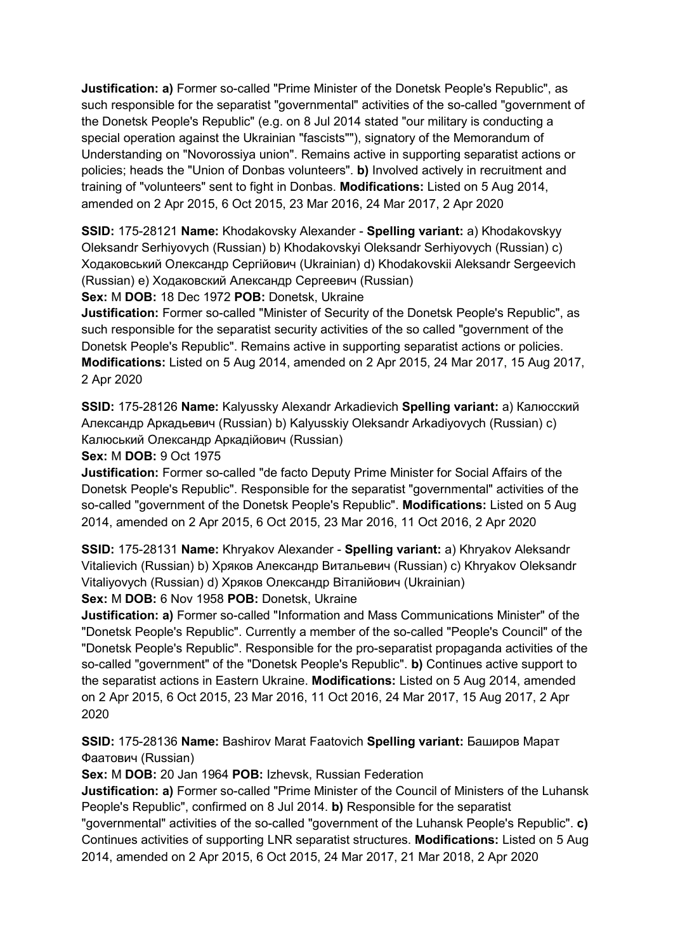**Justification: a)** Former so-called "Prime Minister of the Donetsk People's Republic", as such responsible for the separatist "governmental" activities of the so-called "government of the Donetsk People's Republic" (e.g. on 8 Jul 2014 stated "our military is conducting a special operation against the Ukrainian "fascists""), signatory of the Memorandum of Understanding on "Novorossiya union". Remains active in supporting separatist actions or policies; heads the "Union of Donbas volunteers". **b)** Involved actively in recruitment and training of "volunteers" sent to fight in Donbas. **Modifications:** Listed on 5 Aug 2014, amended on 2 Apr 2015, 6 Oct 2015, 23 Mar 2016, 24 Mar 2017, 2 Apr 2020

**SSID:** 175-28121 **Name:** Khodakovsky Alexander - **Spelling variant:** a) Khodakovskyy Oleksandr Serhiyovych (Russian) b) Khodakovskyi Oleksandr Serhiyovych (Russian) c) Ходаковський Олександр Сергійович (Ukrainian) d) Khodakovskii Aleksandr Sergeevich (Russian) e) Ходаковский Александр Сергеевич (Russian)

**Sex:** M **DOB:** 18 Dec 1972 **POB:** Donetsk, Ukraine

**Justification:** Former so-called "Minister of Security of the Donetsk People's Republic", as such responsible for the separatist security activities of the so called "government of the Donetsk People's Republic". Remains active in supporting separatist actions or policies. **Modifications:** Listed on 5 Aug 2014, amended on 2 Apr 2015, 24 Mar 2017, 15 Aug 2017, 2 Apr 2020

**SSID:** 175-28126 **Name:** Kalyussky Alexandr Arkadievich **Spelling variant:** a) Калюсский Александр Аркадьевич (Russian) b) Kalyusskiy Oleksandr Arkadiyovych (Russian) c) Калюський Олександр Аркадійович (Russian)

**Sex:** M **DOB:** 9 Oct 1975

**Justification:** Former so-called "de facto Deputy Prime Minister for Social Affairs of the Donetsk People's Republic". Responsible for the separatist "governmental" activities of the so-called "government of the Donetsk People's Republic". **Modifications:** Listed on 5 Aug 2014, amended on 2 Apr 2015, 6 Oct 2015, 23 Mar 2016, 11 Oct 2016, 2 Apr 2020

**SSID:** 175-28131 **Name:** Khryakov Alexander - **Spelling variant:** a) Khryakov Aleksandr Vitalievich (Russian) b) Хряков Александр Витальевич (Russian) c) Khryakov Oleksandr Vitaliyovych (Russian) d) Хряков Олександр Віталійович (Ukrainian)

**Sex:** M **DOB:** 6 Nov 1958 **POB:** Donetsk, Ukraine

**Justification: a)** Former so-called "Information and Mass Communications Minister" of the "Donetsk People's Republic". Currently a member of the so-called "People's Council" of the "Donetsk People's Republic". Responsible for the pro-separatist propaganda activities of the so-called "government" of the "Donetsk People's Republic". **b)** Continues active support to the separatist actions in Eastern Ukraine. **Modifications:** Listed on 5 Aug 2014, amended on 2 Apr 2015, 6 Oct 2015, 23 Mar 2016, 11 Oct 2016, 24 Mar 2017, 15 Aug 2017, 2 Apr 2020

**SSID:** 175-28136 **Name:** Bashirov Marat Faatovich **Spelling variant:** Баширов Марат Фаатович (Russian)

**Sex:** M **DOB:** 20 Jan 1964 **POB:** Izhevsk, Russian Federation

**Justification: a)** Former so-called "Prime Minister of the Council of Ministers of the Luhansk People's Republic", confirmed on 8 Jul 2014. **b)** Responsible for the separatist

"governmental" activities of the so-called "government of the Luhansk People's Republic". **c)**  Continues activities of supporting LNR separatist structures. **Modifications:** Listed on 5 Aug 2014, amended on 2 Apr 2015, 6 Oct 2015, 24 Mar 2017, 21 Mar 2018, 2 Apr 2020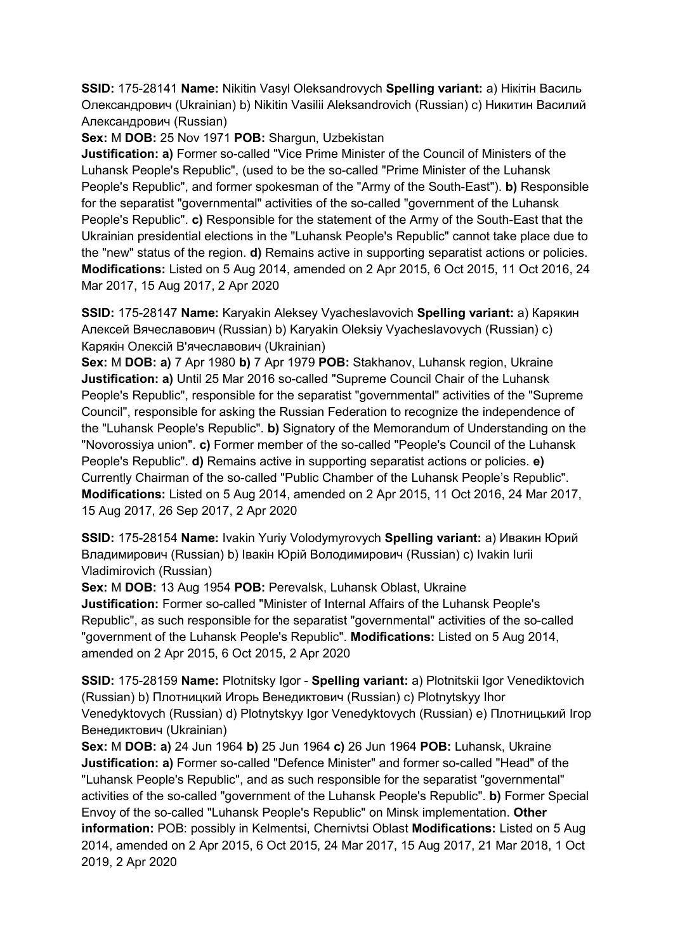**SSID:** 175-28141 **Name:** Nikitin Vasyl Oleksandrovych **Spelling variant:** a) Нікітін Василь Олександрович (Ukrainian) b) Nikitin Vasilii Aleksandrovich (Russian) c) Никитин Василий Александрович (Russian)

**Sex:** M **DOB:** 25 Nov 1971 **POB:** Shargun, Uzbekistan

**Justification: a)** Former so-called "Vice Prime Minister of the Council of Ministers of the Luhansk People's Republic", (used to be the so-called "Prime Minister of the Luhansk People's Republic", and former spokesman of the "Army of the South-East"). **b)** Responsible for the separatist "governmental" activities of the so-called "government of the Luhansk People's Republic". **c)** Responsible for the statement of the Army of the South-East that the Ukrainian presidential elections in the "Luhansk People's Republic" cannot take place due to the "new" status of the region. **d)** Remains active in supporting separatist actions or policies. **Modifications:** Listed on 5 Aug 2014, amended on 2 Apr 2015, 6 Oct 2015, 11 Oct 2016, 24 Mar 2017, 15 Aug 2017, 2 Apr 2020

**SSID:** 175-28147 **Name:** Karyakin Aleksey Vyacheslavovich **Spelling variant:** a) Карякин Алексей Вячеславович (Russian) b) Karyakin Oleksiy Vyacheslavovych (Russian) c) Карякiн Олексій В'ячеславович (Ukrainian)

**Sex:** M **DOB: a)** 7 Apr 1980 **b)** 7 Apr 1979 **POB:** Stakhanov, Luhansk region, Ukraine **Justification: a)** Until 25 Mar 2016 so-called "Supreme Council Chair of the Luhansk People's Republic", responsible for the separatist "governmental" activities of the "Supreme Council", responsible for asking the Russian Federation to recognize the independence of the "Luhansk People's Republic". **b)** Signatory of the Memorandum of Understanding on the "Novorossiya union". **c)** Former member of the so-called "People's Council of the Luhansk People's Republic". **d)** Remains active in supporting separatist actions or policies. **e)**  Currently Chairman of the so-called "Public Chamber of the Luhansk People's Republic". **Modifications:** Listed on 5 Aug 2014, amended on 2 Apr 2015, 11 Oct 2016, 24 Mar 2017, 15 Aug 2017, 26 Sep 2017, 2 Apr 2020

**SSID:** 175-28154 **Name:** Ivakin Yuriy Volodymyrovych **Spelling variant:** a) Ивакин Юрий Владимирович (Russian) b) Івакін Юрій Володимирович (Russian) c) Ivakin Iurii Vladimirovich (Russian)

**Sex:** M **DOB:** 13 Aug 1954 **POB:** Perevalsk, Luhansk Oblast, Ukraine **Justification:** Former so-called "Minister of Internal Affairs of the Luhansk People's Republic", as such responsible for the separatist "governmental" activities of the so-called "government of the Luhansk People's Republic". **Modifications:** Listed on 5 Aug 2014, amended on 2 Apr 2015, 6 Oct 2015, 2 Apr 2020

**SSID:** 175-28159 **Name:** Plotnitsky Igor - **Spelling variant:** a) Plotnitskii Igor Venediktovich (Russian) b) Плотницкий Игорь Венедиктович (Russian) c) Plotnytskyy Ihor Venedyktovych (Russian) d) Plotnytskyy Igor Venedyktovych (Russian) e) Плотницький Iгор Венедиктович (Ukrainian)

**Sex:** M **DOB: a)** 24 Jun 1964 **b)** 25 Jun 1964 **c)** 26 Jun 1964 **POB:** Luhansk, Ukraine **Justification: a)** Former so-called "Defence Minister" and former so-called "Head" of the "Luhansk People's Republic", and as such responsible for the separatist "governmental" activities of the so-called "government of the Luhansk People's Republic". **b)** Former Special Envoy of the so-called "Luhansk People's Republic" on Minsk implementation. **Other information:** POB: possibly in Kelmentsi, Chernivtsi Oblast **Modifications:** Listed on 5 Aug 2014, amended on 2 Apr 2015, 6 Oct 2015, 24 Mar 2017, 15 Aug 2017, 21 Mar 2018, 1 Oct 2019, 2 Apr 2020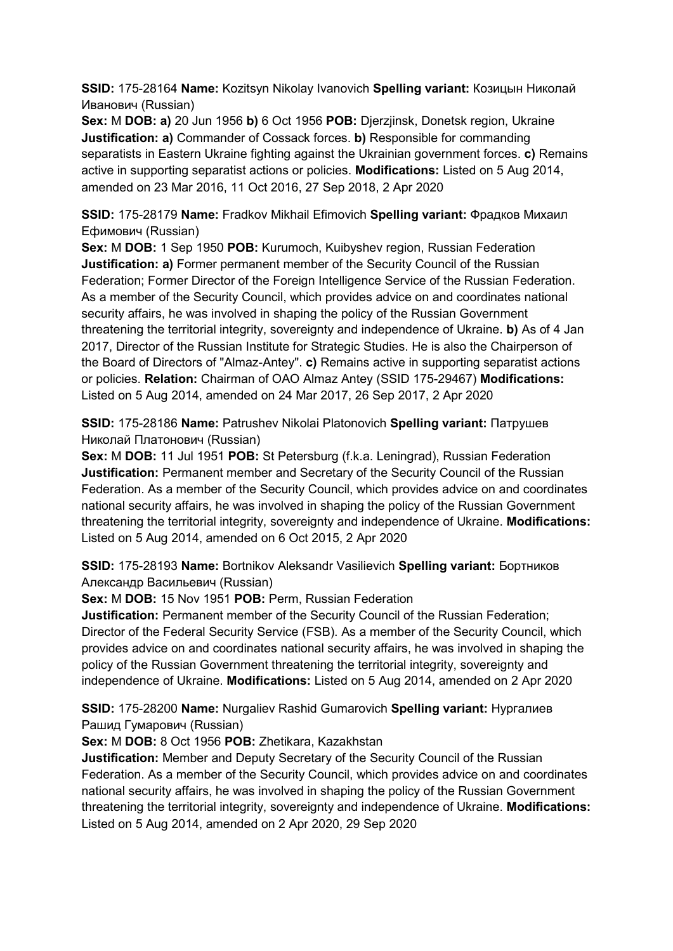**SSID:** 175-28164 **Name:** Kozitsyn Nikolay Ivanovich **Spelling variant:** Козицын Николай Иванович (Russian)

**Sex:** M **DOB: a)** 20 Jun 1956 **b)** 6 Oct 1956 **POB:** Djerzjinsk, Donetsk region, Ukraine **Justification: a)** Commander of Cossack forces. **b)** Responsible for commanding separatists in Eastern Ukraine fighting against the Ukrainian government forces. **c)** Remains active in supporting separatist actions or policies. **Modifications:** Listed on 5 Aug 2014, amended on 23 Mar 2016, 11 Oct 2016, 27 Sep 2018, 2 Apr 2020

**SSID:** 175-28179 **Name:** Fradkov Mikhail Efimovich **Spelling variant:** Фрадков Михаил Ефимович (Russian)

**Sex:** M **DOB:** 1 Sep 1950 **POB:** Kurumoch, Kuibyshev region, Russian Federation **Justification: a)** Former permanent member of the Security Council of the Russian Federation; Former Director of the Foreign Intelligence Service of the Russian Federation. As a member of the Security Council, which provides advice on and coordinates national security affairs, he was involved in shaping the policy of the Russian Government threatening the territorial integrity, sovereignty and independence of Ukraine. **b)** As of 4 Jan 2017, Director of the Russian Institute for Strategic Studies. He is also the Chairperson of the Board of Directors of "Almaz-Antey". **c)** Remains active in supporting separatist actions or policies. **Relation:** Chairman of OAO Almaz Antey (SSID 175-29467) **Modifications:**  Listed on 5 Aug 2014, amended on 24 Mar 2017, 26 Sep 2017, 2 Apr 2020

**SSID:** 175-28186 **Name:** Patrushev Nikolai Platonovich **Spelling variant:** Патрушев Николай Платонович (Russian)

**Sex:** M **DOB:** 11 Jul 1951 **POB:** St Petersburg (f.k.a. Leningrad), Russian Federation **Justification:** Permanent member and Secretary of the Security Council of the Russian Federation. As a member of the Security Council, which provides advice on and coordinates national security affairs, he was involved in shaping the policy of the Russian Government threatening the territorial integrity, sovereignty and independence of Ukraine. **Modifications:**  Listed on 5 Aug 2014, amended on 6 Oct 2015, 2 Apr 2020

**SSID:** 175-28193 **Name:** Bortnikov Aleksandr Vasilievich **Spelling variant:** Бортников Александр Васильевич (Russian)

**Sex:** M **DOB:** 15 Nov 1951 **POB:** Perm, Russian Federation

**Justification:** Permanent member of the Security Council of the Russian Federation; Director of the Federal Security Service (FSB). As a member of the Security Council, which provides advice on and coordinates national security affairs, he was involved in shaping the policy of the Russian Government threatening the territorial integrity, sovereignty and independence of Ukraine. **Modifications:** Listed on 5 Aug 2014, amended on 2 Apr 2020

**SSID:** 175-28200 **Name:** Nurgaliev Rashid Gumarovich **Spelling variant:** Нургалиев Рашид Гумарович (Russian)

**Sex:** M **DOB:** 8 Oct 1956 **POB:** Zhetikara, Kazakhstan

**Justification:** Member and Deputy Secretary of the Security Council of the Russian Federation. As a member of the Security Council, which provides advice on and coordinates national security affairs, he was involved in shaping the policy of the Russian Government threatening the territorial integrity, sovereignty and independence of Ukraine. **Modifications:**  Listed on 5 Aug 2014, amended on 2 Apr 2020, 29 Sep 2020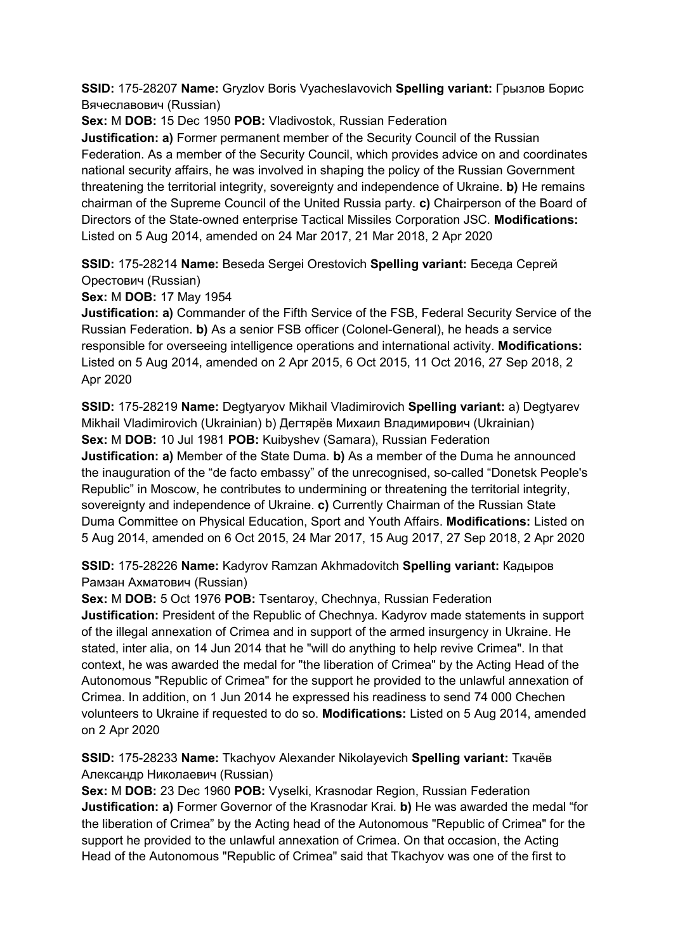**SSID:** 175-28207 **Name:** Gryzlov Boris Vyacheslavovich **Spelling variant:** Грызлов Борис Вячеславович (Russian)

**Sex:** M **DOB:** 15 Dec 1950 **POB:** Vladivostok, Russian Federation

**Justification: a)** Former permanent member of the Security Council of the Russian Federation. As a member of the Security Council, which provides advice on and coordinates national security affairs, he was involved in shaping the policy of the Russian Government threatening the territorial integrity, sovereignty and independence of Ukraine. **b)** He remains chairman of the Supreme Council of the United Russia party. **c)** Chairperson of the Board of Directors of the State-owned enterprise Tactical Missiles Corporation JSC. **Modifications:**  Listed on 5 Aug 2014, amended on 24 Mar 2017, 21 Mar 2018, 2 Apr 2020

**SSID:** 175-28214 **Name:** Beseda Sergei Orestovich **Spelling variant:** Беседа Сергей Орестович (Russian)

**Sex:** M **DOB:** 17 May 1954

**Justification: a)** Commander of the Fifth Service of the FSB, Federal Security Service of the Russian Federation. **b)** As a senior FSB officer (Colonel-General), he heads a service responsible for overseeing intelligence operations and international activity. **Modifications:**  Listed on 5 Aug 2014, amended on 2 Apr 2015, 6 Oct 2015, 11 Oct 2016, 27 Sep 2018, 2 Apr 2020

**SSID:** 175-28219 **Name:** Degtyaryov Mikhail Vladimirovich **Spelling variant:** a) Degtyarev Mikhail Vladimirovich (Ukrainian) b) Дегтярёв Михаил Владимирович (Ukrainian) **Sex:** M **DOB:** 10 Jul 1981 **POB:** Kuibyshev (Samara), Russian Federation **Justification: a)** Member of the State Duma. **b)** As a member of the Duma he announced the inauguration of the "de facto embassy" of the unrecognised, so-called "Donetsk People's Republic" in Moscow, he contributes to undermining or threatening the territorial integrity, sovereignty and independence of Ukraine. **c)** Currently Chairman of the Russian State Duma Committee on Physical Education, Sport and Youth Affairs. **Modifications:** Listed on 5 Aug 2014, amended on 6 Oct 2015, 24 Mar 2017, 15 Aug 2017, 27 Sep 2018, 2 Apr 2020

**SSID:** 175-28226 **Name:** Kadyrov Ramzan Akhmadovitch **Spelling variant:** Кадыров Рамзан Ахматович (Russian)

**Sex:** M **DOB:** 5 Oct 1976 **POB:** Tsentaroy, Chechnya, Russian Federation **Justification:** President of the Republic of Chechnya. Kadyrov made statements in support of the illegal annexation of Crimea and in support of the armed insurgency in Ukraine. He stated, inter alia, on 14 Jun 2014 that he "will do anything to help revive Crimea". In that context, he was awarded the medal for "the liberation of Crimea" by the Acting Head of the Autonomous "Republic of Crimea" for the support he provided to the unlawful annexation of Crimea. In addition, on 1 Jun 2014 he expressed his readiness to send 74 000 Chechen volunteers to Ukraine if requested to do so. **Modifications:** Listed on 5 Aug 2014, amended on 2 Apr 2020

**SSID:** 175-28233 **Name:** Tkachyov Alexander Nikolayevich **Spelling variant:** Ткачёв Александр Николаевич (Russian)

**Sex:** M **DOB:** 23 Dec 1960 **POB:** Vyselki, Krasnodar Region, Russian Federation **Justification: a)** Former Governor of the Krasnodar Krai. **b)** He was awarded the medal "for the liberation of Crimea" by the Acting head of the Autonomous "Republic of Crimea" for the support he provided to the unlawful annexation of Crimea. On that occasion, the Acting Head of the Autonomous "Republic of Crimea" said that Tkachyov was one of the first to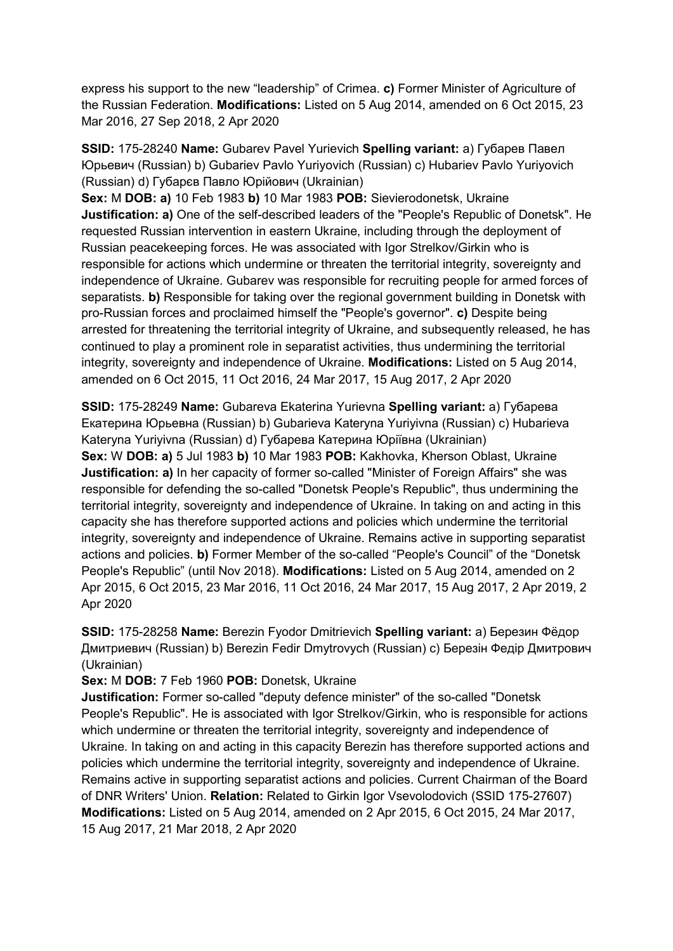express his support to the new "leadership" of Crimea. **c)** Former Minister of Agriculture of the Russian Federation. **Modifications:** Listed on 5 Aug 2014, amended on 6 Oct 2015, 23 Mar 2016, 27 Sep 2018, 2 Apr 2020

**SSID:** 175-28240 **Name:** Gubarev Pavel Yurievich **Spelling variant:** a) Губарев Павел Юрьевич (Russian) b) Gubariev Pavlo Yuriyovich (Russian) c) Hubariev Pavlo Yuriyovich (Russian) d) Губарєв Павло Юрійович (Ukrainian)

**Sex:** M **DOB: a)** 10 Feb 1983 **b)** 10 Mar 1983 **POB:** Sievierodonetsk, Ukraine **Justification: a)** One of the self-described leaders of the "People's Republic of Donetsk". He requested Russian intervention in eastern Ukraine, including through the deployment of Russian peacekeeping forces. He was associated with Igor Strelkov/Girkin who is responsible for actions which undermine or threaten the territorial integrity, sovereignty and independence of Ukraine. Gubarev was responsible for recruiting people for armed forces of separatists. **b)** Responsible for taking over the regional government building in Donetsk with pro-Russian forces and proclaimed himself the "People's governor". **c)** Despite being arrested for threatening the territorial integrity of Ukraine, and subsequently released, he has continued to play a prominent role in separatist activities, thus undermining the territorial integrity, sovereignty and independence of Ukraine. **Modifications:** Listed on 5 Aug 2014, amended on 6 Oct 2015, 11 Oct 2016, 24 Mar 2017, 15 Aug 2017, 2 Apr 2020

**SSID:** 175-28249 **Name:** Gubareva Ekaterina Yurievna **Spelling variant:** a) Губарева Екатерина Юрьевна (Russian) b) Gubarieva Kateryna Yuriyivna (Russian) c) Hubarieva Kateryna Yuriyivna (Russian) d) Губарева Катерина Юріївна (Ukrainian) **Sex:** W **DOB: a)** 5 Jul 1983 **b)** 10 Mar 1983 **POB:** Kakhovka, Kherson Oblast, Ukraine **Justification: a)** In her capacity of former so-called "Minister of Foreign Affairs" she was responsible for defending the so-called "Donetsk People's Republic", thus undermining the territorial integrity, sovereignty and independence of Ukraine. In taking on and acting in this capacity she has therefore supported actions and policies which undermine the territorial integrity, sovereignty and independence of Ukraine. Remains active in supporting separatist actions and policies. **b)** Former Member of the so-called "People's Council" of the "Donetsk People's Republic" (until Nov 2018). **Modifications:** Listed on 5 Aug 2014, amended on 2 Apr 2015, 6 Oct 2015, 23 Mar 2016, 11 Oct 2016, 24 Mar 2017, 15 Aug 2017, 2 Apr 2019, 2 Apr 2020

**SSID:** 175-28258 **Name:** Berezin Fyodor Dmitrievich **Spelling variant:** a) Березин Фёдор Дмитриевич (Russian) b) Berezin Fedir Dmytrovych (Russian) c) Березін Федір Дмитрович (Ukrainian)

**Sex:** M **DOB:** 7 Feb 1960 **POB:** Donetsk, Ukraine

**Justification:** Former so-called "deputy defence minister" of the so-called "Donetsk People's Republic". He is associated with Igor Strelkov/Girkin, who is responsible for actions which undermine or threaten the territorial integrity, sovereignty and independence of Ukraine. In taking on and acting in this capacity Berezin has therefore supported actions and policies which undermine the territorial integrity, sovereignty and independence of Ukraine. Remains active in supporting separatist actions and policies. Current Chairman of the Board of DNR Writers' Union. **Relation:** Related to Girkin Igor Vsevolodovich (SSID 175-27607) **Modifications:** Listed on 5 Aug 2014, amended on 2 Apr 2015, 6 Oct 2015, 24 Mar 2017, 15 Aug 2017, 21 Mar 2018, 2 Apr 2020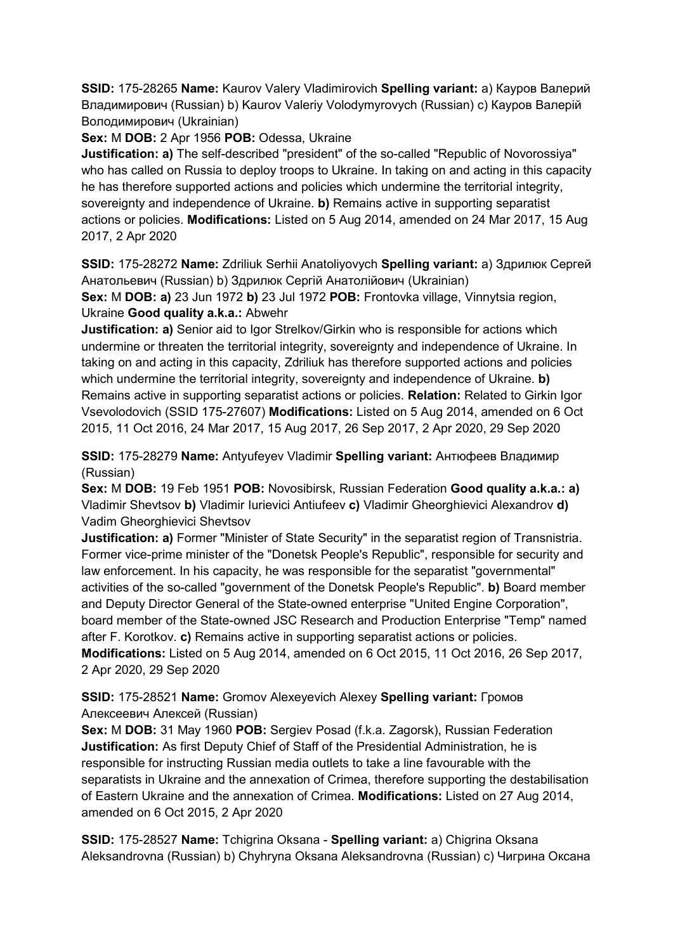**SSID:** 175-28265 **Name:** Kaurov Valery Vladimirovich **Spelling variant:** a) Кауров Валерий Владимирович (Russian) b) Kaurov Valeriy Volodymyrovych (Russian) c) Кауров Валерій Володимирович (Ukrainian)

**Sex:** M **DOB:** 2 Apr 1956 **POB:** Odessa, Ukraine

**Justification: a)** The self-described "president" of the so-called "Republic of Novorossiya" who has called on Russia to deploy troops to Ukraine. In taking on and acting in this capacity he has therefore supported actions and policies which undermine the territorial integrity, sovereignty and independence of Ukraine. **b)** Remains active in supporting separatist actions or policies. **Modifications:** Listed on 5 Aug 2014, amended on 24 Mar 2017, 15 Aug 2017, 2 Apr 2020

**SSID:** 175-28272 **Name:** Zdriliuk Serhii Anatoliyovych **Spelling variant:** a) Здрилюк Сергей Анатольевич (Russian) b) Здрилюк Сергій Анатолійович (Ukrainian)

**Sex:** M **DOB: a)** 23 Jun 1972 **b)** 23 Jul 1972 **POB:** Frontovka village, Vinnytsia region, Ukraine **Good quality a.k.a.:** Abwehr

**Justification: a)** Senior aid to Igor Strelkov/Girkin who is responsible for actions which undermine or threaten the territorial integrity, sovereignty and independence of Ukraine. In taking on and acting in this capacity, Zdriliuk has therefore supported actions and policies which undermine the territorial integrity, sovereignty and independence of Ukraine. **b)**  Remains active in supporting separatist actions or policies. **Relation:** Related to Girkin Igor Vsevolodovich (SSID 175-27607) **Modifications:** Listed on 5 Aug 2014, amended on 6 Oct 2015, 11 Oct 2016, 24 Mar 2017, 15 Aug 2017, 26 Sep 2017, 2 Apr 2020, 29 Sep 2020

**SSID:** 175-28279 **Name:** Antyufeyev Vladimir **Spelling variant:** Антюфеев Владимир (Russian)

**Sex:** M **DOB:** 19 Feb 1951 **POB:** Novosibirsk, Russian Federation **Good quality a.k.a.: a)**  Vladimir Shevtsov **b)** Vladimir Iurievici Antiufeev **c)** Vladimir Gheorghievici Alexandrov **d)**  Vadim Gheorghievici Shevtsov

**Justification: a)** Former "Minister of State Security" in the separatist region of Transnistria. Former vice-prime minister of the "Donetsk People's Republic", responsible for security and law enforcement. In his capacity, he was responsible for the separatist "governmental" activities of the so-called "government of the Donetsk People's Republic". **b)** Board member and Deputy Director General of the State-owned enterprise "United Engine Corporation", board member of the State-owned JSC Research and Production Enterprise "Temp" named after F. Korotkov. **c)** Remains active in supporting separatist actions or policies. **Modifications:** Listed on 5 Aug 2014, amended on 6 Oct 2015, 11 Oct 2016, 26 Sep 2017, 2 Apr 2020, 29 Sep 2020

**SSID:** 175-28521 **Name:** Gromov Alexeyevich Alexey **Spelling variant:** Громов Алексеевич Алексей (Russian)

**Sex:** M **DOB:** 31 May 1960 **POB:** Sergiev Posad (f.k.a. Zagorsk), Russian Federation **Justification:** As first Deputy Chief of Staff of the Presidential Administration, he is responsible for instructing Russian media outlets to take a line favourable with the separatists in Ukraine and the annexation of Crimea, therefore supporting the destabilisation of Eastern Ukraine and the annexation of Crimea. **Modifications:** Listed on 27 Aug 2014, amended on 6 Oct 2015, 2 Apr 2020

**SSID:** 175-28527 **Name:** Tchigrina Oksana - **Spelling variant:** a) Chigrina Oksana Aleksandrovna (Russian) b) Chyhryna Oksana Aleksandrovna (Russian) c) Чигрина Оксана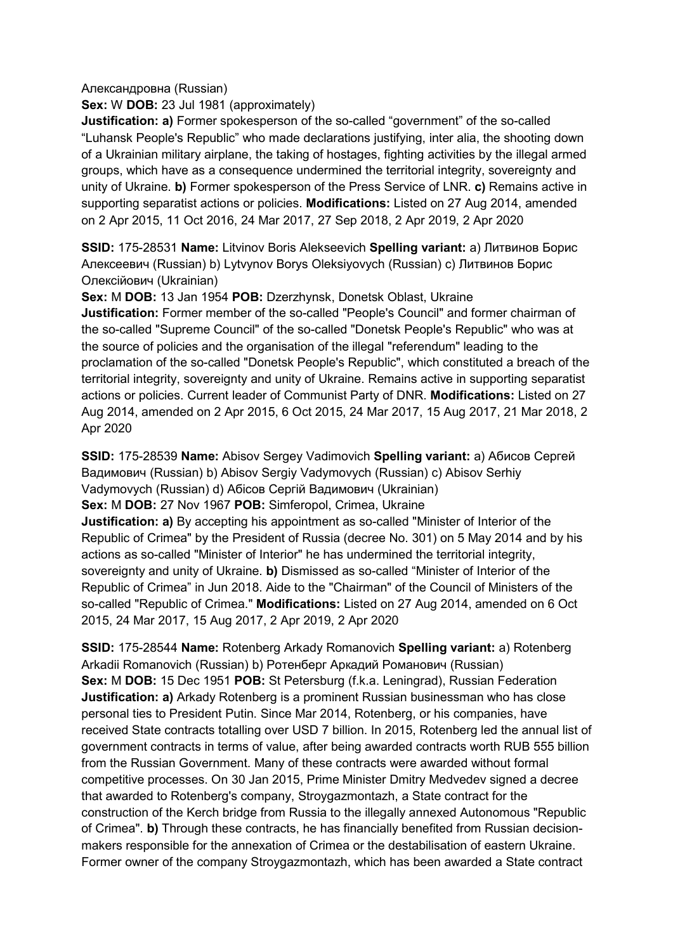Александровна (Russian)

**Sex:** W **DOB:** 23 Jul 1981 (approximately)

**Justification: a)** Former spokesperson of the so-called "government" of the so-called "Luhansk People's Republic" who made declarations justifying, inter alia, the shooting down of a Ukrainian military airplane, the taking of hostages, fighting activities by the illegal armed groups, which have as a consequence undermined the territorial integrity, sovereignty and unity of Ukraine. **b)** Former spokesperson of the Press Service of LNR. **c)** Remains active in supporting separatist actions or policies. **Modifications:** Listed on 27 Aug 2014, amended on 2 Apr 2015, 11 Oct 2016, 24 Mar 2017, 27 Sep 2018, 2 Apr 2019, 2 Apr 2020

**SSID:** 175-28531 **Name:** Litvinov Boris Alekseevich **Spelling variant:** a) Литвинов Борис Алексеевич (Russian) b) Lytvynov Borys Oleksiyovych (Russian) c) Литвинов Борис Олексійович (Ukrainian)

**Sex:** M **DOB:** 13 Jan 1954 **POB:** Dzerzhynsk, Donetsk Oblast, Ukraine **Justification:** Former member of the so-called "People's Council" and former chairman of the so-called "Supreme Council" of the so-called "Donetsk People's Republic" who was at the source of policies and the organisation of the illegal "referendum" leading to the proclamation of the so-called "Donetsk People's Republic", which constituted a breach of the territorial integrity, sovereignty and unity of Ukraine. Remains active in supporting separatist actions or policies. Current leader of Communist Party of DNR. **Modifications:** Listed on 27 Aug 2014, amended on 2 Apr 2015, 6 Oct 2015, 24 Mar 2017, 15 Aug 2017, 21 Mar 2018, 2 Apr 2020

**SSID:** 175-28539 **Name:** Abisov Sergey Vadimovich **Spelling variant:** a) Абисов Сергей Вадимович (Russian) b) Abisov Sergiy Vadymovych (Russian) c) Abisov Serhiy Vadymovych (Russian) d) Абiсов Сергій Вадимович (Ukrainian) **Sex:** M **DOB:** 27 Nov 1967 **POB:** Simferopol, Crimea, Ukraine **Justification: a)** By accepting his appointment as so-called "Minister of Interior of the Republic of Crimea" by the President of Russia (decree No. 301) on 5 May 2014 and by his actions as so-called "Minister of Interior" he has undermined the territorial integrity, sovereignty and unity of Ukraine. **b)** Dismissed as so-called "Minister of Interior of the Republic of Crimea" in Jun 2018. Aide to the "Chairman" of the Council of Ministers of the so-called "Republic of Crimea." **Modifications:** Listed on 27 Aug 2014, amended on 6 Oct 2015, 24 Mar 2017, 15 Aug 2017, 2 Apr 2019, 2 Apr 2020

**SSID:** 175-28544 **Name:** Rotenberg Arkady Romanovich **Spelling variant:** a) Rotenberg Arkadii Romanovich (Russian) b) Ротенберг Аркадий Романович (Russian) **Sex:** M **DOB:** 15 Dec 1951 **POB:** St Petersburg (f.k.a. Leningrad), Russian Federation **Justification: a)** Arkady Rotenberg is a prominent Russian businessman who has close personal ties to President Putin. Since Mar 2014, Rotenberg, or his companies, have received State contracts totalling over USD 7 billion. In 2015, Rotenberg led the annual list of government contracts in terms of value, after being awarded contracts worth RUB 555 billion from the Russian Government. Many of these contracts were awarded without formal competitive processes. On 30 Jan 2015, Prime Minister Dmitry Medvedev signed a decree that awarded to Rotenberg's company, Stroygazmontazh, a State contract for the construction of the Kerch bridge from Russia to the illegally annexed Autonomous "Republic of Crimea". **b)** Through these contracts, he has financially benefited from Russian decisionmakers responsible for the annexation of Crimea or the destabilisation of eastern Ukraine. Former owner of the company Stroygazmontazh, which has been awarded a State contract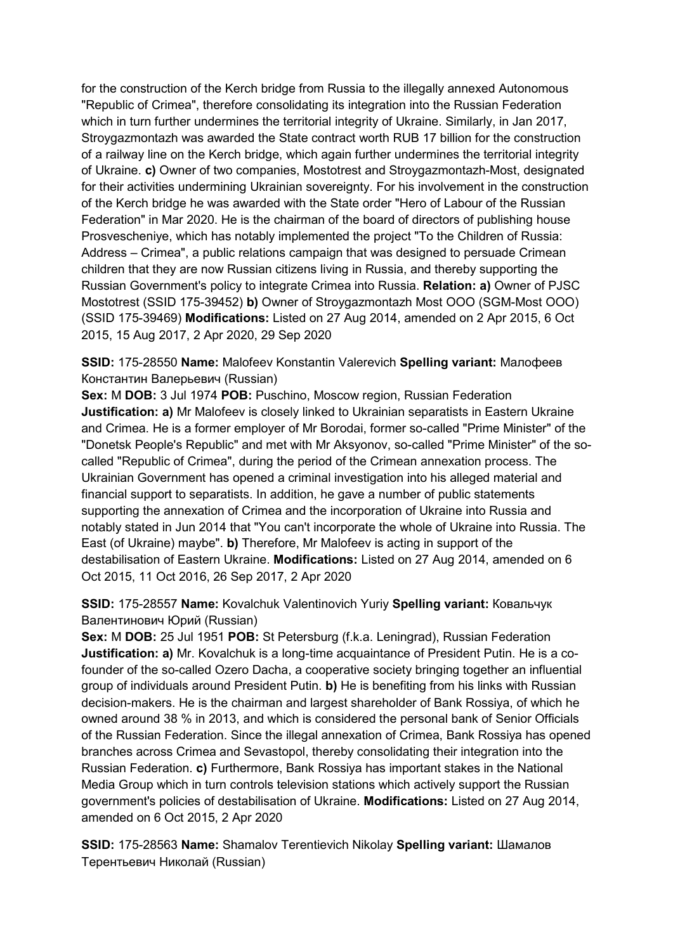for the construction of the Kerch bridge from Russia to the illegally annexed Autonomous "Republic of Crimea", therefore consolidating its integration into the Russian Federation which in turn further undermines the territorial integrity of Ukraine. Similarly, in Jan 2017, Stroygazmontazh was awarded the State contract worth RUB 17 billion for the construction of a railway line on the Kerch bridge, which again further undermines the territorial integrity of Ukraine. **c)** Owner of two companies, Mostotrest and Stroygazmontazh-Most, designated for their activities undermining Ukrainian sovereignty. For his involvement in the construction of the Kerch bridge he was awarded with the State order "Hero of Labour of the Russian Federation" in Mar 2020. He is the chairman of the board of directors of publishing house Prosvescheniye, which has notably implemented the project "To the Children of Russia: Address – Crimea", a public relations campaign that was designed to persuade Crimean children that they are now Russian citizens living in Russia, and thereby supporting the Russian Government's policy to integrate Crimea into Russia. **Relation: a)** Owner of PJSC Mostotrest (SSID 175-39452) **b)** Owner of Stroygazmontazh Most OOO (SGM-Most OOO) (SSID 175-39469) **Modifications:** Listed on 27 Aug 2014, amended on 2 Apr 2015, 6 Oct 2015, 15 Aug 2017, 2 Apr 2020, 29 Sep 2020

**SSID:** 175-28550 **Name:** Malofeev Konstantin Valerevich **Spelling variant:** Малофеев Константин Валерьевич (Russian)

**Sex:** M **DOB:** 3 Jul 1974 **POB:** Puschino, Moscow region, Russian Federation **Justification: a)** Mr Malofeev is closely linked to Ukrainian separatists in Eastern Ukraine and Crimea. He is a former employer of Mr Borodai, former so-called "Prime Minister" of the "Donetsk People's Republic" and met with Mr Aksyonov, so-called "Prime Minister" of the socalled "Republic of Crimea", during the period of the Crimean annexation process. The Ukrainian Government has opened a criminal investigation into his alleged material and financial support to separatists. In addition, he gave a number of public statements supporting the annexation of Crimea and the incorporation of Ukraine into Russia and notably stated in Jun 2014 that "You can't incorporate the whole of Ukraine into Russia. The East (of Ukraine) maybe". **b)** Therefore, Mr Malofeev is acting in support of the destabilisation of Eastern Ukraine. **Modifications:** Listed on 27 Aug 2014, amended on 6 Oct 2015, 11 Oct 2016, 26 Sep 2017, 2 Apr 2020

**SSID:** 175-28557 **Name:** Kovalchuk Valentinovich Yuriy **Spelling variant:** Ковальчук Валентинович Юрий (Russian)

**Sex:** M **DOB:** 25 Jul 1951 **POB:** St Petersburg (f.k.a. Leningrad), Russian Federation **Justification: a)** Mr. Kovalchuk is a long-time acquaintance of President Putin. He is a cofounder of the so-called Ozero Dacha, a cooperative society bringing together an influential group of individuals around President Putin. **b)** He is benefiting from his links with Russian decision-makers. He is the chairman and largest shareholder of Bank Rossiya, of which he owned around 38 % in 2013, and which is considered the personal bank of Senior Officials of the Russian Federation. Since the illegal annexation of Crimea, Bank Rossiya has opened branches across Crimea and Sevastopol, thereby consolidating their integration into the Russian Federation. **c)** Furthermore, Bank Rossiya has important stakes in the National Media Group which in turn controls television stations which actively support the Russian government's policies of destabilisation of Ukraine. **Modifications:** Listed on 27 Aug 2014, amended on 6 Oct 2015, 2 Apr 2020

**SSID:** 175-28563 **Name:** Shamalov Terentievich Nikolay **Spelling variant:** Шамалов Терентьевич Николай (Russian)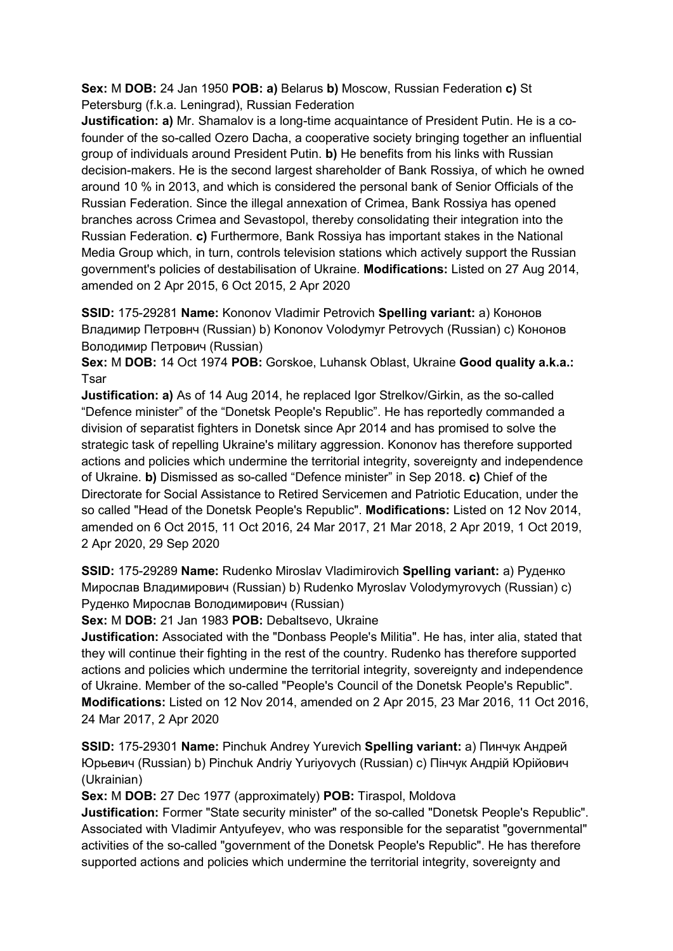**Sex:** M **DOB:** 24 Jan 1950 **POB: a)** Belarus **b)** Moscow, Russian Federation **c)** St Petersburg (f.k.a. Leningrad), Russian Federation

**Justification: a)** Mr. Shamalov is a long-time acquaintance of President Putin. He is a cofounder of the so-called Ozero Dacha, a cooperative society bringing together an influential group of individuals around President Putin. **b)** He benefits from his links with Russian decision-makers. He is the second largest shareholder of Bank Rossiya, of which he owned around 10 % in 2013, and which is considered the personal bank of Senior Officials of the Russian Federation. Since the illegal annexation of Crimea, Bank Rossiya has opened branches across Crimea and Sevastopol, thereby consolidating their integration into the Russian Federation. **c)** Furthermore, Bank Rossiya has important stakes in the National Media Group which, in turn, controls television stations which actively support the Russian government's policies of destabilisation of Ukraine. **Modifications:** Listed on 27 Aug 2014, amended on 2 Apr 2015, 6 Oct 2015, 2 Apr 2020

**SSID:** 175-29281 **Name:** Kononov Vladimir Petrovich **Spelling variant:** a) Кононов Владимир Петровнч (Russian) b) Kononov Volodymyr Petrovych (Russian) c) Кононов Володимир Петрович (Russian)

**Sex:** M **DOB:** 14 Oct 1974 **POB:** Gorskoe, Luhansk Oblast, Ukraine **Good quality a.k.a.: Tsar** 

**Justification: a)** As of 14 Aug 2014, he replaced Igor Strelkov/Girkin, as the so-called "Defence minister" of the "Donetsk People's Republic". He has reportedly commanded a division of separatist fighters in Donetsk since Apr 2014 and has promised to solve the strategic task of repelling Ukraine's military aggression. Kononov has therefore supported actions and policies which undermine the territorial integrity, sovereignty and independence of Ukraine. **b)** Dismissed as so-called "Defence minister" in Sep 2018. **c)** Chief of the Directorate for Social Assistance to Retired Servicemen and Patriotic Education, under the so called "Head of the Donetsk People's Republic". **Modifications:** Listed on 12 Nov 2014, amended on 6 Oct 2015, 11 Oct 2016, 24 Mar 2017, 21 Mar 2018, 2 Apr 2019, 1 Oct 2019, 2 Apr 2020, 29 Sep 2020

**SSID:** 175-29289 **Name:** Rudenko Miroslav Vladimirovich **Spelling variant:** a) Руденко Мирослав Владимирович (Russian) b) Rudenko Myroslav Volodymyrovych (Russian) c) Руденко Мирослав Володимирович (Russian)

**Sex:** M **DOB:** 21 Jan 1983 **POB:** Debaltsevo, Ukraine

**Justification:** Associated with the "Donbass People's Militia". He has, inter alia, stated that they will continue their fighting in the rest of the country. Rudenko has therefore supported actions and policies which undermine the territorial integrity, sovereignty and independence of Ukraine. Member of the so-called "People's Council of the Donetsk People's Republic". **Modifications:** Listed on 12 Nov 2014, amended on 2 Apr 2015, 23 Mar 2016, 11 Oct 2016, 24 Mar 2017, 2 Apr 2020

**SSID:** 175-29301 **Name:** Pinchuk Andrey Yurevich **Spelling variant:** a) Пинчук Андрей Юрьевич (Russian) b) Pinchuk Andriy Yuriyovych (Russian) c) Пiнчук Андрій Юрійович (Ukrainian)

**Sex:** M **DOB:** 27 Dec 1977 (approximately) **POB:** Tiraspol, Moldova

**Justification:** Former "State security minister" of the so-called "Donetsk People's Republic". Associated with Vladimir Antyufeyev, who was responsible for the separatist "governmental" activities of the so-called "government of the Donetsk People's Republic". He has therefore supported actions and policies which undermine the territorial integrity, sovereignty and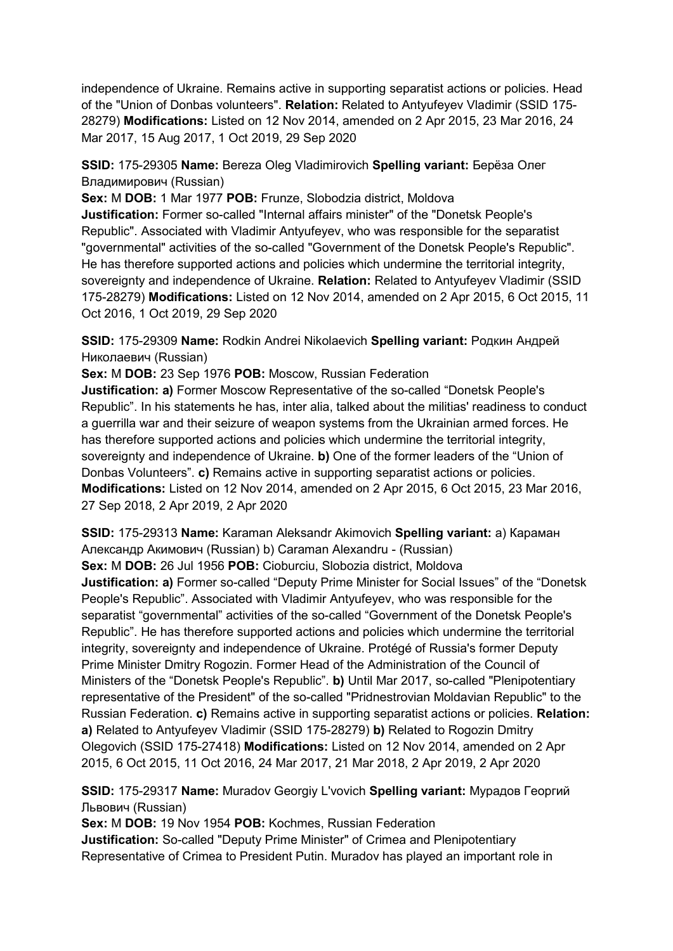independence of Ukraine. Remains active in supporting separatist actions or policies. Head of the "Union of Donbas volunteers". **Relation:** Related to Antyufeyev Vladimir (SSID 175- 28279) **Modifications:** Listed on 12 Nov 2014, amended on 2 Apr 2015, 23 Mar 2016, 24 Mar 2017, 15 Aug 2017, 1 Oct 2019, 29 Sep 2020

**SSID:** 175-29305 **Name:** Bereza Oleg Vladimirovich **Spelling variant:** Берëза Олег Владимирович (Russian)

**Sex:** M **DOB:** 1 Mar 1977 **POB:** Frunze, Slobodzia district, Moldova

**Justification:** Former so-called "Internal affairs minister" of the "Donetsk People's Republic". Associated with Vladimir Antyufeyev, who was responsible for the separatist "governmental" activities of the so-called "Government of the Donetsk People's Republic". He has therefore supported actions and policies which undermine the territorial integrity, sovereignty and independence of Ukraine. **Relation:** Related to Antyufeyev Vladimir (SSID 175-28279) **Modifications:** Listed on 12 Nov 2014, amended on 2 Apr 2015, 6 Oct 2015, 11 Oct 2016, 1 Oct 2019, 29 Sep 2020

**SSID:** 175-29309 **Name:** Rodkin Andrei Nikolaevich **Spelling variant:** Родкин Андрей Николаевич (Russian)

**Sex:** M **DOB:** 23 Sep 1976 **POB:** Moscow, Russian Federation

**Justification: a)** Former Moscow Representative of the so-called "Donetsk People's Republic". In his statements he has, inter alia, talked about the militias' readiness to conduct a guerrilla war and their seizure of weapon systems from the Ukrainian armed forces. He has therefore supported actions and policies which undermine the territorial integrity, sovereignty and independence of Ukraine. **b)** One of the former leaders of the "Union of Donbas Volunteers". **c)** Remains active in supporting separatist actions or policies. **Modifications:** Listed on 12 Nov 2014, amended on 2 Apr 2015, 6 Oct 2015, 23 Mar 2016, 27 Sep 2018, 2 Apr 2019, 2 Apr 2020

**SSID:** 175-29313 **Name:** Karaman Aleksandr Akimovich **Spelling variant:** a) Караман Александр Акимович (Russian) b) Caraman Alexandru - (Russian)

**Sex:** M **DOB:** 26 Jul 1956 **POB:** Cioburciu, Slobozia district, Moldova

**Justification: a)** Former so-called "Deputy Prime Minister for Social Issues" of the "Donetsk People's Republic". Associated with Vladimir Antyufeyev, who was responsible for the separatist "governmental" activities of the so-called "Government of the Donetsk People's Republic". He has therefore supported actions and policies which undermine the territorial integrity, sovereignty and independence of Ukraine. Protégé of Russia's former Deputy Prime Minister Dmitry Rogozin. Former Head of the Administration of the Council of Ministers of the "Donetsk People's Republic". **b)** Until Mar 2017, so-called "Plenipotentiary representative of the President" of the so-called "Pridnestrovian Moldavian Republic" to the Russian Federation. **c)** Remains active in supporting separatist actions or policies. **Relation: a)** Related to Antyufeyev Vladimir (SSID 175-28279) **b)** Related to Rogozin Dmitry Olegovich (SSID 175-27418) **Modifications:** Listed on 12 Nov 2014, amended on 2 Apr 2015, 6 Oct 2015, 11 Oct 2016, 24 Mar 2017, 21 Mar 2018, 2 Apr 2019, 2 Apr 2020

**SSID:** 175-29317 **Name:** Muradov Georgiy L'vovich **Spelling variant:** Мурадов Георгий Львович (Russian)

**Sex:** M **DOB:** 19 Nov 1954 **POB:** Kochmes, Russian Federation

**Justification:** So-called "Deputy Prime Minister" of Crimea and Plenipotentiary Representative of Crimea to President Putin. Muradov has played an important role in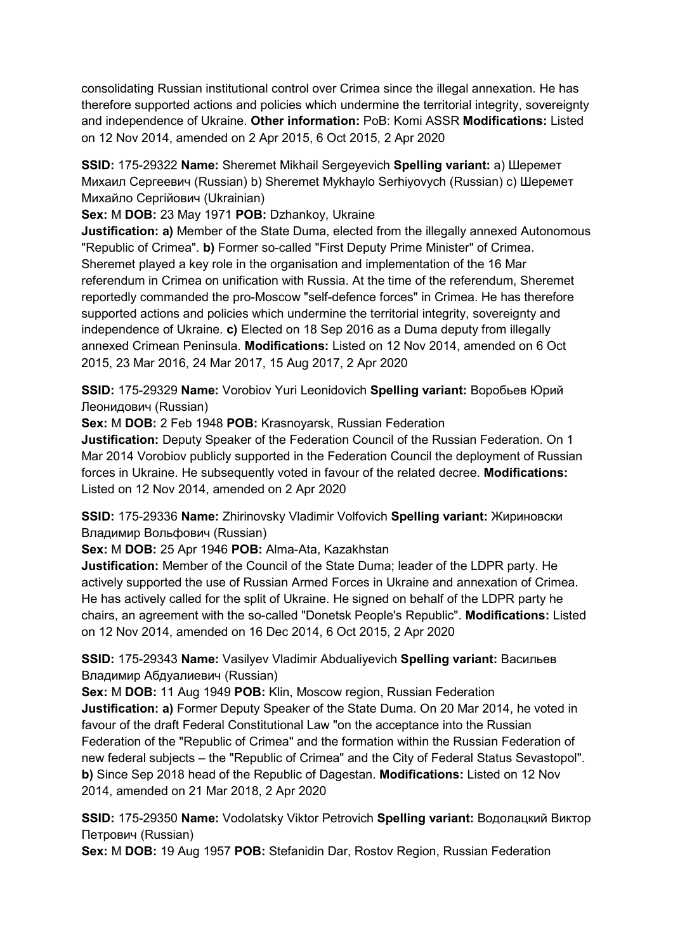consolidating Russian institutional control over Crimea since the illegal annexation. He has therefore supported actions and policies which undermine the territorial integrity, sovereignty and independence of Ukraine. **Other information:** PoB: Komi ASSR **Modifications:** Listed on 12 Nov 2014, amended on 2 Apr 2015, 6 Oct 2015, 2 Apr 2020

**SSID:** 175-29322 **Name:** Sheremet Mikhail Sergeyevich **Spelling variant:** a) Шеремет Михаил Сергеевич (Russian) b) Sheremet Mykhaylo Serhiyovych (Russian) c) Шеремет Михайло Сергійович (Ukrainian)

**Sex:** M **DOB:** 23 May 1971 **POB:** Dzhankoy, Ukraine

**Justification: a)** Member of the State Duma, elected from the illegally annexed Autonomous "Republic of Crimea". **b)** Former so-called "First Deputy Prime Minister" of Crimea. Sheremet played a key role in the organisation and implementation of the 16 Mar referendum in Crimea on unification with Russia. At the time of the referendum, Sheremet reportedly commanded the pro-Moscow "self-defence forces" in Crimea. He has therefore supported actions and policies which undermine the territorial integrity, sovereignty and independence of Ukraine. **c)** Elected on 18 Sep 2016 as a Duma deputy from illegally annexed Crimean Peninsula. **Modifications:** Listed on 12 Nov 2014, amended on 6 Oct 2015, 23 Mar 2016, 24 Mar 2017, 15 Aug 2017, 2 Apr 2020

**SSID:** 175-29329 **Name:** Vorobiov Yuri Leonidovich **Spelling variant:** Воробьев Юрий Леонидович (Russian)

**Sex:** M **DOB:** 2 Feb 1948 **POB:** Krasnoyarsk, Russian Federation

**Justification:** Deputy Speaker of the Federation Council of the Russian Federation. On 1 Mar 2014 Vorobiov publicly supported in the Federation Council the deployment of Russian forces in Ukraine. He subsequently voted in favour of the related decree. **Modifications:**  Listed on 12 Nov 2014, amended on 2 Apr 2020

**SSID:** 175-29336 **Name:** Zhirinovsky Vladimir Volfovich **Spelling variant:** Жириновски Владимир Вольфович (Russian)

**Sex:** M **DOB:** 25 Apr 1946 **POB:** Alma-Ata, Kazakhstan

**Justification:** Member of the Council of the State Duma; leader of the LDPR party. He actively supported the use of Russian Armed Forces in Ukraine and annexation of Crimea. He has actively called for the split of Ukraine. He signed on behalf of the LDPR party he chairs, an agreement with the so-called "Donetsk People's Republic". **Modifications:** Listed on 12 Nov 2014, amended on 16 Dec 2014, 6 Oct 2015, 2 Apr 2020

**SSID:** 175-29343 **Name:** Vasilyev Vladimir Abdualiyevich **Spelling variant:** Васильев Владимир Абдуалиевич (Russian)

**Sex:** M **DOB:** 11 Aug 1949 **POB:** Klin, Moscow region, Russian Federation **Justification: a)** Former Deputy Speaker of the State Duma. On 20 Mar 2014, he voted in favour of the draft Federal Constitutional Law "on the acceptance into the Russian Federation of the "Republic of Crimea" and the formation within the Russian Federation of new federal subjects – the "Republic of Crimea" and the City of Federal Status Sevastopol". **b)** Since Sep 2018 head of the Republic of Dagestan. **Modifications:** Listed on 12 Nov 2014, amended on 21 Mar 2018, 2 Apr 2020

**SSID:** 175-29350 **Name:** Vodolatsky Viktor Petrovich **Spelling variant:** Водолацкий Виктор Петрович (Russian)

**Sex:** M **DOB:** 19 Aug 1957 **POB:** Stefanidin Dar, Rostov Region, Russian Federation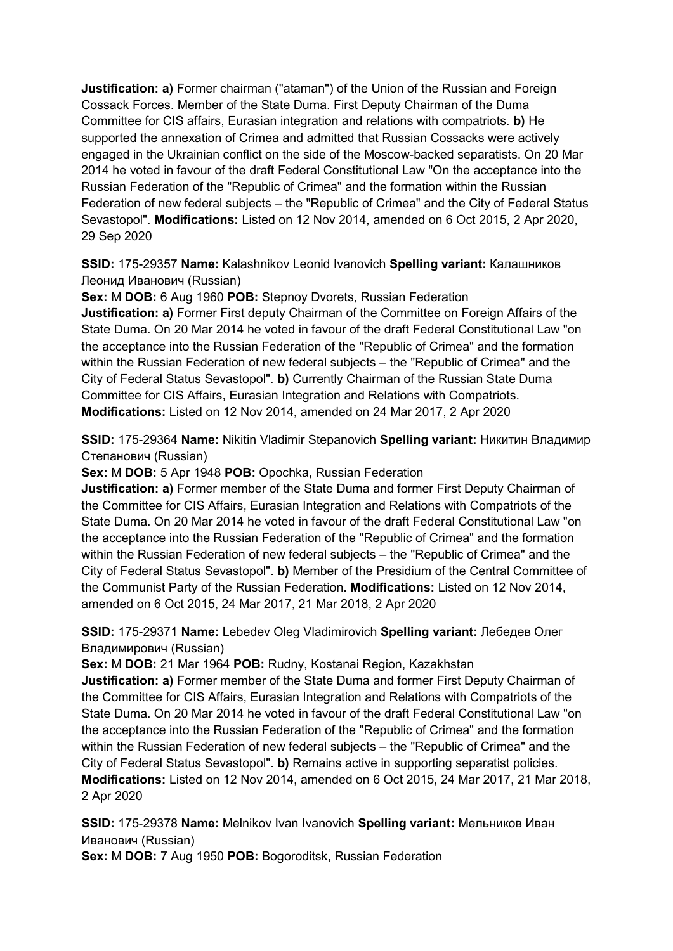**Justification: a)** Former chairman ("ataman") of the Union of the Russian and Foreign Cossack Forces. Member of the State Duma. First Deputy Chairman of the Duma Committee for CIS affairs, Eurasian integration and relations with compatriots. **b)** He supported the annexation of Crimea and admitted that Russian Cossacks were actively engaged in the Ukrainian conflict on the side of the Moscow-backed separatists. On 20 Mar 2014 he voted in favour of the draft Federal Constitutional Law "On the acceptance into the Russian Federation of the "Republic of Crimea" and the formation within the Russian Federation of new federal subjects – the "Republic of Crimea" and the City of Federal Status Sevastopol". **Modifications:** Listed on 12 Nov 2014, amended on 6 Oct 2015, 2 Apr 2020, 29 Sep 2020

**SSID:** 175-29357 **Name:** Kalashnikov Leonid Ivanovich **Spelling variant:** Калашников Леонид Иванович (Russian)

**Sex:** M **DOB:** 6 Aug 1960 **POB:** Stepnoy Dvorets, Russian Federation **Justification: a)** Former First deputy Chairman of the Committee on Foreign Affairs of the State Duma. On 20 Mar 2014 he voted in favour of the draft Federal Constitutional Law "on the acceptance into the Russian Federation of the "Republic of Crimea" and the formation within the Russian Federation of new federal subjects – the "Republic of Crimea" and the City of Federal Status Sevastopol". **b)** Currently Chairman of the Russian State Duma Committee for CIS Affairs, Eurasian Integration and Relations with Compatriots. **Modifications:** Listed on 12 Nov 2014, amended on 24 Mar 2017, 2 Apr 2020

**SSID:** 175-29364 **Name:** Nikitin Vladimir Stepanovich **Spelling variant:** Никитин Владимир Степанович (Russian)

**Sex:** M **DOB:** 5 Apr 1948 **POB:** Opochka, Russian Federation

**Justification: a)** Former member of the State Duma and former First Deputy Chairman of the Committee for CIS Affairs, Eurasian Integration and Relations with Compatriots of the State Duma. On 20 Mar 2014 he voted in favour of the draft Federal Constitutional Law "on the acceptance into the Russian Federation of the "Republic of Crimea" and the formation within the Russian Federation of new federal subjects – the "Republic of Crimea" and the City of Federal Status Sevastopol". **b)** Member of the Presidium of the Central Committee of the Communist Party of the Russian Federation. **Modifications:** Listed on 12 Nov 2014, amended on 6 Oct 2015, 24 Mar 2017, 21 Mar 2018, 2 Apr 2020

**SSID:** 175-29371 **Name:** Lebedev Oleg Vladimirovich **Spelling variant:** Лебедев Олег Владимирович (Russian)

**Sex:** M **DOB:** 21 Mar 1964 **POB:** Rudny, Kostanai Region, Kazakhstan

**Justification: a)** Former member of the State Duma and former First Deputy Chairman of the Committee for CIS Affairs, Eurasian Integration and Relations with Compatriots of the State Duma. On 20 Mar 2014 he voted in favour of the draft Federal Constitutional Law "on the acceptance into the Russian Federation of the "Republic of Crimea" and the formation within the Russian Federation of new federal subjects – the "Republic of Crimea" and the City of Federal Status Sevastopol". **b)** Remains active in supporting separatist policies. **Modifications:** Listed on 12 Nov 2014, amended on 6 Oct 2015, 24 Mar 2017, 21 Mar 2018, 2 Apr 2020

**SSID:** 175-29378 **Name:** Melnikov Ivan Ivanovich **Spelling variant:** Мельников Иван Иванович (Russian)

**Sex:** M **DOB:** 7 Aug 1950 **POB:** Bogoroditsk, Russian Federation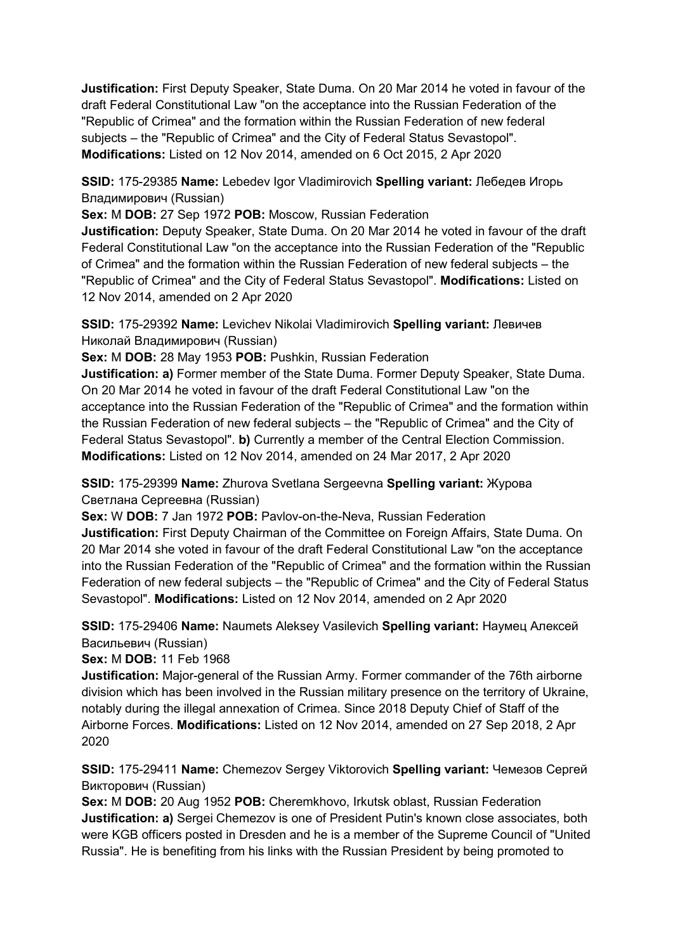**Justification:** First Deputy Speaker, State Duma. On 20 Mar 2014 he voted in favour of the draft Federal Constitutional Law "on the acceptance into the Russian Federation of the "Republic of Crimea" and the formation within the Russian Federation of new federal subjects – the "Republic of Crimea" and the City of Federal Status Sevastopol". **Modifications:** Listed on 12 Nov 2014, amended on 6 Oct 2015, 2 Apr 2020

**SSID:** 175-29385 **Name:** Lebedev Igor Vladimirovich **Spelling variant:** Лебедев Игорь Владимирович (Russian)

**Sex:** M **DOB:** 27 Sep 1972 **POB:** Moscow, Russian Federation

**Justification:** Deputy Speaker, State Duma. On 20 Mar 2014 he voted in favour of the draft Federal Constitutional Law "on the acceptance into the Russian Federation of the "Republic of Crimea" and the formation within the Russian Federation of new federal subjects – the "Republic of Crimea" and the City of Federal Status Sevastopol". **Modifications:** Listed on 12 Nov 2014, amended on 2 Apr 2020

**SSID:** 175-29392 **Name:** Levichev Nikolai Vladimirovich **Spelling variant:** Левичев Николай Владимирович (Russian)

**Sex:** M **DOB:** 28 May 1953 **POB:** Pushkin, Russian Federation

**Justification: a)** Former member of the State Duma. Former Deputy Speaker, State Duma. On 20 Mar 2014 he voted in favour of the draft Federal Constitutional Law "on the acceptance into the Russian Federation of the "Republic of Crimea" and the formation within the Russian Federation of new federal subjects – the "Republic of Crimea" and the City of Federal Status Sevastopol". **b)** Currently a member of the Central Election Commission. **Modifications:** Listed on 12 Nov 2014, amended on 24 Mar 2017, 2 Apr 2020

**SSID:** 175-29399 **Name:** Zhurova Svetlana Sergeevna **Spelling variant:** Журова Светлана Сергеевна (Russian)

**Sex:** W **DOB:** 7 Jan 1972 **POB:** Pavlov-on-the-Neva, Russian Federation

**Justification:** First Deputy Chairman of the Committee on Foreign Affairs, State Duma. On 20 Mar 2014 she voted in favour of the draft Federal Constitutional Law "on the acceptance into the Russian Federation of the "Republic of Crimea" and the formation within the Russian Federation of new federal subjects – the "Republic of Crimea" and the City of Federal Status Sevastopol". **Modifications:** Listed on 12 Nov 2014, amended on 2 Apr 2020

**SSID:** 175-29406 **Name:** Naumets Aleksey Vasilevich **Spelling variant:** Hаумец Алексей Васильевич (Russian)

**Sex:** M **DOB:** 11 Feb 1968

**Justification:** Major-general of the Russian Army. Former commander of the 76th airborne division which has been involved in the Russian military presence on the territory of Ukraine, notably during the illegal annexation of Crimea. Since 2018 Deputy Chief of Staff of the Airborne Forces. **Modifications:** Listed on 12 Nov 2014, amended on 27 Sep 2018, 2 Apr 2020

**SSID:** 175-29411 **Name:** Chemezov Sergey Viktorovich **Spelling variant:** Чемезов Сергей Викторович (Russian)

**Sex:** M **DOB:** 20 Aug 1952 **POB:** Cheremkhovo, Irkutsk oblast, Russian Federation **Justification: a)** Sergei Chemezov is one of President Putin's known close associates, both were KGB officers posted in Dresden and he is a member of the Supreme Council of "United Russia". He is benefiting from his links with the Russian President by being promoted to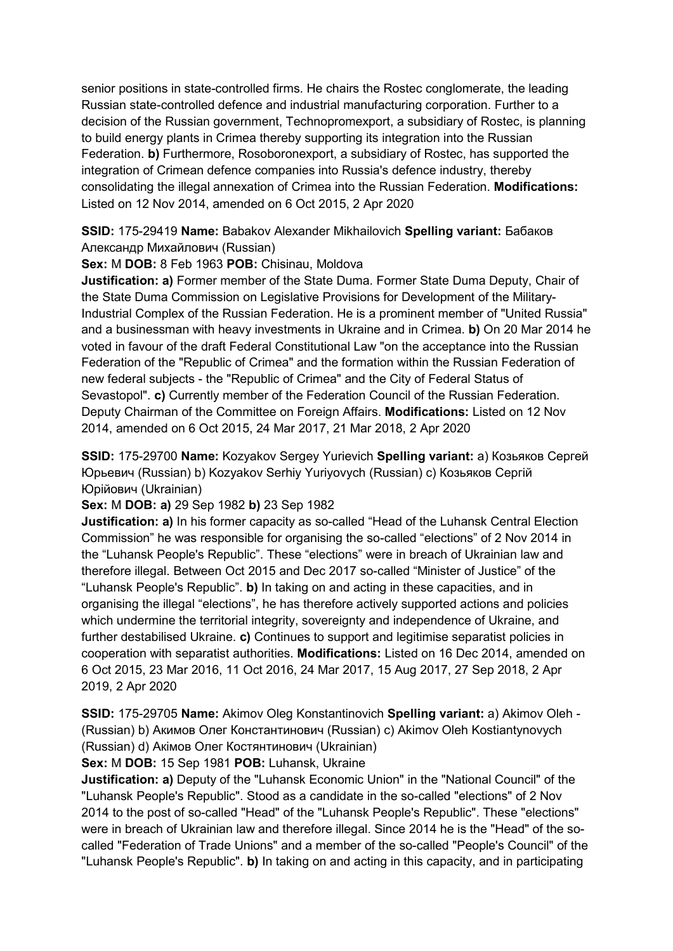senior positions in state-controlled firms. He chairs the Rostec conglomerate, the leading Russian state-controlled defence and industrial manufacturing corporation. Further to a decision of the Russian government, Technopromexport, a subsidiary of Rostec, is planning to build energy plants in Crimea thereby supporting its integration into the Russian Federation. **b)** Furthermore, Rosoboronexport, a subsidiary of Rostec, has supported the integration of Crimean defence companies into Russia's defence industry, thereby consolidating the illegal annexation of Crimea into the Russian Federation. **Modifications:**  Listed on 12 Nov 2014, amended on 6 Oct 2015, 2 Apr 2020

**SSID:** 175-29419 **Name:** Babakov Alexander Mikhailovich **Spelling variant:** Бабаков Aлександр Михайлович (Russian)

**Sex:** M **DOB:** 8 Feb 1963 **POB:** Chisinau, Moldova

**Justification: a)** Former member of the State Duma. Former State Duma Deputy, Chair of the State Duma Commission on Legislative Provisions for Development of the Military-Industrial Complex of the Russian Federation. He is a prominent member of "United Russia" and a businessman with heavy investments in Ukraine and in Crimea. **b)** On 20 Mar 2014 he voted in favour of the draft Federal Constitutional Law "on the acceptance into the Russian Federation of the "Republic of Crimea" and the formation within the Russian Federation of new federal subjects - the "Republic of Crimea" and the City of Federal Status of Sevastopol". **c)** Currently member of the Federation Council of the Russian Federation. Deputy Chairman of the Committee on Foreign Affairs. **Modifications:** Listed on 12 Nov 2014, amended on 6 Oct 2015, 24 Mar 2017, 21 Mar 2018, 2 Apr 2020

**SSID:** 175-29700 **Name:** Kozyakov Sergey Yurievich **Spelling variant:** a) Козьяков Сергей Юрьевич (Russian) b) Kozyakov Serhiy Yuriyovych (Russian) c) Козьяков Сергій Юрійович (Ukrainian)

**Sex:** M **DOB: a)** 29 Sep 1982 **b)** 23 Sep 1982

**Justification: a)** In his former capacity as so-called "Head of the Luhansk Central Election Commission" he was responsible for organising the so-called "elections" of 2 Nov 2014 in the "Luhansk People's Republic". These "elections" were in breach of Ukrainian law and therefore illegal. Between Oct 2015 and Dec 2017 so-called "Minister of Justice" of the "Luhansk People's Republic". **b)** In taking on and acting in these capacities, and in organising the illegal "elections", he has therefore actively supported actions and policies which undermine the territorial integrity, sovereignty and independence of Ukraine, and further destabilised Ukraine. **c)** Continues to support and legitimise separatist policies in cooperation with separatist authorities. **Modifications:** Listed on 16 Dec 2014, amended on 6 Oct 2015, 23 Mar 2016, 11 Oct 2016, 24 Mar 2017, 15 Aug 2017, 27 Sep 2018, 2 Apr 2019, 2 Apr 2020

**SSID:** 175-29705 **Name:** Akimov Oleg Konstantinovich **Spelling variant:** a) Akimov Oleh - (Russian) b) Акимов Олег Константинович (Russian) c) Akimov Oleh Kostiantynovych (Russian) d) Акiмов Олег Костянтинович (Ukrainian)

**Sex:** M **DOB:** 15 Sep 1981 **POB:** Luhansk, Ukraine

**Justification: a)** Deputy of the "Luhansk Economic Union" in the "National Council" of the "Luhansk People's Republic". Stood as a candidate in the so-called "elections" of 2 Nov 2014 to the post of so-called "Head" of the "Luhansk People's Republic". These "elections" were in breach of Ukrainian law and therefore illegal. Since 2014 he is the "Head" of the socalled "Federation of Trade Unions" and a member of the so-called "People's Council" of the "Luhansk People's Republic". **b)** In taking on and acting in this capacity, and in participating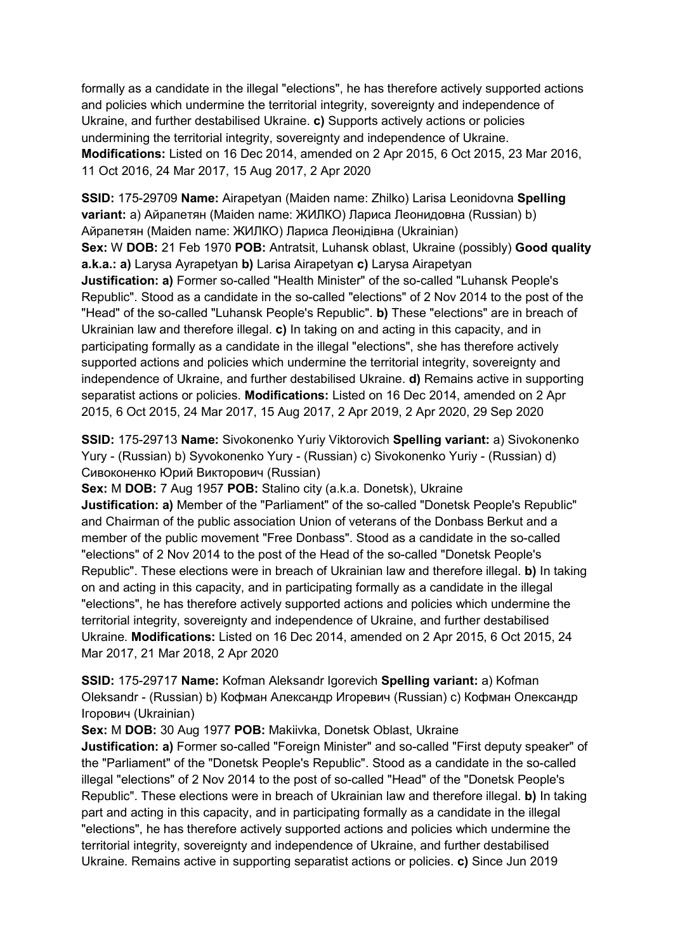formally as a candidate in the illegal "elections", he has therefore actively supported actions and policies which undermine the territorial integrity, sovereignty and independence of Ukraine, and further destabilised Ukraine. **c)** Supports actively actions or policies undermining the territorial integrity, sovereignty and independence of Ukraine. **Modifications:** Listed on 16 Dec 2014, amended on 2 Apr 2015, 6 Oct 2015, 23 Mar 2016, 11 Oct 2016, 24 Mar 2017, 15 Aug 2017, 2 Apr 2020

**SSID:** 175-29709 **Name:** Airapetyan (Maiden name: Zhilko) Larisa Leonidovna **Spelling variant:** a) Айрапетян (Maiden name: ЖИЛКО) Лариса Леонидовна (Russian) b) Айрапетян (Maiden name: ЖИЛКО) Лариса Леонідівна (Ukrainian) **Sex:** W **DOB:** 21 Feb 1970 **POB:** Antratsit, Luhansk oblast, Ukraine (possibly) **Good quality a.k.a.: a)** Larysa Ayrapetyan **b)** Larisa Airapetyan **c)** Larysa Airapetyan **Justification: a)** Former so-called "Health Minister" of the so-called "Luhansk People's Republic". Stood as a candidate in the so-called "elections" of 2 Nov 2014 to the post of the "Head" of the so-called "Luhansk People's Republic". **b)** These "elections" are in breach of Ukrainian law and therefore illegal. **c)** In taking on and acting in this capacity, and in participating formally as a candidate in the illegal "elections", she has therefore actively supported actions and policies which undermine the territorial integrity, sovereignty and independence of Ukraine, and further destabilised Ukraine. **d)** Remains active in supporting separatist actions or policies. **Modifications:** Listed on 16 Dec 2014, amended on 2 Apr 2015, 6 Oct 2015, 24 Mar 2017, 15 Aug 2017, 2 Apr 2019, 2 Apr 2020, 29 Sep 2020

**SSID:** 175-29713 **Name:** Sivokonenko Yuriy Viktorovich **Spelling variant:** a) Sivokonenko Yury - (Russian) b) Syvokonenko Yury - (Russian) c) Sivokonenko Yuriy - (Russian) d) Сивоконенко Юрий Викторович (Russian)

**Sex:** M **DOB:** 7 Aug 1957 **POB:** Stalino city (a.k.a. Donetsk), Ukraine **Justification: a)** Member of the "Parliament" of the so-called "Donetsk People's Republic" and Chairman of the public association Union of veterans of the Donbass Berkut and a member of the public movement "Free Donbass". Stood as a candidate in the so-called "elections" of 2 Nov 2014 to the post of the Head of the so-called "Donetsk People's Republic". These elections were in breach of Ukrainian law and therefore illegal. **b)** In taking on and acting in this capacity, and in participating formally as a candidate in the illegal "elections", he has therefore actively supported actions and policies which undermine the territorial integrity, sovereignty and independence of Ukraine, and further destabilised Ukraine. **Modifications:** Listed on 16 Dec 2014, amended on 2 Apr 2015, 6 Oct 2015, 24 Mar 2017, 21 Mar 2018, 2 Apr 2020

**SSID:** 175-29717 **Name:** Kofman Aleksandr Igorevich **Spelling variant:** a) Kofman Oleksandr - (Russian) b) Кофман Александр Игоревич (Russian) c) Кофман Олександр Iгорович (Ukrainian)

**Sex:** M **DOB:** 30 Aug 1977 **POB:** Makiivka, Donetsk Oblast, Ukraine

**Justification: a)** Former so-called "Foreign Minister" and so-called "First deputy speaker" of the "Parliament" of the "Donetsk People's Republic". Stood as a candidate in the so-called illegal "elections" of 2 Nov 2014 to the post of so-called "Head" of the "Donetsk People's Republic". These elections were in breach of Ukrainian law and therefore illegal. **b)** In taking part and acting in this capacity, and in participating formally as a candidate in the illegal "elections", he has therefore actively supported actions and policies which undermine the territorial integrity, sovereignty and independence of Ukraine, and further destabilised Ukraine. Remains active in supporting separatist actions or policies. **c)** Since Jun 2019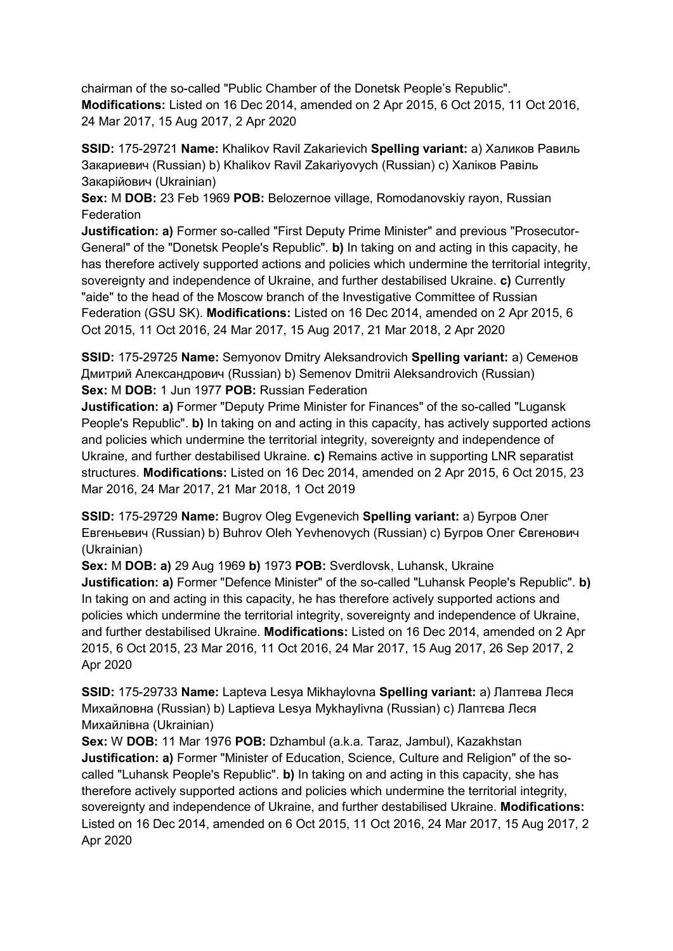chairman of the so-called "Public Chamber of the Donetsk People's Republic". **Modifications:** Listed on 16 Dec 2014, amended on 2 Apr 2015, 6 Oct 2015, 11 Oct 2016, 24 Mar 2017, 15 Aug 2017, 2 Apr 2020

**SSID:** 175-29721 **Name:** Khalikov Ravil Zakarievich **Spelling variant:** a) Халиков Равиль Закариевич (Russian) b) Khalikov Ravil Zakariyovych (Russian) c) Халiков Равіль Закарійович (Ukrainian)

**Sex:** M **DOB:** 23 Feb 1969 **POB:** Belozernoe village, Romodanovskiy rayon, Russian Federation

**Justification: a)** Former so-called "First Deputy Prime Minister" and previous "Prosecutor-General" of the "Donetsk People's Republic". **b)** In taking on and acting in this capacity, he has therefore actively supported actions and policies which undermine the territorial integrity, sovereignty and independence of Ukraine, and further destabilised Ukraine. **c)** Currently "aide" to the head of the Moscow branch of the Investigative Committee of Russian Federation (GSU SK). **Modifications:** Listed on 16 Dec 2014, amended on 2 Apr 2015, 6 Oct 2015, 11 Oct 2016, 24 Mar 2017, 15 Aug 2017, 21 Mar 2018, 2 Apr 2020

**SSID:** 175-29725 **Name:** Semyonov Dmitry Aleksandrovich **Spelling variant:** a) Семенов Дмитрий Александрович (Russian) b) Semenov Dmitrii Aleksandrovich (Russian) **Sex:** M **DOB:** 1 Jun 1977 **POB:** Russian Federation

**Justification: a)** Former "Deputy Prime Minister for Finances" of the so-called "Lugansk People's Republic". **b)** In taking on and acting in this capacity, has actively supported actions and policies which undermine the territorial integrity, sovereignty and independence of Ukraine, and further destabilised Ukraine. **c)** Remains active in supporting LNR separatist structures. **Modifications:** Listed on 16 Dec 2014, amended on 2 Apr 2015, 6 Oct 2015, 23 Mar 2016, 24 Mar 2017, 21 Mar 2018, 1 Oct 2019

**SSID:** 175-29729 **Name:** Bugrov Oleg Evgenevich **Spelling variant:** a) Бугров Олег Евгеньевич (Russian) b) Buhrov Oleh Yevhenovych (Russian) c) Бугров Олег Євгенович (Ukrainian)

**Sex:** M **DOB: a)** 29 Aug 1969 **b)** 1973 **POB:** Sverdlovsk, Luhansk, Ukraine **Justification: a)** Former "Defence Minister" of the so-called "Luhansk People's Republic". **b)**  In taking on and acting in this capacity, he has therefore actively supported actions and policies which undermine the territorial integrity, sovereignty and independence of Ukraine, and further destabilised Ukraine. **Modifications:** Listed on 16 Dec 2014, amended on 2 Apr 2015, 6 Oct 2015, 23 Mar 2016, 11 Oct 2016, 24 Mar 2017, 15 Aug 2017, 26 Sep 2017, 2 Apr 2020

**SSID:** 175-29733 **Name:** Lapteva Lesya Mikhaylovna **Spelling variant:** a) Лаптева Леся Михайловна (Russian) b) Laptieva Lesya Mykhaylivna (Russian) c) Лаптєва Леся Михайлівна (Ukrainian)

**Sex:** W **DOB:** 11 Mar 1976 **POB:** Dzhambul (a.k.a. Taraz, Jambul), Kazakhstan **Justification: a)** Former "Minister of Education, Science, Culture and Religion" of the socalled "Luhansk People's Republic". **b)** In taking on and acting in this capacity, she has therefore actively supported actions and policies which undermine the territorial integrity, sovereignty and independence of Ukraine, and further destabilised Ukraine. **Modifications:**  Listed on 16 Dec 2014, amended on 6 Oct 2015, 11 Oct 2016, 24 Mar 2017, 15 Aug 2017, 2 Apr 2020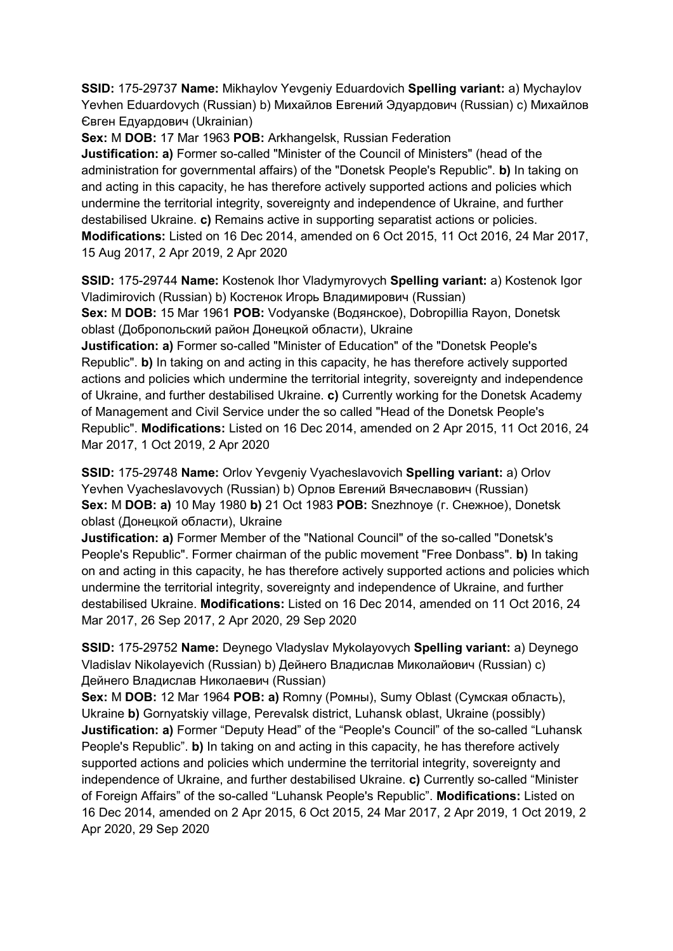**SSID:** 175-29737 **Name:** Mikhaylov Yevgeniy Eduardovich **Spelling variant:** a) Mychaylov Yevhen Eduardovych (Russian) b) Михайлов Евгений Эдуардович (Russian) c) Михайлов Євген Едуардович (Ukrainian)

**Sex:** M **DOB:** 17 Mar 1963 **POB:** Arkhangelsk, Russian Federation **Justification: a)** Former so-called "Minister of the Council of Ministers" (head of the administration for governmental affairs) of the "Donetsk People's Republic". **b)** In taking on and acting in this capacity, he has therefore actively supported actions and policies which undermine the territorial integrity, sovereignty and independence of Ukraine, and further destabilised Ukraine. **c)** Remains active in supporting separatist actions or policies. **Modifications:** Listed on 16 Dec 2014, amended on 6 Oct 2015, 11 Oct 2016, 24 Mar 2017, 15 Aug 2017, 2 Apr 2019, 2 Apr 2020

**SSID:** 175-29744 **Name:** Kostenok Ihor Vladymyrovych **Spelling variant:** a) Kostenok Igor Vladimirovich (Russian) b) Костенок Игорь Владимирович (Russian) **Sex:** M **DOB:** 15 Mar 1961 **POB:** Vodyanske (Водянское), Dobropillia Rayon, Donetsk

oblast (Добропольский район Донецкой области), Ukraine

**Justification: a)** Former so-called "Minister of Education" of the "Donetsk People's Republic". **b)** In taking on and acting in this capacity, he has therefore actively supported actions and policies which undermine the territorial integrity, sovereignty and independence of Ukraine, and further destabilised Ukraine. **c)** Currently working for the Donetsk Academy of Management and Civil Service under the so called "Head of the Donetsk People's Republic". **Modifications:** Listed on 16 Dec 2014, amended on 2 Apr 2015, 11 Oct 2016, 24 Mar 2017, 1 Oct 2019, 2 Apr 2020

**SSID:** 175-29748 **Name:** Orlov Yevgeniy Vyacheslavovich **Spelling variant:** a) Orlov Yevhen Vyacheslavovych (Russian) b) Орлов Евгений Вячеславович (Russian) **Sex:** M **DOB: a)** 10 May 1980 **b)** 21 Oct 1983 **POB:** Snezhnoye (г. Снежное), Donetsk oblast (Донецкой области), Ukraine

**Justification: a)** Former Member of the "National Council" of the so-called "Donetsk's People's Republic". Former chairman of the public movement "Free Donbass". **b)** In taking on and acting in this capacity, he has therefore actively supported actions and policies which undermine the territorial integrity, sovereignty and independence of Ukraine, and further destabilised Ukraine. **Modifications:** Listed on 16 Dec 2014, amended on 11 Oct 2016, 24 Mar 2017, 26 Sep 2017, 2 Apr 2020, 29 Sep 2020

**SSID:** 175-29752 **Name:** Deynego Vladyslav Mykolayovych **Spelling variant:** a) Deynego Vladislav Nikolayevich (Russian) b) Дейнего Владислав Миколайович (Russian) c) Дейнего Владислав Николаевич (Russian)

**Sex:** M **DOB:** 12 Mar 1964 **POB: a)** Romny (Ромны), Sumy Oblast (Сумская область), Ukraine **b)** Gornyatskiy village, Perevalsk district, Luhansk oblast, Ukraine (possibly) **Justification: a)** Former "Deputy Head" of the "People's Council" of the so-called "Luhansk People's Republic". **b)** In taking on and acting in this capacity, he has therefore actively supported actions and policies which undermine the territorial integrity, sovereignty and independence of Ukraine, and further destabilised Ukraine. **c)** Currently so-called "Minister of Foreign Affairs" of the so-called "Luhansk People's Republic". **Modifications:** Listed on 16 Dec 2014, amended on 2 Apr 2015, 6 Oct 2015, 24 Mar 2017, 2 Apr 2019, 1 Oct 2019, 2 Apr 2020, 29 Sep 2020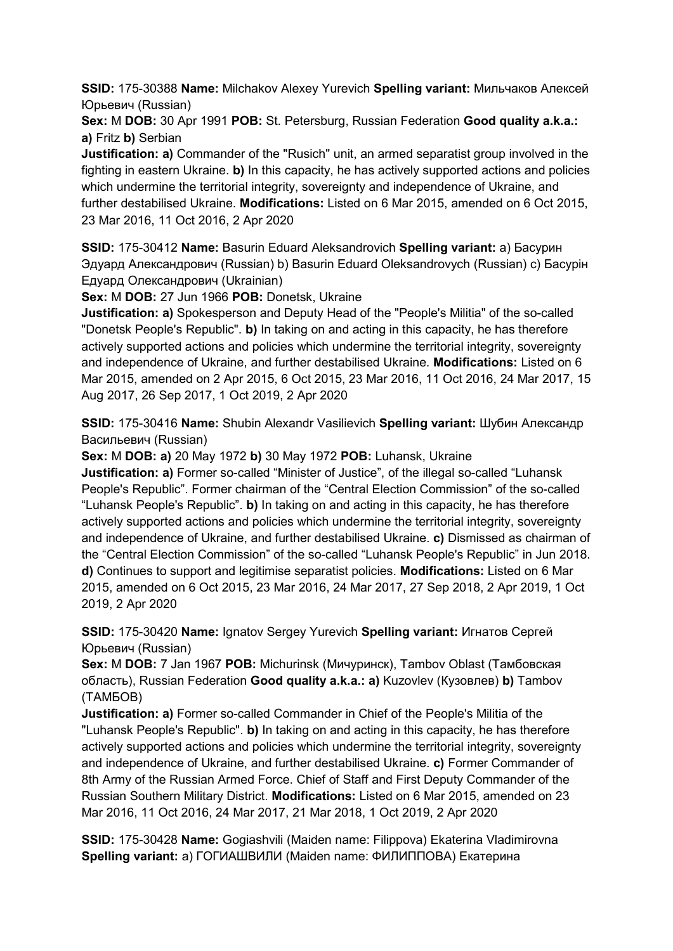**SSID:** 175-30388 **Name:** Milchakov Alexey Yurevich **Spelling variant:** Мильчаков Алексей Юрьевич (Russian)

**Sex:** M **DOB:** 30 Apr 1991 **POB:** St. Petersburg, Russian Federation **Good quality a.k.a.: a)** Fritz **b)** Serbian

**Justification: a)** Commander of the "Rusich" unit, an armed separatist group involved in the fighting in eastern Ukraine. **b)** In this capacity, he has actively supported actions and policies which undermine the territorial integrity, sovereignty and independence of Ukraine, and further destabilised Ukraine. **Modifications:** Listed on 6 Mar 2015, amended on 6 Oct 2015, 23 Mar 2016, 11 Oct 2016, 2 Apr 2020

**SSID:** 175-30412 **Name:** Basurin Eduard Aleksandrovich **Spelling variant:** a) Басурин Эдуард Александрович (Russian) b) Basurin Eduard Oleksandrovych (Russian) c) Басурiн Едуард Олександрович (Ukrainian)

**Sex:** M **DOB:** 27 Jun 1966 **POB:** Donetsk, Ukraine

**Justification: a)** Spokesperson and Deputy Head of the "People's Militia" of the so-called "Donetsk People's Republic". **b)** In taking on and acting in this capacity, he has therefore actively supported actions and policies which undermine the territorial integrity, sovereignty and independence of Ukraine, and further destabilised Ukraine. **Modifications:** Listed on 6 Mar 2015, amended on 2 Apr 2015, 6 Oct 2015, 23 Mar 2016, 11 Oct 2016, 24 Mar 2017, 15 Aug 2017, 26 Sep 2017, 1 Oct 2019, 2 Apr 2020

**SSID:** 175-30416 **Name:** Shubin Alexandr Vasilievich **Spelling variant:** Шубин Александр Васильевич (Russian)

**Sex:** M **DOB: a)** 20 May 1972 **b)** 30 May 1972 **POB:** Luhansk, Ukraine

**Justification: a)** Former so-called "Minister of Justice", of the illegal so-called "Luhansk People's Republic". Former chairman of the "Central Election Commission" of the so-called "Luhansk People's Republic". **b)** In taking on and acting in this capacity, he has therefore actively supported actions and policies which undermine the territorial integrity, sovereignty and independence of Ukraine, and further destabilised Ukraine. **c)** Dismissed as chairman of the "Central Election Commission" of the so-called "Luhansk People's Republic" in Jun 2018. **d)** Continues to support and legitimise separatist policies. **Modifications:** Listed on 6 Mar 2015, amended on 6 Oct 2015, 23 Mar 2016, 24 Mar 2017, 27 Sep 2018, 2 Apr 2019, 1 Oct 2019, 2 Apr 2020

**SSID:** 175-30420 **Name:** Ignatov Sergey Yurevich **Spelling variant:** Игнатов Сергей Юрьевич (Russian)

**Sex:** M **DOB:** 7 Jan 1967 **POB:** Michurinsk (Мичуринск), Tambov Oblast (Тамбовская область), Russian Federation **Good quality a.k.a.: a)** Kuzovlev (Кузовлев) **b)** Tambov (ТAMБOB)

**Justification: a)** Former so-called Commander in Chief of the People's Militia of the "Luhansk People's Republic". **b)** In taking on and acting in this capacity, he has therefore actively supported actions and policies which undermine the territorial integrity, sovereignty and independence of Ukraine, and further destabilised Ukraine. **c)** Former Commander of 8th Army of the Russian Armed Force. Chief of Staff and First Deputy Commander of the Russian Southern Military District. **Modifications:** Listed on 6 Mar 2015, amended on 23 Mar 2016, 11 Oct 2016, 24 Mar 2017, 21 Mar 2018, 1 Oct 2019, 2 Apr 2020

**SSID:** 175-30428 **Name:** Gogiashvili (Maiden name: Filippova) Ekaterina Vladimirovna **Spelling variant:** a) ГОГИАШВИЛИ (Maiden name: ФИЛИППОВА) Екатерина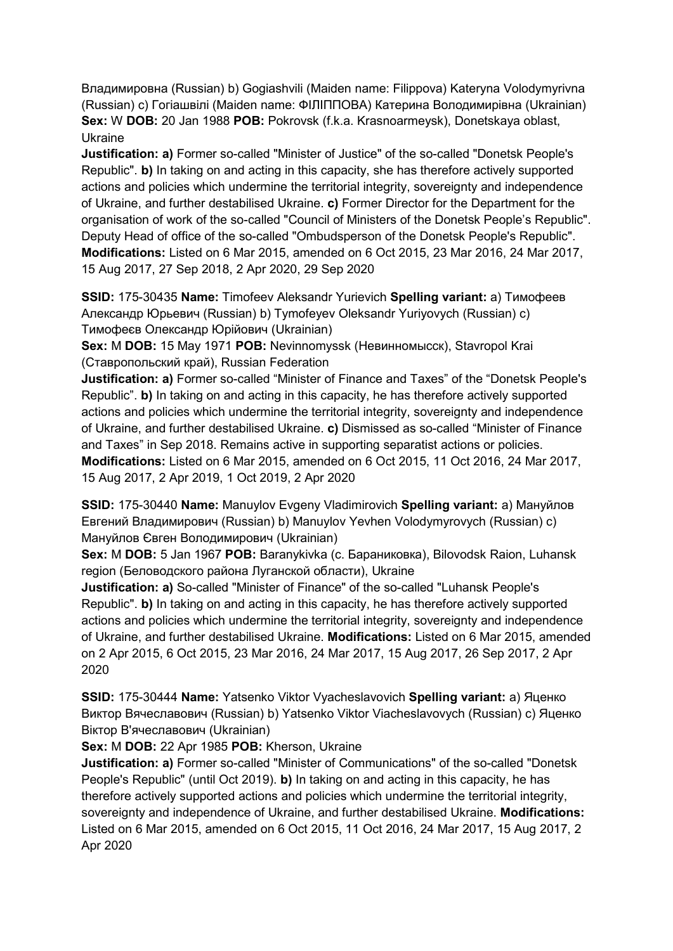Владимировна (Russian) b) Gogiashvili (Maiden name: Filippova) Kateryna Volodymyrivna (Russian) c) Гогiашвiлi (Maiden name: ФIЛIППОВА) Катерина Володимирівна (Ukrainian) **Sex:** W **DOB:** 20 Jan 1988 **POB:** Pokrovsk (f.k.a. Krasnoarmeysk), Donetskaya oblast, Ukraine

**Justification: a)** Former so-called "Minister of Justice" of the so-called "Donetsk People's Republic". **b)** In taking on and acting in this capacity, she has therefore actively supported actions and policies which undermine the territorial integrity, sovereignty and independence of Ukraine, and further destabilised Ukraine. **c)** Former Director for the Department for the organisation of work of the so-called "Council of Ministers of the Donetsk People's Republic". Deputy Head of office of the so-called "Ombudsperson of the Donetsk People's Republic". **Modifications:** Listed on 6 Mar 2015, amended on 6 Oct 2015, 23 Mar 2016, 24 Mar 2017, 15 Aug 2017, 27 Sep 2018, 2 Apr 2020, 29 Sep 2020

**SSID:** 175-30435 **Name:** Timofeev Aleksandr Yurievich **Spelling variant:** a) Тимофеев Александр Юрьевич (Russian) b) Tymofeyev Oleksandr Yuriyovych (Russian) c) Тимофеєв Олександр Юрійович (Ukrainian)

**Sex:** M **DOB:** 15 May 1971 **POB:** Nevinnomyssk (Невинномысск), Stavropol Krai (Ставропольский край), Russian Federation

**Justification: a)** Former so-called "Minister of Finance and Taxes" of the "Donetsk People's Republic". **b)** In taking on and acting in this capacity, he has therefore actively supported actions and policies which undermine the territorial integrity, sovereignty and independence of Ukraine, and further destabilised Ukraine. **c)** Dismissed as so-called "Minister of Finance and Taxes" in Sep 2018. Remains active in supporting separatist actions or policies. **Modifications:** Listed on 6 Mar 2015, amended on 6 Oct 2015, 11 Oct 2016, 24 Mar 2017, 15 Aug 2017, 2 Apr 2019, 1 Oct 2019, 2 Apr 2020

**SSID:** 175-30440 **Name:** Manuylov Evgeny Vladimirovich **Spelling variant:** a) Мануйлов Евгений Владимирович (Russian) b) Manuylov Yevhen Volodymyrovych (Russian) c) Мануйлов Євген Володимирович (Ukrainian)

**Sex:** M **DOB:** 5 Jan 1967 **POB:** Baranykivka (с. Бараниковка), Bilovodsk Raion, Luhansk region (Беловодского района Луганской области), Ukraine

**Justification: a)** So-called "Minister of Finance" of the so-called "Luhansk People's Republic". **b)** In taking on and acting in this capacity, he has therefore actively supported actions and policies which undermine the territorial integrity, sovereignty and independence of Ukraine, and further destabilised Ukraine. **Modifications:** Listed on 6 Mar 2015, amended on 2 Apr 2015, 6 Oct 2015, 23 Mar 2016, 24 Mar 2017, 15 Aug 2017, 26 Sep 2017, 2 Apr 2020

**SSID:** 175-30444 **Name:** Yatsenko Viktor Vyacheslavovich **Spelling variant:** a) Яценко Виктор Вячеславович (Russian) b) Yatsenko Viktor Viacheslavovych (Russian) c) Яценко Віктор В'ячеславович (Ukrainian)

**Sex:** M **DOB:** 22 Apr 1985 **POB:** Kherson, Ukraine

**Justification: a)** Former so-called "Minister of Communications" of the so-called "Donetsk People's Republic" (until Oct 2019). **b)** In taking on and acting in this capacity, he has therefore actively supported actions and policies which undermine the territorial integrity, sovereignty and independence of Ukraine, and further destabilised Ukraine. **Modifications:**  Listed on 6 Mar 2015, amended on 6 Oct 2015, 11 Oct 2016, 24 Mar 2017, 15 Aug 2017, 2 Apr 2020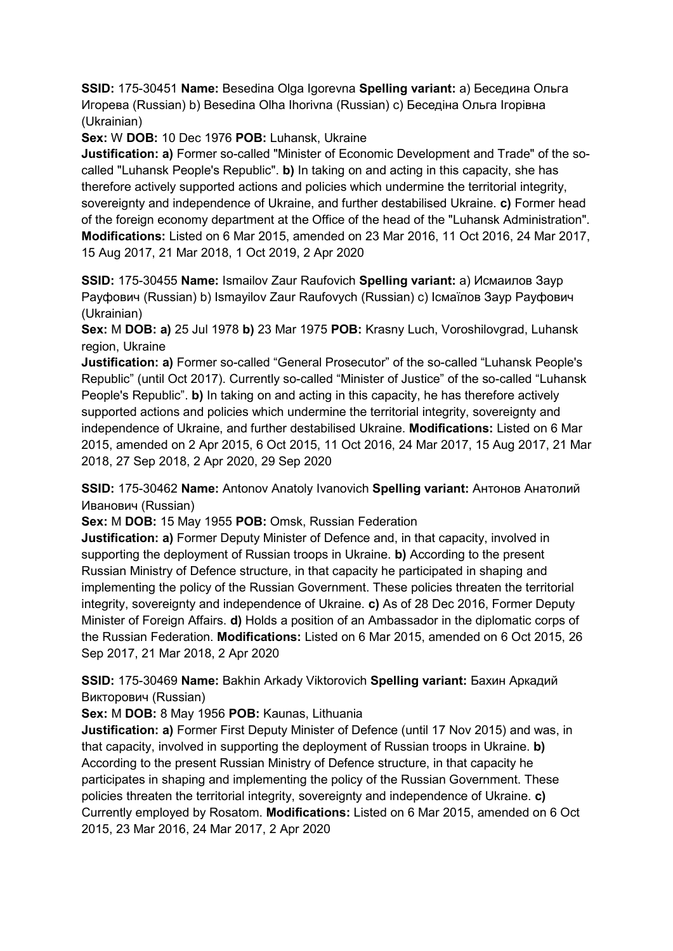**SSID:** 175-30451 **Name:** Besedina Olga Igorevna **Spelling variant:** a) Беседина Ольга Игорева (Russian) b) Besedina Olha Ihorivna (Russian) c) Беседiна Ольга Iгорівна (Ukrainian)

**Sex:** W **DOB:** 10 Dec 1976 **POB:** Luhansk, Ukraine

**Justification: a)** Former so-called "Minister of Economic Development and Trade" of the socalled "Luhansk People's Republic". **b)** In taking on and acting in this capacity, she has therefore actively supported actions and policies which undermine the territorial integrity, sovereignty and independence of Ukraine, and further destabilised Ukraine. **c)** Former head of the foreign economy department at the Office of the head of the "Luhansk Administration". **Modifications:** Listed on 6 Mar 2015, amended on 23 Mar 2016, 11 Oct 2016, 24 Mar 2017, 15 Aug 2017, 21 Mar 2018, 1 Oct 2019, 2 Apr 2020

**SSID:** 175-30455 **Name:** Ismailov Zaur Raufovich **Spelling variant:** a) Исмаилов Заур Рауфович (Russian) b) Ismayilov Zaur Raufovych (Russian) c) Iсмаїлов Заур Рауфович (Ukrainian)

**Sex:** M **DOB: a)** 25 Jul 1978 **b)** 23 Mar 1975 **POB:** Krasny Luch, Voroshilovgrad, Luhansk region, Ukraine

**Justification: a)** Former so-called "General Prosecutor" of the so-called "Luhansk People's Republic" (until Oct 2017). Currently so-called "Minister of Justice" of the so-called "Luhansk People's Republic". **b)** In taking on and acting in this capacity, he has therefore actively supported actions and policies which undermine the territorial integrity, sovereignty and independence of Ukraine, and further destabilised Ukraine. **Modifications:** Listed on 6 Mar 2015, amended on 2 Apr 2015, 6 Oct 2015, 11 Oct 2016, 24 Mar 2017, 15 Aug 2017, 21 Mar 2018, 27 Sep 2018, 2 Apr 2020, 29 Sep 2020

**SSID:** 175-30462 **Name:** Antonov Anatoly Ivanovich **Spelling variant:** Антонов Анатолий Иванович (Russian)

**Sex:** M **DOB:** 15 May 1955 **POB:** Omsk, Russian Federation

**Justification: a)** Former Deputy Minister of Defence and, in that capacity, involved in supporting the deployment of Russian troops in Ukraine. **b)** According to the present Russian Ministry of Defence structure, in that capacity he participated in shaping and implementing the policy of the Russian Government. These policies threaten the territorial integrity, sovereignty and independence of Ukraine. **c)** As of 28 Dec 2016, Former Deputy Minister of Foreign Affairs. **d)** Holds a position of an Ambassador in the diplomatic corps of the Russian Federation. **Modifications:** Listed on 6 Mar 2015, amended on 6 Oct 2015, 26 Sep 2017, 21 Mar 2018, 2 Apr 2020

**SSID:** 175-30469 **Name:** Bakhin Arkady Viktorovich **Spelling variant:** Бахин Аркадий Викторович (Russian)

**Sex:** M **DOB:** 8 May 1956 **POB:** Kaunas, Lithuania

**Justification: a)** Former First Deputy Minister of Defence (until 17 Nov 2015) and was, in that capacity, involved in supporting the deployment of Russian troops in Ukraine. **b)**  According to the present Russian Ministry of Defence structure, in that capacity he participates in shaping and implementing the policy of the Russian Government. These policies threaten the territorial integrity, sovereignty and independence of Ukraine. **c)**  Currently employed by Rosatom. **Modifications:** Listed on 6 Mar 2015, amended on 6 Oct 2015, 23 Mar 2016, 24 Mar 2017, 2 Apr 2020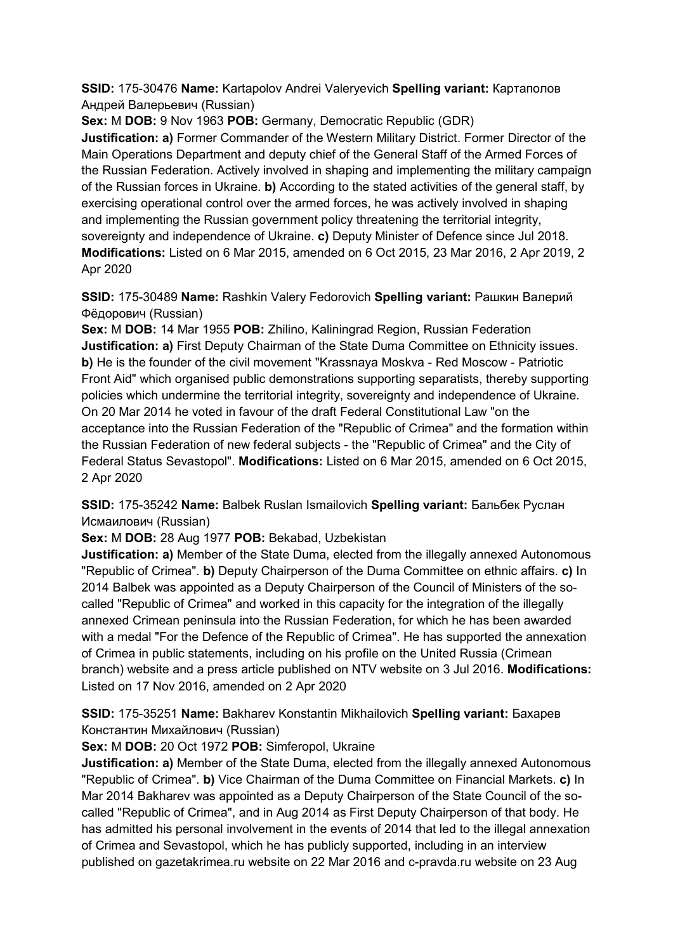**SSID:** 175-30476 **Name:** Kartapolov Andrei Valeryevich **Spelling variant:** Картaполов Андрей Валерьевич (Russian)

**Sex:** M **DOB:** 9 Nov 1963 **POB:** Germany, Democratic Republic (GDR)

**Justification: a)** Former Commander of the Western Military District. Former Director of the Main Operations Department and deputy chief of the General Staff of the Armed Forces of the Russian Federation. Actively involved in shaping and implementing the military campaign of the Russian forces in Ukraine. **b)** According to the stated activities of the general staff, by exercising operational control over the armed forces, he was actively involved in shaping and implementing the Russian government policy threatening the territorial integrity, sovereignty and independence of Ukraine. **c)** Deputy Minister of Defence since Jul 2018. **Modifications:** Listed on 6 Mar 2015, amended on 6 Oct 2015, 23 Mar 2016, 2 Apr 2019, 2 Apr 2020

**SSID:** 175-30489 **Name:** Rashkin Valery Fedorovich **Spelling variant:** Рашкин Валерий Фёдорович (Russian)

**Sex:** M **DOB:** 14 Mar 1955 **POB:** Zhilino, Kaliningrad Region, Russian Federation **Justification: a)** First Deputy Chairman of the State Duma Committee on Ethnicity issues. **b)** He is the founder of the civil movement "Krassnaya Moskva - Red Moscow - Patriotic Front Aid" which organised public demonstrations supporting separatists, thereby supporting policies which undermine the territorial integrity, sovereignty and independence of Ukraine. On 20 Mar 2014 he voted in favour of the draft Federal Constitutional Law "on the acceptance into the Russian Federation of the "Republic of Crimea" and the formation within the Russian Federation of new federal subjects - the "Republic of Crimea" and the City of Federal Status Sevastopol". **Modifications:** Listed on 6 Mar 2015, amended on 6 Oct 2015, 2 Apr 2020

**SSID:** 175-35242 **Name:** Balbek Ruslan Ismailovich **Spelling variant:** Бальбек Руслан Исмаилович (Russian)

**Sex:** M **DOB:** 28 Aug 1977 **POB:** Bekabad, Uzbekistan

**Justification: a)** Member of the State Duma, elected from the illegally annexed Autonomous "Republic of Crimea". **b)** Deputy Chairperson of the Duma Committee on ethnic affairs. **c)** In 2014 Balbek was appointed as a Deputy Chairperson of the Council of Ministers of the socalled "Republic of Crimea" and worked in this capacity for the integration of the illegally annexed Crimean peninsula into the Russian Federation, for which he has been awarded with a medal "For the Defence of the Republic of Crimea". He has supported the annexation of Crimea in public statements, including on his profile on the United Russia (Crimean branch) website and a press article published on NTV website on 3 Jul 2016. **Modifications:**  Listed on 17 Nov 2016, amended on 2 Apr 2020

**SSID:** 175-35251 **Name:** Bakharev Konstantin Mikhailovich **Spelling variant:** Бахарев Константин Михайлович (Russian)

**Sex:** M **DOB:** 20 Oct 1972 **POB:** Simferopol, Ukraine

**Justification: a)** Member of the State Duma, elected from the illegally annexed Autonomous "Republic of Crimea". **b)** Vice Chairman of the Duma Committee on Financial Markets. **c)** In Mar 2014 Bakharev was appointed as a Deputy Chairperson of the State Council of the socalled "Republic of Crimea", and in Aug 2014 as First Deputy Chairperson of that body. He has admitted his personal involvement in the events of 2014 that led to the illegal annexation of Crimea and Sevastopol, which he has publicly supported, including in an interview published on gazetakrimea.ru website on 22 Mar 2016 and c-pravda.ru website on 23 Aug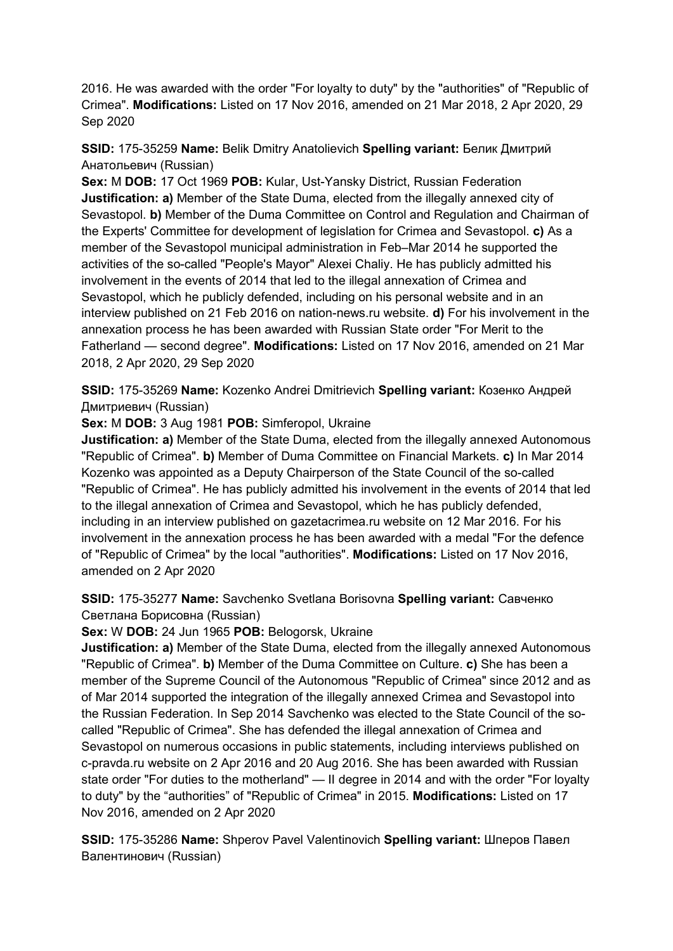2016. He was awarded with the order "For loyalty to duty" by the "authorities" of "Republic of Crimea". **Modifications:** Listed on 17 Nov 2016, amended on 21 Mar 2018, 2 Apr 2020, 29 Sep 2020

**SSID:** 175-35259 **Name:** Belik Dmitry Anatolievich **Spelling variant:** Белик Дмитрий Анатольевич (Russian)

**Sex:** M **DOB:** 17 Oct 1969 **POB:** Kular, Ust-Yansky District, Russian Federation **Justification: a)** Member of the State Duma, elected from the illegally annexed city of Sevastopol. **b)** Member of the Duma Committee on Control and Regulation and Chairman of the Experts' Committee for development of legislation for Crimea and Sevastopol. **c)** As a member of the Sevastopol municipal administration in Feb–Mar 2014 he supported the activities of the so-called "People's Mayor" Alexei Chaliy. He has publicly admitted his involvement in the events of 2014 that led to the illegal annexation of Crimea and Sevastopol, which he publicly defended, including on his personal website and in an interview published on 21 Feb 2016 on nation-news.ru website. **d)** For his involvement in the annexation process he has been awarded with Russian State order "For Merit to the Fatherland — second degree". **Modifications:** Listed on 17 Nov 2016, amended on 21 Mar 2018, 2 Apr 2020, 29 Sep 2020

**SSID:** 175-35269 **Name:** Kozenko Andrei Dmitrievich **Spelling variant:** Козенко Андрей Дмитриевич (Russian)

**Sex:** M **DOB:** 3 Aug 1981 **POB:** Simferopol, Ukraine

**Justification: a)** Member of the State Duma, elected from the illegally annexed Autonomous "Republic of Crimea". **b)** Member of Duma Committee on Financial Markets. **c)** In Mar 2014 Kozenko was appointed as a Deputy Chairperson of the State Council of the so-called "Republic of Crimea". He has publicly admitted his involvement in the events of 2014 that led to the illegal annexation of Crimea and Sevastopol, which he has publicly defended, including in an interview published on gazetacrimea.ru website on 12 Mar 2016. For his involvement in the annexation process he has been awarded with a medal "For the defence of "Republic of Crimea" by the local "authorities". **Modifications:** Listed on 17 Nov 2016, amended on 2 Apr 2020

**SSID:** 175-35277 **Name:** Savchenko Svetlana Borisovna **Spelling variant:** Савченко Светлана Борисовна (Russian)

**Sex:** W **DOB:** 24 Jun 1965 **POB:** Belogorsk, Ukraine

**Justification: a)** Member of the State Duma, elected from the illegally annexed Autonomous "Republic of Crimea". **b)** Member of the Duma Committee on Culture. **c)** She has been a member of the Supreme Council of the Autonomous "Republic of Crimea" since 2012 and as of Mar 2014 supported the integration of the illegally annexed Crimea and Sevastopol into the Russian Federation. In Sep 2014 Savchenko was elected to the State Council of the socalled "Republic of Crimea". She has defended the illegal annexation of Crimea and Sevastopol on numerous occasions in public statements, including interviews published on c-pravda.ru website on 2 Apr 2016 and 20 Aug 2016. She has been awarded with Russian state order "For duties to the motherland" — II degree in 2014 and with the order "For loyalty to duty" by the "authorities" of "Republic of Crimea" in 2015. **Modifications:** Listed on 17 Nov 2016, amended on 2 Apr 2020

**SSID:** 175-35286 **Name:** Shperov Pavel Valentinovich **Spelling variant:** Шперов Павел Валентинович (Russian)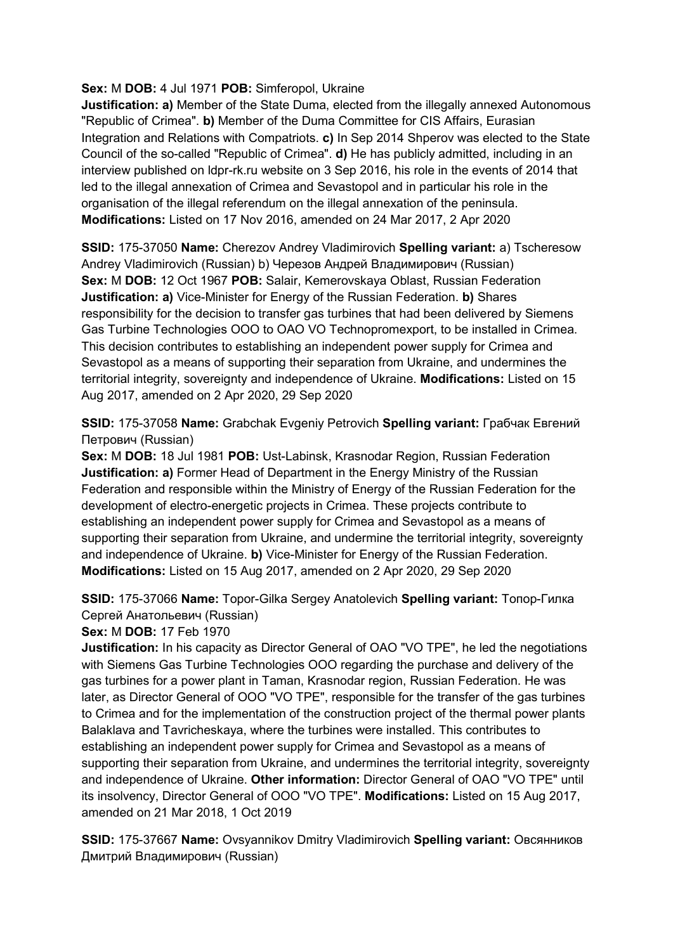### **Sex:** M **DOB:** 4 Jul 1971 **POB:** Simferopol, Ukraine

**Justification: a)** Member of the State Duma, elected from the illegally annexed Autonomous "Republic of Crimea". **b)** Member of the Duma Committee for CIS Affairs, Eurasian Integration and Relations with Compatriots. **c)** In Sep 2014 Shperov was elected to the State Council of the so-called "Republic of Crimea". **d)** He has publicly admitted, including in an interview published on ldpr-rk.ru website on 3 Sep 2016, his role in the events of 2014 that led to the illegal annexation of Crimea and Sevastopol and in particular his role in the organisation of the illegal referendum on the illegal annexation of the peninsula. **Modifications:** Listed on 17 Nov 2016, amended on 24 Mar 2017, 2 Apr 2020

**SSID:** 175-37050 **Name:** Cherezov Andrey Vladimirovich **Spelling variant:** a) Tscheresow Andrey Vladimirovich (Russian) b) Черезов Андрей Владимирович (Russian) **Sex:** M **DOB:** 12 Oct 1967 **POB:** Salair, Kemerovskaya Oblast, Russian Federation **Justification: a)** Vice-Minister for Energy of the Russian Federation. **b)** Shares responsibility for the decision to transfer gas turbines that had been delivered by Siemens Gas Turbine Technologies OOO to OAO VO Technopromexport, to be installed in Crimea. This decision contributes to establishing an independent power supply for Crimea and Sevastopol as a means of supporting their separation from Ukraine, and undermines the territorial integrity, sovereignty and independence of Ukraine. **Modifications:** Listed on 15 Aug 2017, amended on 2 Apr 2020, 29 Sep 2020

**SSID:** 175-37058 **Name:** Grabchak Evgeniy Petrovich **Spelling variant:** Грабчак Евгений Петрович (Russian)

**Sex:** M **DOB:** 18 Jul 1981 **POB:** Ust-Labinsk, Krasnodar Region, Russian Federation **Justification: a)** Former Head of Department in the Energy Ministry of the Russian Federation and responsible within the Ministry of Energy of the Russian Federation for the development of electro-energetic projects in Crimea. These projects contribute to establishing an independent power supply for Crimea and Sevastopol as a means of supporting their separation from Ukraine, and undermine the territorial integrity, sovereignty and independence of Ukraine. **b)** Vice-Minister for Energy of the Russian Federation. **Modifications:** Listed on 15 Aug 2017, amended on 2 Apr 2020, 29 Sep 2020

**SSID:** 175-37066 **Name:** Topor-Gilka Sergey Anatolevich **Spelling variant:** Топор-Гилка Сергей Анатольевич (Russian)

**Sex:** M **DOB:** 17 Feb 1970

**Justification:** In his capacity as Director General of OAO "VO TPE", he led the negotiations with Siemens Gas Turbine Technologies OOO regarding the purchase and delivery of the gas turbines for a power plant in Taman, Krasnodar region, Russian Federation. He was later, as Director General of OOO "VO TPE", responsible for the transfer of the gas turbines to Crimea and for the implementation of the construction project of the thermal power plants Balaklava and Tavricheskaya, where the turbines were installed. This contributes to establishing an independent power supply for Crimea and Sevastopol as a means of supporting their separation from Ukraine, and undermines the territorial integrity, sovereignty and independence of Ukraine. **Other information:** Director General of OAO "VO TPE" until its insolvency, Director General of OOO "VO TPE". **Modifications:** Listed on 15 Aug 2017, amended on 21 Mar 2018, 1 Oct 2019

**SSID:** 175-37667 **Name:** Ovsyannikov Dmitry Vladimirovich **Spelling variant:** Овсянников Дмитрий Владимирович (Russian)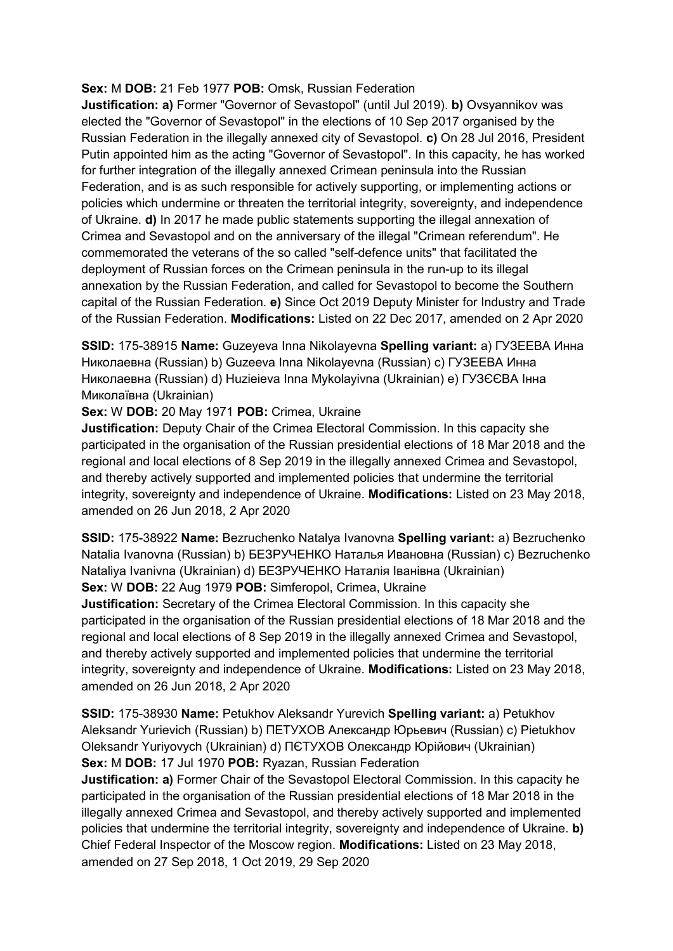#### **Sex:** M **DOB:** 21 Feb 1977 **POB:** Omsk, Russian Federation

**Justification: a)** Former "Governor of Sevastopol" (until Jul 2019). **b)** Ovsyannikov was elected the "Governor of Sevastopol" in the elections of 10 Sep 2017 organised by the Russian Federation in the illegally annexed city of Sevastopol. **c)** On 28 Jul 2016, President Putin appointed him as the acting "Governor of Sevastopol". In this capacity, he has worked for further integration of the illegally annexed Crimean peninsula into the Russian Federation, and is as such responsible for actively supporting, or implementing actions or policies which undermine or threaten the territorial integrity, sovereignty, and independence of Ukraine. **d)** In 2017 he made public statements supporting the illegal annexation of Crimea and Sevastopol and on the anniversary of the illegal "Crimean referendum". He commemorated the veterans of the so called "self-defence units" that facilitated the deployment of Russian forces on the Crimean peninsula in the run-up to its illegal annexation by the Russian Federation, and called for Sevastopol to become the Southern capital of the Russian Federation. **e)** Since Oct 2019 Deputy Minister for Industry and Trade of the Russian Federation. **Modifications:** Listed on 22 Dec 2017, amended on 2 Apr 2020

**SSID:** 175-38915 **Name:** Guzeyeva Inna Nikolayevna **Spelling variant:** a) ГУЗЕЕВА Инна Николаевна (Russian) b) Guzeeva Inna Nikolayevna (Russian) c) ГУЗЕЕВА Инна Николаевна (Russian) d) Huzieieva Inna Mykolayivna (Ukrainian) e) ГУЗЄЄВА Iнна Миколаївна (Ukrainian)

**Sex:** W **DOB:** 20 May 1971 **POB:** Crimea, Ukraine

**Justification:** Deputy Chair of the Crimea Electoral Commission. In this capacity she participated in the organisation of the Russian presidential elections of 18 Mar 2018 and the regional and local elections of 8 Sep 2019 in the illegally annexed Crimea and Sevastopol, and thereby actively supported and implemented policies that undermine the territorial integrity, sovereignty and independence of Ukraine. **Modifications:** Listed on 23 May 2018, amended on 26 Jun 2018, 2 Apr 2020

**SSID:** 175-38922 **Name:** Bezruchenko Natalya Ivanovna **Spelling variant:** a) Bezruchenko Natalia Ivanovna (Russian) b) БЕЗРУЧЕНКО Наталья Ивановна (Russian) c) Bezruchenko Nataliya Ivanivna (Ukrainian) d) БЕЗРУЧЕНКО Наталія Iванівна (Ukrainian) **Sex:** W **DOB:** 22 Aug 1979 **POB:** Simferopol, Crimea, Ukraine

**Justification:** Secretary of the Crimea Electoral Commission. In this capacity she participated in the organisation of the Russian presidential elections of 18 Mar 2018 and the regional and local elections of 8 Sep 2019 in the illegally annexed Crimea and Sevastopol, and thereby actively supported and implemented policies that undermine the territorial integrity, sovereignty and independence of Ukraine. **Modifications:** Listed on 23 May 2018, amended on 26 Jun 2018, 2 Apr 2020

**SSID:** 175-38930 **Name:** Petukhov Aleksandr Yurevich **Spelling variant:** a) Petukhov Aleksandr Yurievich (Russian) b) ПЕТУХОВ Александр Юрьевич (Russian) c) Pietukhov Oleksandr Yuriyovych (Ukrainian) d) ПЄТУХОВ Олександр Юрійович (Ukrainian) **Sex:** M **DOB:** 17 Jul 1970 **POB:** Ryazan, Russian Federation

**Justification: a)** Former Chair of the Sevastopol Electoral Commission. In this capacity he participated in the organisation of the Russian presidential elections of 18 Mar 2018 in the illegally annexed Crimea and Sevastopol, and thereby actively supported and implemented policies that undermine the territorial integrity, sovereignty and independence of Ukraine. **b)**  Chief Federal Inspector of the Moscow region. **Modifications:** Listed on 23 May 2018, amended on 27 Sep 2018, 1 Oct 2019, 29 Sep 2020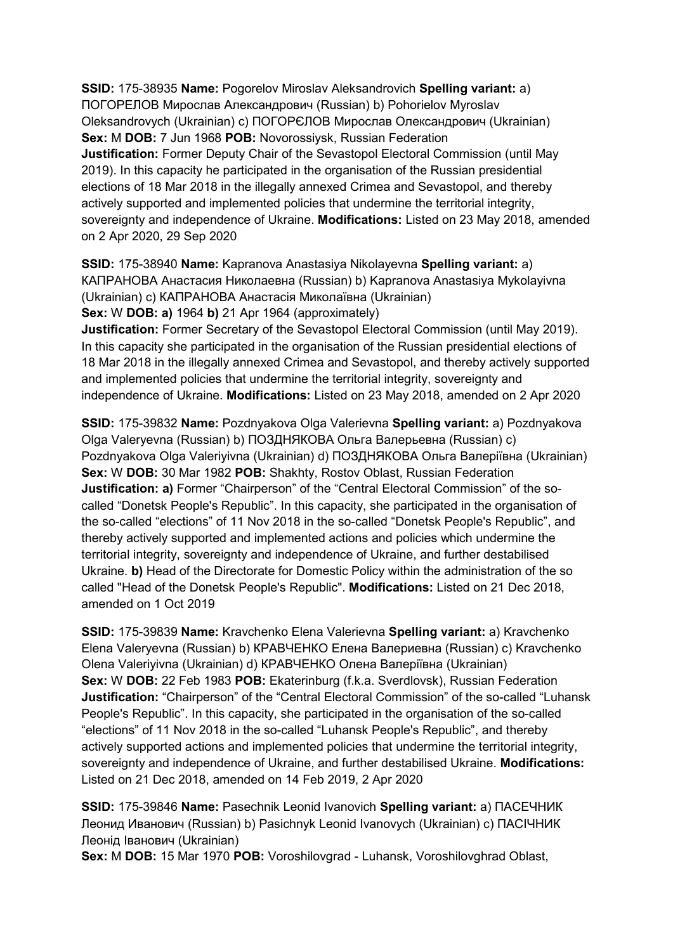**SSID:** 175-38935 **Name:** Pogorelov Miroslav Aleksandrovich **Spelling variant:** a) ПОГОРЕЛОВ Мирослав Александрович (Russian) b) Pohorielov Myroslav Oleksandrovych (Ukrainian) c) ПОГОРЄЛОВ Мирослав Олександрович (Ukrainian) **Sex:** M **DOB:** 7 Jun 1968 **POB:** Novorossiysk, Russian Federation **Justification:** Former Deputy Chair of the Sevastopol Electoral Commission (until May 2019). In this capacity he participated in the organisation of the Russian presidential elections of 18 Mar 2018 in the illegally annexed Crimea and Sevastopol, and thereby actively supported and implemented policies that undermine the territorial integrity, sovereignty and independence of Ukraine. **Modifications:** Listed on 23 May 2018, amended on 2 Apr 2020, 29 Sep 2020

**SSID:** 175-38940 **Name:** Kapranova Anastasiya Nikolayevna **Spelling variant:** a) КАПРАНОВА Анастасия Николаевна (Russian) b) Kapranova Anastasiya Mykolayivna (Ukrainian) c) КАПРАНОВА Анастасія Миколаївна (Ukrainian) **Sex:** W **DOB: a)** 1964 **b)** 21 Apr 1964 (approximately)

**Justification:** Former Secretary of the Sevastopol Electoral Commission (until May 2019). In this capacity she participated in the organisation of the Russian presidential elections of 18 Mar 2018 in the illegally annexed Crimea and Sevastopol, and thereby actively supported and implemented policies that undermine the territorial integrity, sovereignty and independence of Ukraine. **Modifications:** Listed on 23 May 2018, amended on 2 Apr 2020

**SSID:** 175-39832 **Name:** Pozdnyakova Olga Valerievna **Spelling variant:** a) Pozdnyakova Olga Valeryevna (Russian) b) ПОЗДНЯКОВА Ольга Валерьевна (Russian) c) Pozdnyakova Olga Valeriyivna (Ukrainian) d) ПОЗДНЯКОВА Ольга Валеріївна (Ukrainian) **Sex:** W **DOB:** 30 Mar 1982 **POB:** Shakhty, Rostov Oblast, Russian Federation **Justification: a)** Former "Chairperson" of the "Central Electoral Commission" of the socalled "Donetsk People's Republic". In this capacity, she participated in the organisation of the so-called "elections" of 11 Nov 2018 in the so-called "Donetsk People's Republic", and thereby actively supported and implemented actions and policies which undermine the territorial integrity, sovereignty and independence of Ukraine, and further destabilised Ukraine. **b)** Head of the Directorate for Domestic Policy within the administration of the so called "Head of the Donetsk People's Republic". **Modifications:** Listed on 21 Dec 2018, amended on 1 Oct 2019

**SSID:** 175-39839 **Name:** Kravchenko Elena Valerievna **Spelling variant:** a) Kravchenko Elena Valeryevna (Russian) b) КРАВЧЕНКО Елена Валериевна (Russian) c) Kravchenko Olena Valeriyivna (Ukrainian) d) КРАВЧЕНКО Олена Валеріївна (Ukrainian) **Sex:** W **DOB:** 22 Feb 1983 **POB:** Ekaterinburg (f.k.a. Sverdlovsk), Russian Federation **Justification:** "Chairperson" of the "Central Electoral Commission" of the so-called "Luhansk People's Republic". In this capacity, she participated in the organisation of the so-called "elections" of 11 Nov 2018 in the so-called "Luhansk People's Republic", and thereby actively supported actions and implemented policies that undermine the territorial integrity, sovereignty and independence of Ukraine, and further destabilised Ukraine. **Modifications:**  Listed on 21 Dec 2018, amended on 14 Feb 2019, 2 Apr 2020

**SSID:** 175-39846 **Name:** Pasechnik Leonid Ivanovich **Spelling variant:** a) ПАСЕЧНИК Леонид Иванович (Russian) b) Pasichnyk Leonid Ivanovych (Ukrainian) c) ПАСІЧНИК Леонід Іванович (Ukrainian)

**Sex:** M **DOB:** 15 Mar 1970 **POB:** Voroshilovgrad - Luhansk, Voroshilovghrad Oblast,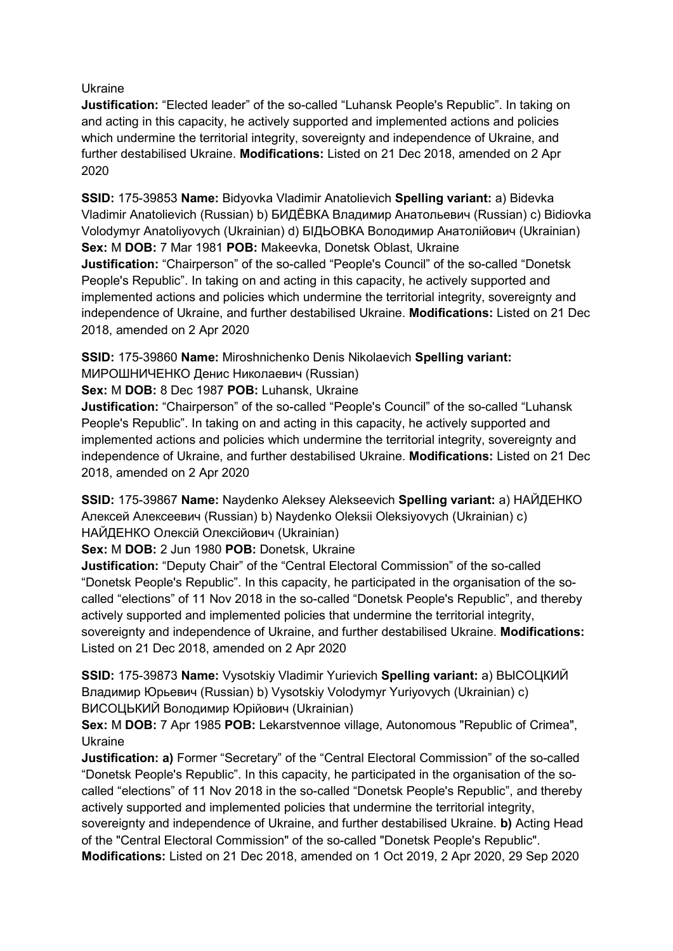Ukraine

**Justification:** "Elected leader" of the so-called "Luhansk People's Republic". In taking on and acting in this capacity, he actively supported and implemented actions and policies which undermine the territorial integrity, sovereignty and independence of Ukraine, and further destabilised Ukraine. **Modifications:** Listed on 21 Dec 2018, amended on 2 Apr 2020

**SSID:** 175-39853 **Name:** Bidyovka Vladimir Anatolievich **Spelling variant:** a) Bidevka Vladimir Anatolievich (Russian) b) БИДЁВКА Владимир Анатольевич (Russian) c) Bidiovka Volodymyr Anatoliyovych (Ukrainian) d) БІДЬОВКА Володимир Анатолійович (Ukrainian) **Sex:** M **DOB:** 7 Mar 1981 **POB:** Makeevka, Donetsk Oblast, Ukraine **Justification:** "Chairperson" of the so-called "People's Council" of the so-called "Donetsk People's Republic". In taking on and acting in this capacity, he actively supported and implemented actions and policies which undermine the territorial integrity, sovereignty and independence of Ukraine, and further destabilised Ukraine. **Modifications:** Listed on 21 Dec 2018, amended on 2 Apr 2020

**SSID:** 175-39860 **Name:** Miroshnichenko Denis Nikolaevich **Spelling variant:** 

МИРОШНИЧЕНКО Денис Николаевич (Russian)

**Sex:** M **DOB:** 8 Dec 1987 **POB:** Luhansk, Ukraine

**Justification:** "Chairperson" of the so-called "People's Council" of the so-called "Luhansk People's Republic". In taking on and acting in this capacity, he actively supported and implemented actions and policies which undermine the territorial integrity, sovereignty and independence of Ukraine, and further destabilised Ukraine. **Modifications:** Listed on 21 Dec 2018, amended on 2 Apr 2020

**SSID:** 175-39867 **Name:** Naydenko Aleksey Alekseevich **Spelling variant:** a) НАЙДЕНКО Алексей Алексеевич (Russian) b) Naydenko Oleksii Oleksiyovych (Ukrainian) c) НАЙДЕНКО Олексій Олексійович (Ukrainian)

**Sex:** M **DOB:** 2 Jun 1980 **POB:** Donetsk, Ukraine

**Justification:** "Deputy Chair" of the "Central Electoral Commission" of the so-called "Donetsk People's Republic". In this capacity, he participated in the organisation of the socalled "elections" of 11 Nov 2018 in the so-called "Donetsk People's Republic", and thereby actively supported and implemented policies that undermine the territorial integrity, sovereignty and independence of Ukraine, and further destabilised Ukraine. **Modifications:**  Listed on 21 Dec 2018, amended on 2 Apr 2020

**SSID:** 175-39873 **Name:** Vysotskiy Vladimir Yurievich **Spelling variant:** a) ВЫСОЦКИЙ Владимир Юрьевич (Russian) b) Vysotskiy Volodymyr Yuriyovych (Ukrainian) c) ВИСОЦЬКИЙ Володимир Юрійович (Ukrainian)

**Sex:** M **DOB:** 7 Apr 1985 **POB:** Lekarstvennoe village, Autonomous "Republic of Crimea", Ukraine

**Justification: a)** Former "Secretary" of the "Central Electoral Commission" of the so-called "Donetsk People's Republic". In this capacity, he participated in the organisation of the socalled "elections" of 11 Nov 2018 in the so-called "Donetsk People's Republic", and thereby actively supported and implemented policies that undermine the territorial integrity,

sovereignty and independence of Ukraine, and further destabilised Ukraine. **b)** Acting Head of the "Central Electoral Commission" of the so-called "Donetsk People's Republic".

**Modifications:** Listed on 21 Dec 2018, amended on 1 Oct 2019, 2 Apr 2020, 29 Sep 2020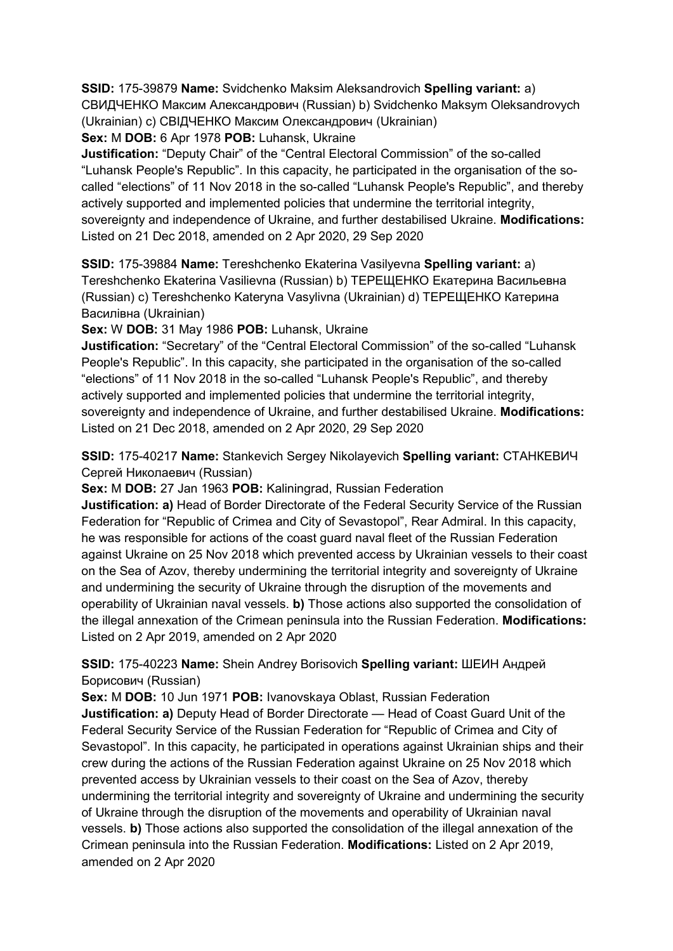## **SSID:** 175-39879 **Name:** Svidchenko Maksim Aleksandrovich **Spelling variant:** a)

СВИДЧЕНКО Максим Александрович (Russian) b) Svidchenko Maksym Oleksandrovych (Ukrainian) c) СВІДЧЕНКО Максим Олександрович (Ukrainian)

**Sex:** M **DOB:** 6 Apr 1978 **POB:** Luhansk, Ukraine

**Justification:** "Deputy Chair" of the "Central Electoral Commission" of the so-called "Luhansk People's Republic". In this capacity, he participated in the organisation of the socalled "elections" of 11 Nov 2018 in the so-called "Luhansk People's Republic", and thereby actively supported and implemented policies that undermine the territorial integrity, sovereignty and independence of Ukraine, and further destabilised Ukraine. **Modifications:**  Listed on 21 Dec 2018, amended on 2 Apr 2020, 29 Sep 2020

**SSID:** 175-39884 **Name:** Tereshchenko Ekaterina Vasilyevna **Spelling variant:** a) Tereshchenko Ekaterina Vasilievna (Russian) b) ТЕРЕЩЕНКО Екатерина Васильевна (Russian) c) Tereshchenko Kateryna Vasylivna (Ukrainian) d) ТЕРЕЩЕНКО Катерина Василівна (Ukrainian)

**Sex:** W **DOB:** 31 May 1986 **POB:** Luhansk, Ukraine

**Justification:** "Secretary" of the "Central Electoral Commission" of the so-called "Luhansk People's Republic". In this capacity, she participated in the organisation of the so-called "elections" of 11 Nov 2018 in the so-called "Luhansk People's Republic", and thereby actively supported and implemented policies that undermine the territorial integrity, sovereignty and independence of Ukraine, and further destabilised Ukraine. **Modifications:**  Listed on 21 Dec 2018, amended on 2 Apr 2020, 29 Sep 2020

**SSID:** 175-40217 **Name:** Stankevich Sergey Nikolayevich **Spelling variant:** СТАНКЕВИЧ Сергей Николаевич (Russian)

**Sex:** M **DOB:** 27 Jan 1963 **POB:** Kaliningrad, Russian Federation

**Justification: a)** Head of Border Directorate of the Federal Security Service of the Russian Federation for "Republic of Crimea and City of Sevastopol", Rear Admiral. In this capacity, he was responsible for actions of the coast guard naval fleet of the Russian Federation against Ukraine on 25 Nov 2018 which prevented access by Ukrainian vessels to their coast on the Sea of Azov, thereby undermining the territorial integrity and sovereignty of Ukraine and undermining the security of Ukraine through the disruption of the movements and operability of Ukrainian naval vessels. **b)** Those actions also supported the consolidation of the illegal annexation of the Crimean peninsula into the Russian Federation. **Modifications:**  Listed on 2 Apr 2019, amended on 2 Apr 2020

**SSID:** 175-40223 **Name:** Shein Andrey Borisovich **Spelling variant:** ШЕИН Андрей Борисович (Russian)

**Sex:** M **DOB:** 10 Jun 1971 **POB:** Ivanovskaya Oblast, Russian Federation **Justification: a)** Deputy Head of Border Directorate — Head of Coast Guard Unit of the Federal Security Service of the Russian Federation for "Republic of Crimea and City of Sevastopol". In this capacity, he participated in operations against Ukrainian ships and their crew during the actions of the Russian Federation against Ukraine on 25 Nov 2018 which prevented access by Ukrainian vessels to their coast on the Sea of Azov, thereby undermining the territorial integrity and sovereignty of Ukraine and undermining the security of Ukraine through the disruption of the movements and operability of Ukrainian naval vessels. **b)** Those actions also supported the consolidation of the illegal annexation of the Crimean peninsula into the Russian Federation. **Modifications:** Listed on 2 Apr 2019, amended on 2 Apr 2020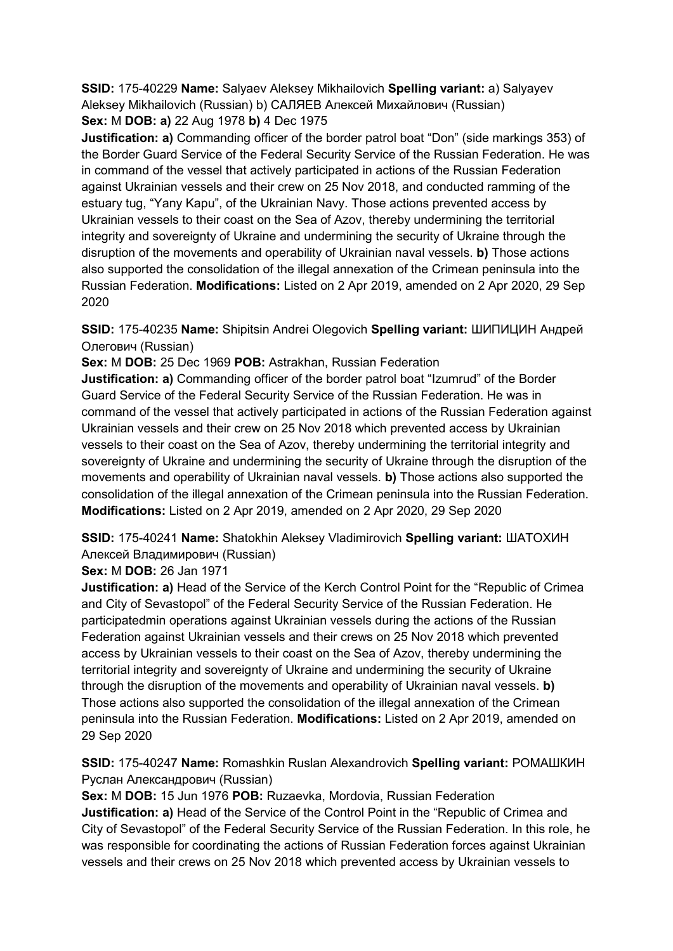**SSID:** 175-40229 **Name:** Salyaev Aleksey Mikhailovich **Spelling variant:** a) Salyayev Aleksey Mikhailovich (Russian) b) САЛЯЕВ Алексей Михайлович (Russian) **Sex:** M **DOB: a)** 22 Aug 1978 **b)** 4 Dec 1975

**Justification: a)** Commanding officer of the border patrol boat "Don" (side markings 353) of the Border Guard Service of the Federal Security Service of the Russian Federation. He was in command of the vessel that actively participated in actions of the Russian Federation against Ukrainian vessels and their crew on 25 Nov 2018, and conducted ramming of the estuary tug, "Yany Kapu", of the Ukrainian Navy. Those actions prevented access by Ukrainian vessels to their coast on the Sea of Azov, thereby undermining the territorial integrity and sovereignty of Ukraine and undermining the security of Ukraine through the disruption of the movements and operability of Ukrainian naval vessels. **b)** Those actions also supported the consolidation of the illegal annexation of the Crimean peninsula into the Russian Federation. **Modifications:** Listed on 2 Apr 2019, amended on 2 Apr 2020, 29 Sep 2020

**SSID:** 175-40235 **Name:** Shipitsin Andrei Olegovich **Spelling variant:** ШИПИЦИН Андрей Олегович (Russian)

**Sex:** M **DOB:** 25 Dec 1969 **POB:** Astrakhan, Russian Federation

**Justification: a)** Commanding officer of the border patrol boat "Izumrud" of the Border Guard Service of the Federal Security Service of the Russian Federation. He was in command of the vessel that actively participated in actions of the Russian Federation against Ukrainian vessels and their crew on 25 Nov 2018 which prevented access by Ukrainian vessels to their coast on the Sea of Azov, thereby undermining the territorial integrity and sovereignty of Ukraine and undermining the security of Ukraine through the disruption of the movements and operability of Ukrainian naval vessels. **b)** Those actions also supported the consolidation of the illegal annexation of the Crimean peninsula into the Russian Federation. **Modifications:** Listed on 2 Apr 2019, amended on 2 Apr 2020, 29 Sep 2020

**SSID:** 175-40241 **Name:** Shatokhin Aleksey Vladimirovich **Spelling variant:** ШАТОХИН Алексей Владимирович (Russian)

**Sex:** M **DOB:** 26 Jan 1971

**Justification: a)** Head of the Service of the Kerch Control Point for the "Republic of Crimea and City of Sevastopol" of the Federal Security Service of the Russian Federation. He participatedmin operations against Ukrainian vessels during the actions of the Russian Federation against Ukrainian vessels and their crews on 25 Nov 2018 which prevented access by Ukrainian vessels to their coast on the Sea of Azov, thereby undermining the territorial integrity and sovereignty of Ukraine and undermining the security of Ukraine through the disruption of the movements and operability of Ukrainian naval vessels. **b)**  Those actions also supported the consolidation of the illegal annexation of the Crimean peninsula into the Russian Federation. **Modifications:** Listed on 2 Apr 2019, amended on 29 Sep 2020

**SSID:** 175-40247 **Name:** Romashkin Ruslan Alexandrovich **Spelling variant:** РОМАШКИН Руслан Александрович (Russian)

**Sex:** M **DOB:** 15 Jun 1976 **POB:** Ruzaevka, Mordovia, Russian Federation **Justification: a)** Head of the Service of the Control Point in the "Republic of Crimea and City of Sevastopol" of the Federal Security Service of the Russian Federation. In this role, he was responsible for coordinating the actions of Russian Federation forces against Ukrainian vessels and their crews on 25 Nov 2018 which prevented access by Ukrainian vessels to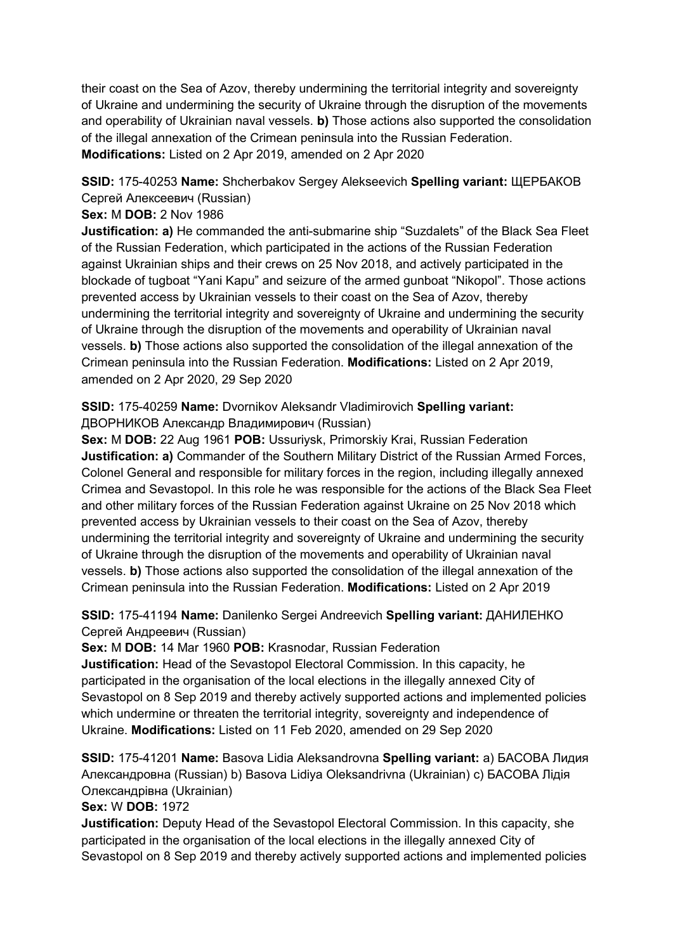their coast on the Sea of Azov, thereby undermining the territorial integrity and sovereignty of Ukraine and undermining the security of Ukraine through the disruption of the movements and operability of Ukrainian naval vessels. **b)** Those actions also supported the consolidation of the illegal annexation of the Crimean peninsula into the Russian Federation. **Modifications:** Listed on 2 Apr 2019, amended on 2 Apr 2020

# **SSID:** 175-40253 **Name:** Shcherbakov Sergey Alekseevich **Spelling variant:** ЩЕРБАКОВ Сергей Алексеевич (Russian)

### **Sex:** M **DOB:** 2 Nov 1986

**Justification: a)** He commanded the anti-submarine ship "Suzdalets" of the Black Sea Fleet of the Russian Federation, which participated in the actions of the Russian Federation against Ukrainian ships and their crews on 25 Nov 2018, and actively participated in the blockade of tugboat "Yani Kapu" and seizure of the armed gunboat "Nikopol". Those actions prevented access by Ukrainian vessels to their coast on the Sea of Azov, thereby undermining the territorial integrity and sovereignty of Ukraine and undermining the security of Ukraine through the disruption of the movements and operability of Ukrainian naval vessels. **b)** Those actions also supported the consolidation of the illegal annexation of the Crimean peninsula into the Russian Federation. **Modifications:** Listed on 2 Apr 2019, amended on 2 Apr 2020, 29 Sep 2020

# **SSID:** 175-40259 **Name:** Dvornikov Aleksandr Vladimirovich **Spelling variant:**  ДВОРНИКОВ Александр Владимирович (Russian)

**Sex:** M **DOB:** 22 Aug 1961 **POB:** Ussuriysk, Primorskiy Krai, Russian Federation **Justification: a)** Commander of the Southern Military District of the Russian Armed Forces, Colonel General and responsible for military forces in the region, including illegally annexed Crimea and Sevastopol. In this role he was responsible for the actions of the Black Sea Fleet and other military forces of the Russian Federation against Ukraine on 25 Nov 2018 which prevented access by Ukrainian vessels to their coast on the Sea of Azov, thereby undermining the territorial integrity and sovereignty of Ukraine and undermining the security of Ukraine through the disruption of the movements and operability of Ukrainian naval vessels. **b)** Those actions also supported the consolidation of the illegal annexation of the Crimean peninsula into the Russian Federation. **Modifications:** Listed on 2 Apr 2019

# **SSID:** 175-41194 **Name:** Danilenko Sergei Andreevich **Spelling variant:** ДАНИЛЕНКО Сергей Андреевич (Russian)

**Sex:** M **DOB:** 14 Mar 1960 **POB:** Krasnodar, Russian Federation

**Justification:** Head of the Sevastopol Electoral Commission. In this capacity, he participated in the organisation of the local elections in the illegally annexed City of Sevastopol on 8 Sep 2019 and thereby actively supported actions and implemented policies which undermine or threaten the territorial integrity, sovereignty and independence of Ukraine. **Modifications:** Listed on 11 Feb 2020, amended on 29 Sep 2020

**SSID:** 175-41201 **Name:** Basova Lidia Aleksandrovna **Spelling variant:** a) БАСОВА Лидия Александровна (Russian) b) Basova Lidiya Oleksandrivna (Ukrainian) c) БАСОВА Лiдiя Олександрiвна (Ukrainian)

**Sex:** W **DOB:** 1972

**Justification:** Deputy Head of the Sevastopol Electoral Commission. In this capacity, she participated in the organisation of the local elections in the illegally annexed City of Sevastopol on 8 Sep 2019 and thereby actively supported actions and implemented policies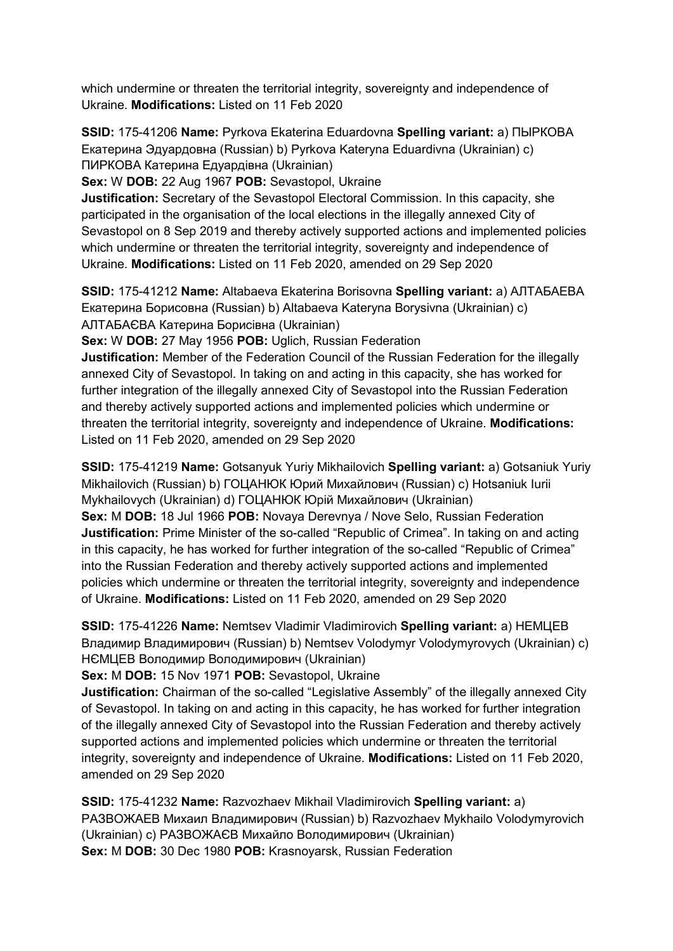which undermine or threaten the territorial integrity, sovereignty and independence of Ukraine. **Modifications:** Listed on 11 Feb 2020

**SSID:** 175-41206 **Name:** Pyrkova Ekaterina Eduardovna **Spelling variant:** a) ПЫРКОВА Екатерина Эдуардовна (Russian) b) Pyrkova Kateryna Eduardivna (Ukrainian) c) ПИРКОВА Катерина Едуардiвна (Ukrainian)

**Sex:** W **DOB:** 22 Aug 1967 **POB:** Sevastopol, Ukraine

**Justification:** Secretary of the Sevastopol Electoral Commission. In this capacity, she participated in the organisation of the local elections in the illegally annexed City of Sevastopol on 8 Sep 2019 and thereby actively supported actions and implemented policies which undermine or threaten the territorial integrity, sovereignty and independence of Ukraine. **Modifications:** Listed on 11 Feb 2020, amended on 29 Sep 2020

**SSID:** 175-41212 **Name:** Altabaeva Ekaterina Borisovna **Spelling variant:** a) АЛТАБАЕВА Екатерина Борисовна (Russian) b) Altabaeva Kateryna Borysivna (Ukrainian) c) АЛТАБАЄВА Катерина Борисiвна (Ukrainian)

**Sex:** W **DOB:** 27 May 1956 **POB:** Uglich, Russian Federation

**Justification:** Member of the Federation Council of the Russian Federation for the illegally annexed City of Sevastopol. In taking on and acting in this capacity, she has worked for further integration of the illegally annexed City of Sevastopol into the Russian Federation and thereby actively supported actions and implemented policies which undermine or threaten the territorial integrity, sovereignty and independence of Ukraine. **Modifications:**  Listed on 11 Feb 2020, amended on 29 Sep 2020

**SSID:** 175-41219 **Name:** Gotsanyuk Yuriy Mikhailovich **Spelling variant:** a) Gotsaniuk Yuriy Mikhailovich (Russian) b) ГОЦАНЮК Юрий Михайлович (Russian) c) Hotsaniuk Iurii Mykhailovych (Ukrainian) d) ГОЦАНЮК Юрiй Михайлович (Ukrainian) **Sex:** M **DOB:** 18 Jul 1966 **POB:** Novaya Derevnya / Nove Selo, Russian Federation **Justification:** Prime Minister of the so-called "Republic of Crimea". In taking on and acting in this capacity, he has worked for further integration of the so-called "Republic of Crimea" into the Russian Federation and thereby actively supported actions and implemented policies which undermine or threaten the territorial integrity, sovereignty and independence of Ukraine. **Modifications:** Listed on 11 Feb 2020, amended on 29 Sep 2020

**SSID:** 175-41226 **Name:** Nemtsev Vladimir Vladimirovich **Spelling variant:** a) НЕМЦЕВ Владимир Владимирович (Russian) b) Nemtsev Volodymyr Volodymyrovych (Ukrainian) c) НЄМЦЕВ Володимир Володимирович (Ukrainian)

**Sex:** M **DOB:** 15 Nov 1971 **POB:** Sevastopol, Ukraine

**Justification:** Chairman of the so-called "Legislative Assembly" of the illegally annexed City of Sevastopol. In taking on and acting in this capacity, he has worked for further integration of the illegally annexed City of Sevastopol into the Russian Federation and thereby actively supported actions and implemented policies which undermine or threaten the territorial integrity, sovereignty and independence of Ukraine. **Modifications:** Listed on 11 Feb 2020, amended on 29 Sep 2020

**SSID:** 175-41232 **Name:** Razvozhaev Mikhail Vladimirovich **Spelling variant:** a) РАЗВОЖАЕВ Михаил Владимирович (Russian) b) Razvozhaev Mykhailo Volodymyrovich (Ukrainian) c) РАЗВОЖАЄВ Михайло Володимирович (Ukrainian) **Sex:** M **DOB:** 30 Dec 1980 **POB:** Krasnoyarsk, Russian Federation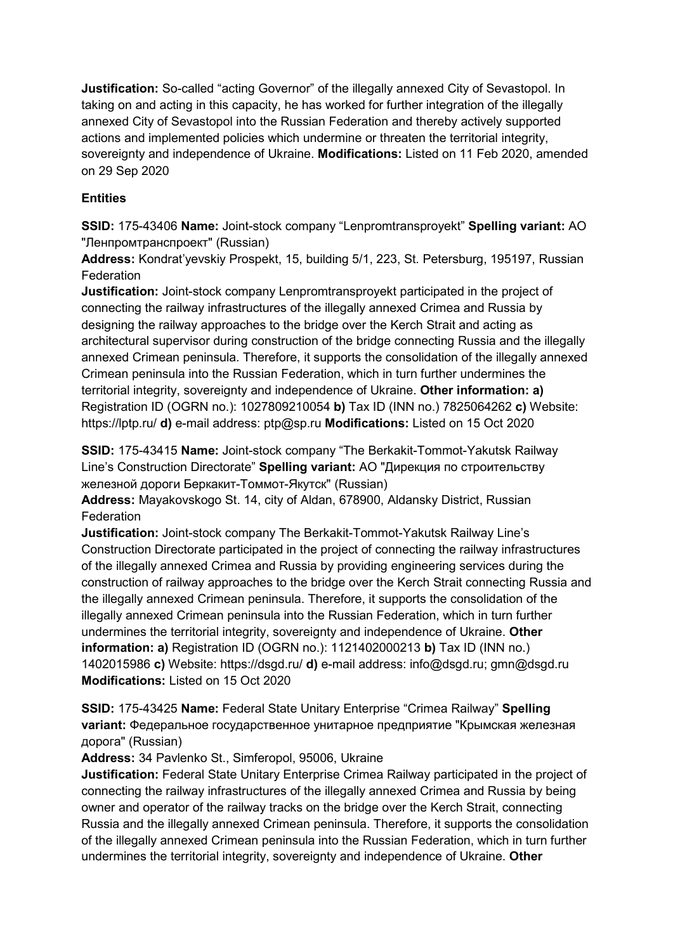**Justification:** So-called "acting Governor" of the illegally annexed City of Sevastopol. In taking on and acting in this capacity, he has worked for further integration of the illegally annexed City of Sevastopol into the Russian Federation and thereby actively supported actions and implemented policies which undermine or threaten the territorial integrity, sovereignty and independence of Ukraine. **Modifications:** Listed on 11 Feb 2020, amended on 29 Sep 2020

# **Entities**

**SSID:** 175-43406 **Name:** Joint-stock company "Lenpromtransproyekt" **Spelling variant:** АО "Ленпромтранспроект" (Russian)

**Address:** Kondrat'yevskiy Prospekt, 15, building 5/1, 223, St. Petersburg, 195197, Russian **Federation** 

**Justification:** Joint-stock company Lenpromtransproyekt participated in the project of connecting the railway infrastructures of the illegally annexed Crimea and Russia by designing the railway approaches to the bridge over the Kerch Strait and acting as architectural supervisor during construction of the bridge connecting Russia and the illegally annexed Crimean peninsula. Therefore, it supports the consolidation of the illegally annexed Crimean peninsula into the Russian Federation, which in turn further undermines the territorial integrity, sovereignty and independence of Ukraine. **Other information: a)**  Registration ID (OGRN no.): 1027809210054 **b)** Tax ID (INN no.) 7825064262 **c)** Website: https://lptp.ru/ **d)** e-mail address: ptp@sp.ru **Modifications:** Listed on 15 Oct 2020

**SSID:** 175-43415 **Name:** Joint-stock company "The Berkakit-Tommot-Yakutsk Railway Line's Construction Directorate" **Spelling variant:** АО "Дирекция по строительству железной дороги Беркакит-Томмот-Якутск" (Russian)

**Address:** Mayakovskogo St. 14, city of Aldan, 678900, Aldansky District, Russian **Federation** 

**Justification:** Joint-stock company The Berkakit-Tommot-Yakutsk Railway Line's Construction Directorate participated in the project of connecting the railway infrastructures of the illegally annexed Crimea and Russia by providing engineering services during the construction of railway approaches to the bridge over the Kerch Strait connecting Russia and the illegally annexed Crimean peninsula. Therefore, it supports the consolidation of the illegally annexed Crimean peninsula into the Russian Federation, which in turn further undermines the territorial integrity, sovereignty and independence of Ukraine. **Other information: a)** Registration ID (OGRN no.): 1121402000213 **b)** Tax ID (INN no.) 1402015986 **c)** Website: https://dsgd.ru/ **d)** e-mail address: info@dsgd.ru; gmn@dsgd.ru **Modifications:** Listed on 15 Oct 2020

**SSID:** 175-43425 **Name:** Federal State Unitary Enterprise "Crimea Railway" **Spelling variant:** Федеральное государственное унитарное предприятие "Крымская железная дорога" (Russian)

**Address:** 34 Pavlenko St., Simferopol, 95006, Ukraine

**Justification:** Federal State Unitary Enterprise Crimea Railway participated in the project of connecting the railway infrastructures of the illegally annexed Crimea and Russia by being owner and operator of the railway tracks on the bridge over the Kerch Strait, connecting Russia and the illegally annexed Crimean peninsula. Therefore, it supports the consolidation of the illegally annexed Crimean peninsula into the Russian Federation, which in turn further undermines the territorial integrity, sovereignty and independence of Ukraine. **Other**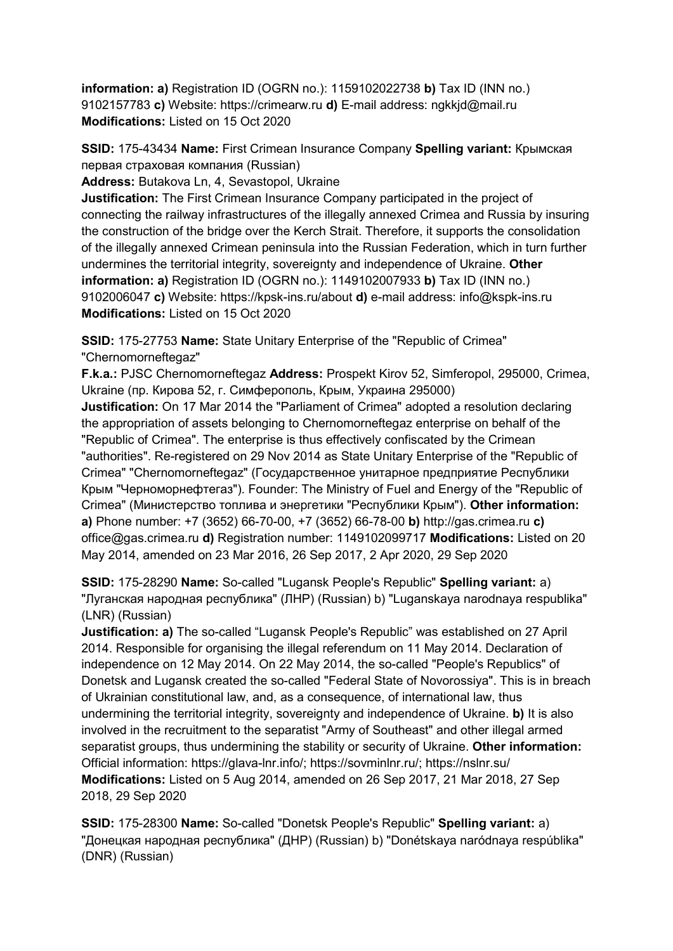**information: a)** Registration ID (OGRN no.): 1159102022738 **b)** Tax ID (INN no.) 9102157783 **c)** Website: https://crimearw.ru **d)** E-mail address: ngkkjd@mail.ru **Modifications:** Listed on 15 Oct 2020

**SSID:** 175-43434 **Name:** First Crimean Insurance Company **Spelling variant:** Крымская первая страховая компания (Russian)

**Address:** Butakova Ln, 4, Sevastopol, Ukraine

**Justification:** The First Crimean Insurance Company participated in the project of connecting the railway infrastructures of the illegally annexed Crimea and Russia by insuring the construction of the bridge over the Kerch Strait. Therefore, it supports the consolidation of the illegally annexed Crimean peninsula into the Russian Federation, which in turn further undermines the territorial integrity, sovereignty and independence of Ukraine. **Other information: a)** Registration ID (OGRN no.): 1149102007933 **b)** Tax ID (INN no.) 9102006047 **c)** Website: https://kpsk-ins.ru/about **d)** e-mail address: info@kspk-ins.ru **Modifications:** Listed on 15 Oct 2020

**SSID:** 175-27753 **Name:** State Unitary Enterprise of the "Republic of Crimea" "Chernomorneftegaz"

**F.k.a.:** PJSC Chernomorneftegaz **Address:** Prospekt Kirov 52, Simferopol, 295000, Crimea, Ukraine (пр. Кирова 52, г. Симферополь, Крым, Украина 295000)

**Justification:** On 17 Mar 2014 the "Parliament of Crimea" adopted a resolution declaring the appropriation of assets belonging to Chernomorneftegaz enterprise on behalf of the "Republic of Crimea". The enterprise is thus effectively confiscated by the Crimean "authorities". Re-registered on 29 Nov 2014 as State Unitary Enterprise of the "Republic of Crimea" "Chernomorneftegaz" (Государственное унитарное предприятие Республики Крым "Черноморнефтегаз"). Founder: The Ministry of Fuel and Energy of the "Republic of Crimea" (Министерство топлива и энергетики "Республики Крым"). **Other information: a)** Phone number: +7 (3652) 66-70-00, +7 (3652) 66-78-00 **b)** http://gas.crimea.ru **c)**  office@gas.crimea.ru **d)** Registration number: 1149102099717 **Modifications:** Listed on 20 May 2014, amended on 23 Mar 2016, 26 Sep 2017, 2 Apr 2020, 29 Sep 2020

**SSID:** 175-28290 **Name:** So-called "Lugansk People's Republic" **Spelling variant:** a) "Луганская народная республика" (ЛНР) (Russian) b) "Luganskaya narodnaya respublika" (LNR) (Russian)

**Justification: a)** The so-called "Lugansk People's Republic" was established on 27 April 2014. Responsible for organising the illegal referendum on 11 May 2014. Declaration of independence on 12 May 2014. On 22 May 2014, the so-called "People's Republics" of Donetsk and Lugansk created the so-called "Federal State of Novorossiya". This is in breach of Ukrainian constitutional law, and, as a consequence, of international law, thus undermining the territorial integrity, sovereignty and independence of Ukraine. **b)** It is also involved in the recruitment to the separatist "Army of Southeast" and other illegal armed separatist groups, thus undermining the stability or security of Ukraine. **Other information:** Official information: https://glava-lnr.info/; https://sovminlnr.ru/; https://nslnr.su/ **Modifications:** Listed on 5 Aug 2014, amended on 26 Sep 2017, 21 Mar 2018, 27 Sep 2018, 29 Sep 2020

**SSID:** 175-28300 **Name:** So-called "Donetsk People's Republic" **Spelling variant:** a) "Донецкая народная республика" (ДНР) (Russian) b) "Donétskaya naródnaya respúblika" (DNR) (Russian)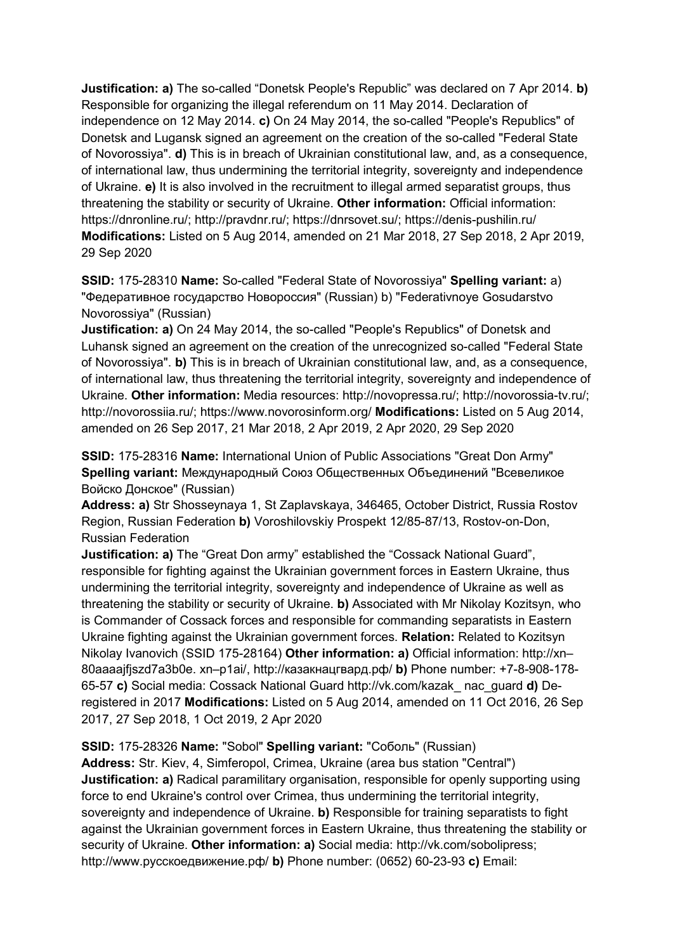**Justification: a)** The so-called "Donetsk People's Republic" was declared on 7 Apr 2014. **b)**  Responsible for organizing the illegal referendum on 11 May 2014. Declaration of independence on 12 May 2014. **c)** On 24 May 2014, the so-called "People's Republics" of Donetsk and Lugansk signed an agreement on the creation of the so-called "Federal State of Novorossiya". **d)** This is in breach of Ukrainian constitutional law, and, as a consequence, of international law, thus undermining the territorial integrity, sovereignty and independence of Ukraine. **e)** It is also involved in the recruitment to illegal armed separatist groups, thus threatening the stability or security of Ukraine. **Other information:** Official information: https://dnronline.ru/; http://pravdnr.ru/; https://dnrsovet.su/; https://denis-pushilin.ru/ **Modifications:** Listed on 5 Aug 2014, amended on 21 Mar 2018, 27 Sep 2018, 2 Apr 2019, 29 Sep 2020

**SSID:** 175-28310 **Name:** So-called "Federal State of Novorossiya" **Spelling variant:** a) "Федеративное государство Новороссия" (Russian) b) "Federativnoye Gosudarstvo Novorossiya" (Russian)

**Justification: a)** On 24 May 2014, the so-called "People's Republics" of Donetsk and Luhansk signed an agreement on the creation of the unrecognized so-called "Federal State of Novorossiya". **b)** This is in breach of Ukrainian constitutional law, and, as a consequence, of international law, thus threatening the territorial integrity, sovereignty and independence of Ukraine. **Other information:** Media resources: http://novopressa.ru/; http://novorossia-tv.ru/; http://novorossiia.ru/; https://www.novorosinform.org/ **Modifications:** Listed on 5 Aug 2014, amended on 26 Sep 2017, 21 Mar 2018, 2 Apr 2019, 2 Apr 2020, 29 Sep 2020

**SSID:** 175-28316 **Name:** International Union of Public Associations "Great Don Army" **Spelling variant:** Международный Союз Общественных Объединений "Всевеликое Войско Донское" (Russian)

**Address: a)** Str Shosseynaya 1, St Zaplavskaya, 346465, October District, Russia Rostov Region, Russian Federation **b)** Voroshilovskiy Prospekt 12/85-87/13, Rostov-on-Don, Russian Federation

**Justification: a)** The "Great Don army" established the "Cossack National Guard", responsible for fighting against the Ukrainian government forces in Eastern Ukraine, thus undermining the territorial integrity, sovereignty and independence of Ukraine as well as threatening the stability or security of Ukraine. **b)** Associated with Mr Nikolay Kozitsyn, who is Commander of Cossack forces and responsible for commanding separatists in Eastern Ukraine fighting against the Ukrainian government forces. **Relation:** Related to Kozitsyn Nikolay Ivanovich (SSID 175-28164) **Other information: a)** Official information: http://xn– 80aaaajfjszd7a3b0e. xn–p1ai/, http://казакнацгвард.рф/ **b)** Phone number: +7-8-908-178- 65-57 **c)** Social media: Cossack National Guard http://vk.com/kazak\_ nac\_guard **d)** Deregistered in 2017 **Modifications:** Listed on 5 Aug 2014, amended on 11 Oct 2016, 26 Sep 2017, 27 Sep 2018, 1 Oct 2019, 2 Apr 2020

#### **SSID:** 175-28326 **Name:** "Sobol" **Spelling variant:** "Соболь" (Russian)

**Address:** Str. Kiev, 4, Simferopol, Crimea, Ukraine (area bus station "Central") **Justification: a)** Radical paramilitary organisation, responsible for openly supporting using force to end Ukraine's control over Crimea, thus undermining the territorial integrity, sovereignty and independence of Ukraine. **b)** Responsible for training separatists to fight against the Ukrainian government forces in Eastern Ukraine, thus threatening the stability or security of Ukraine. **Other information: a)** Social media: http://vk.com/sobolipress; http://www.русскоедвижение.рф/ **b)** Phone number: (0652) 60-23-93 **c)** Email: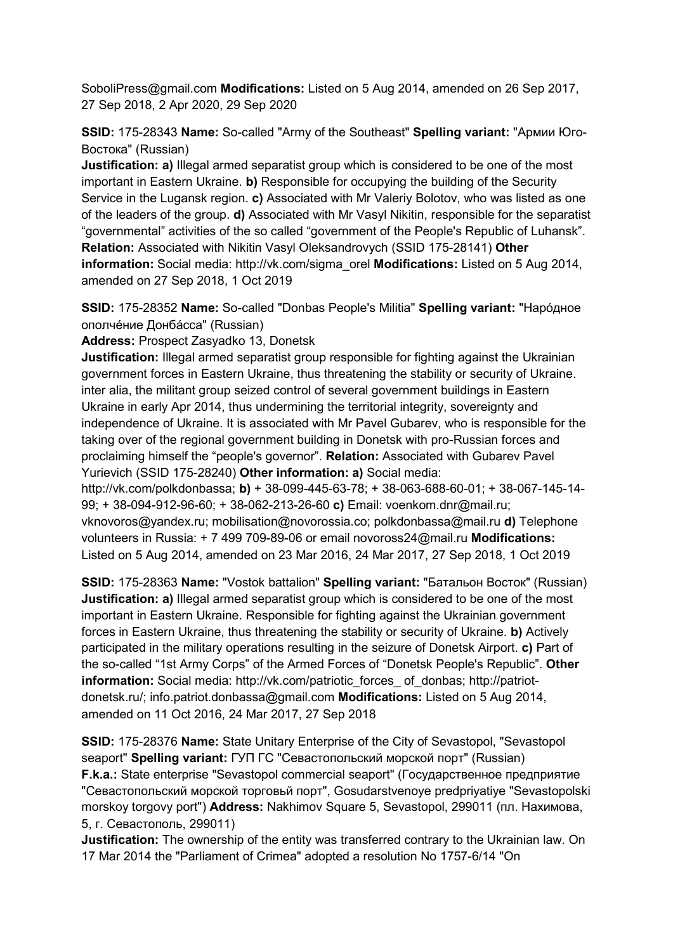SoboliPress@gmail.com **Modifications:** Listed on 5 Aug 2014, amended on 26 Sep 2017, 27 Sep 2018, 2 Apr 2020, 29 Sep 2020

**SSID:** 175-28343 **Name:** So-called "Army of the Southeast" **Spelling variant:** "Армии Юго-Востока" (Russian)

**Justification: a)** Illegal armed separatist group which is considered to be one of the most important in Eastern Ukraine. **b)** Responsible for occupying the building of the Security Service in the Lugansk region. **c)** Associated with Mr Valeriy Bolotov, who was listed as one of the leaders of the group. **d)** Associated with Mr Vasyl Nikitin, responsible for the separatist "governmental" activities of the so called "government of the People's Republic of Luhansk". **Relation:** Associated with Nikitin Vasyl Oleksandrovych (SSID 175-28141) **Other information:** Social media: http://vk.com/sigma\_orel **Modifications:** Listed on 5 Aug 2014, amended on 27 Sep 2018, 1 Oct 2019

**SSID:** 175-28352 **Name:** So-called "Donbas People's Militia" **Spelling variant:** "Нарóдное ополчéние Донбáсса" (Russian)

**Address:** Prospect Zasyadko 13, Donetsk

**Justification:** Illegal armed separatist group responsible for fighting against the Ukrainian government forces in Eastern Ukraine, thus threatening the stability or security of Ukraine. inter alia, the militant group seized control of several government buildings in Eastern Ukraine in early Apr 2014, thus undermining the territorial integrity, sovereignty and independence of Ukraine. It is associated with Mr Pavel Gubarev, who is responsible for the taking over of the regional government building in Donetsk with pro-Russian forces and proclaiming himself the "people's governor". **Relation:** Associated with Gubarev Pavel Yurievich (SSID 175-28240) **Other information: a)** Social media:

http://vk.com/polkdonbassa; **b)** + 38-099-445-63-78; + 38-063-688-60-01; + 38-067-145-14- 99; + 38-094-912-96-60; + 38-062-213-26-60 **c)** Email: voenkom.dnr@mail.ru; vknovoros@yandex.ru; mobilisation@novorossia.co; polkdonbassa@mail.ru **d)** Telephone volunteers in Russia: + 7 499 709-89-06 or email novoross24@mail.ru **Modifications:**  Listed on 5 Aug 2014, amended on 23 Mar 2016, 24 Mar 2017, 27 Sep 2018, 1 Oct 2019

**SSID:** 175-28363 **Name:** "Vostok battalion" **Spelling variant:** "Батальон Восток" (Russian) **Justification: a)** Illegal armed separatist group which is considered to be one of the most important in Eastern Ukraine. Responsible for fighting against the Ukrainian government forces in Eastern Ukraine, thus threatening the stability or security of Ukraine. **b)** Actively participated in the military operations resulting in the seizure of Donetsk Airport. **c)** Part of the so-called "1st Army Corps" of the Armed Forces of "Donetsk People's Republic". **Other information:** Social media: http://vk.com/patriotic\_forces\_ of\_donbas; http://patriotdonetsk.ru/; info.patriot.donbassa@gmail.com **Modifications:** Listed on 5 Aug 2014, amended on 11 Oct 2016, 24 Mar 2017, 27 Sep 2018

**SSID:** 175-28376 **Name:** State Unitary Enterprise of the City of Sevastopol, "Sevastopol seaport" **Spelling variant:** ГУП ГС "Севастопольский морской порт" (Russian) **F.k.a.:** State enterprise "Sevastopol commercial seaport" (Государственное предприятие "Севастопольский морской торговьй порт", Gosudarstvenoye predpriyatiye "Sevastopolski morskoy torgovy port") **Address:** Nakhimov Square 5, Sevastopol, 299011 (пл. Нахимова, 5, г. Севастополь, 299011)

**Justification:** The ownership of the entity was transferred contrary to the Ukrainian law. On 17 Mar 2014 the "Parliament of Crimea" adopted a resolution No 1757-6/14 "On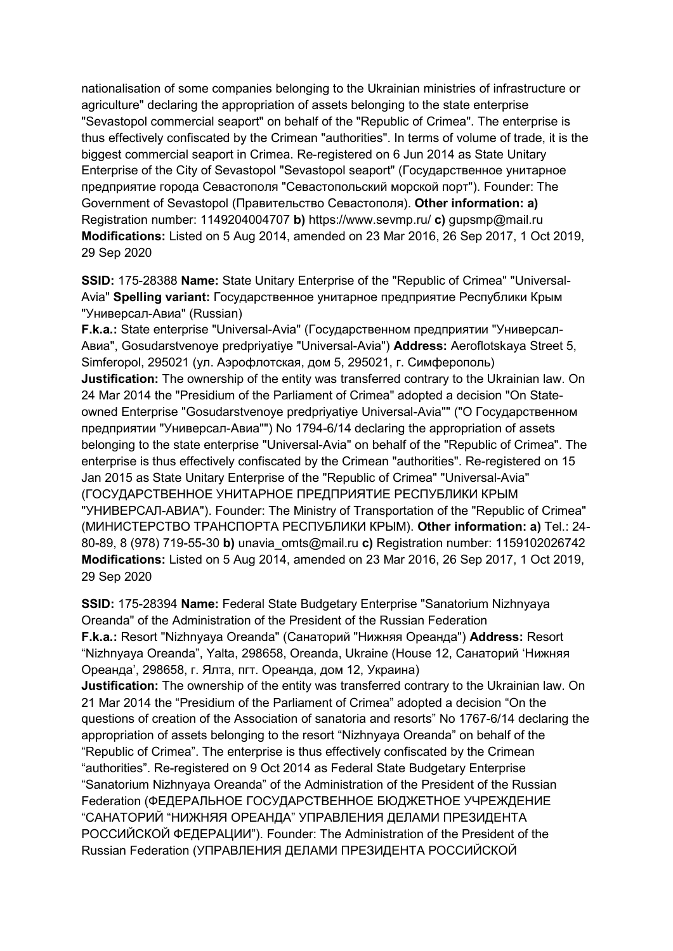nationalisation of some companies belonging to the Ukrainian ministries of infrastructure or agriculture" declaring the appropriation of assets belonging to the state enterprise "Sevastopol commercial seaport" on behalf of the "Republic of Crimea". The enterprise is thus effectively confiscated by the Crimean "authorities". In terms of volume of trade, it is the biggest commercial seaport in Crimea. Re-registered on 6 Jun 2014 as State Unitary Enterprise of the City of Sevastopol "Sevastopol seaport" (Государственное унитарное предприятие города Севастополя "Севастопольский морской порт"). Founder: The Government of Sevastopol (Правительство Севастополя). **Other information: a)**  Registration number: 1149204004707 **b)** https://www.sevmp.ru/ **c)** gupsmp@mail.ru **Modifications:** Listed on 5 Aug 2014, amended on 23 Mar 2016, 26 Sep 2017, 1 Oct 2019, 29 Sep 2020

**SSID:** 175-28388 **Name:** State Unitary Enterprise of the "Republic of Crimea" "Universal-Avia" **Spelling variant:** Государственное унитарное предприятие Республики Крым "Универсал-Авиа" (Russian)

**F.k.a.:** State enterprise "Universal-Avia" (Государственном предприятии "Универсал-Авиа", Gosudarstvenoye predpriyatiye "Universal-Avia") **Address:** Aeroflotskaya Street 5, Simferopol, 295021 (ул. Аэрофлотская, дом 5, 295021, г. Симферополь) **Justification:** The ownership of the entity was transferred contrary to the Ukrainian law. On 24 Mar 2014 the "Presidium of the Parliament of Crimea" adopted a decision "On Stateowned Enterprise "Gosudarstvenoye predpriyatiye Universal-Avia"" ("О Государственном предприятии "Универсал-Авиа"") No 1794-6/14 declaring the appropriation of assets belonging to the state enterprise "Universal-Avia" on behalf of the "Republic of Crimea". The enterprise is thus effectively confiscated by the Crimean "authorities". Re-registered on 15 Jan 2015 as State Unitary Enterprise of the "Republic of Crimea" "Universal-Avia" (ГОСУДАРСТВЕННОЕ УНИТАРНОЕ ПРЕДПРИЯТИЕ РЕСПУБЛИКИ КРЫМ "УНИВЕРСАЛ-АВИА"). Founder: The Ministry of Transportation of the "Republic of Crimea" (МИНИСТЕРСТВО ТРАНСПОРТА РЕСПУБЛИКИ КРЫМ). **Other information: a)** Tel.: 24- 80-89, 8 (978) 719-55-30 **b)** unavia\_omts@mail.ru **c)** Registration number: 1159102026742 **Modifications:** Listed on 5 Aug 2014, amended on 23 Mar 2016, 26 Sep 2017, 1 Oct 2019, 29 Sep 2020

**SSID:** 175-28394 **Name:** Federal State Budgetary Enterprise "Sanatorium Nizhnyaya Oreanda" of the Administration of the President of the Russian Federation **F.k.a.:** Resort "Nizhnyaya Oreanda" (Санаторий "Нижняя Ореанда") **Address:** Resort "Nizhnyaya Oreanda", Yalta, 298658, Oreanda, Ukraine (House 12, Санаторий 'Нижняя Ореанда', 298658, г. Ялта, пгт. Ореанда, дом 12, Украина) **Justification:** The ownership of the entity was transferred contrary to the Ukrainian law. On 21 Mar 2014 the "Presidium of the Parliament of Crimea" adopted a decision "On the questions of creation of the Association of sanatoria and resorts" No 1767-6/14 declaring the appropriation of assets belonging to the resort "Nizhnyaya Oreanda" on behalf of the "Republic of Crimea". The enterprise is thus effectively confiscated by the Crimean "authorities". Re-registered on 9 Oct 2014 as Federal State Budgetary Enterprise "Sanatorium Nizhnyaya Oreanda" of the Administration of the President of the Russian Federation (ФЕДЕРАЛЬНОЕ ГОСУДАРСТВЕННОЕ БЮДЖЕТНОЕ УЧРЕЖДЕНИЕ "САНАТОРИЙ "НИЖНЯЯ ОРЕАНДА" УПРАВЛЕНИЯ ДЕЛАМИ ПРЕЗИДЕНТА РОССИЙСКОЙ ФЕДЕРАЦИИ"). Founder: The Administration of the President of the Russian Federation (УПРАВЛЕНИЯ ДЕЛАМИ ПРЕЗИДЕНТА РОССИЙСКОЙ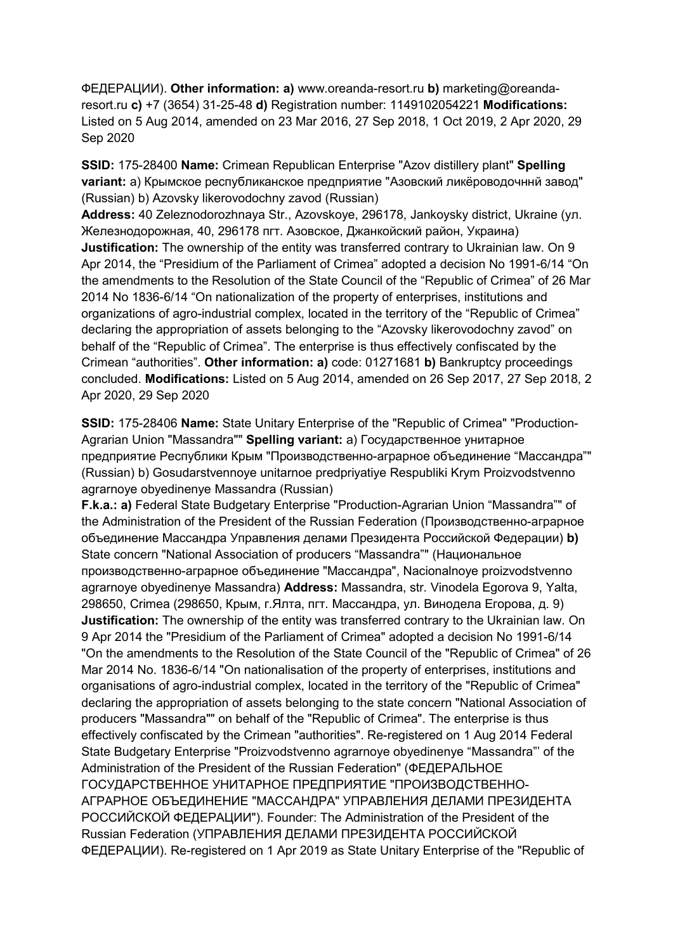ФЕДЕРАЦИИ). **Other information: a)** www.oreanda-resort.ru **b)** marketing@oreandaresort.ru **c)** +7 (3654) 31-25-48 **d)** Registration number: 1149102054221 **Modifications:**  Listed on 5 Aug 2014, amended on 23 Mar 2016, 27 Sep 2018, 1 Oct 2019, 2 Apr 2020, 29 Sep 2020

**SSID:** 175-28400 **Name:** Crimean Republican Enterprise "Azov distillery plant" **Spelling variant:** a) Крымское республиканское предприятие "Азовский ликёроводочннй завод" (Russian) b) Azovsky likerovodochny zavod (Russian)

**Address:** 40 Zeleznodorozhnaya Str., Azovskoye, 296178, Jankoysky district, Ukraine (ул. Железнодорожная, 40, 296178 пгт. Азовское, Джанкойский район, Украина) **Justification:** The ownership of the entity was transferred contrary to Ukrainian law. On 9 Apr 2014, the "Presidium of the Parliament of Crimea" adopted a decision No 1991-6/14 "On the amendments to the Resolution of the State Council of the "Republic of Crimea" of 26 Mar 2014 No 1836-6/14 "On nationalization of the property of enterprises, institutions and organizations of agro-industrial complex, located in the territory of the "Republic of Crimea" declaring the appropriation of assets belonging to the "Azovsky likerovodochny zavod" on behalf of the "Republic of Crimea". The enterprise is thus effectively confiscated by the Crimean "authorities". **Other information: a)** code: 01271681 **b)** Bankruptcy proceedings concluded. **Modifications:** Listed on 5 Aug 2014, amended on 26 Sep 2017, 27 Sep 2018, 2 Apr 2020, 29 Sep 2020

**SSID:** 175-28406 **Name:** State Unitary Enterprise of the "Republic of Crimea" "Production-Agrarian Union "Massandra"" **Spelling variant:** a) Государственное унитарное предприятие Республики Крым "Производственно-аграрное объединение "Массандра"" (Russian) b) Gosudarstvennoye unitarnoe predpriyatiye Respubliki Krym Proizvodstvenno agrarnoye obyedinenye Massandra (Russian)

**F.k.a.: a)** Federal State Budgetary Enterprise "Production-Agrarian Union "Massandra"" of the Administration of the President of the Russian Federation (Производственно-аграрное объединение Массандра Управления делами Президента Российской Федерации) **b)**  State concern "National Association of producers "Massandra"" (Национальное производственно-аграрное объединение "Массандра", Nacionalnoye proizvodstvenno agrarnoye obyedinenye Massandra) **Address:** Massandra, str. Vinodela Egorova 9, Yalta, 298650, Crimea (298650, Крым, г.Ялта, пгт. Массандра, ул. Винодела Егорова, д. 9) **Justification:** The ownership of the entity was transferred contrary to the Ukrainian law. On 9 Apr 2014 the "Presidium of the Parliament of Crimea" adopted a decision No 1991-6/14 "On the amendments to the Resolution of the State Council of the "Republic of Crimea" of 26 Mar 2014 No. 1836-6/14 "On nationalisation of the property of enterprises, institutions and organisations of agro-industrial complex, located in the territory of the "Republic of Crimea" declaring the appropriation of assets belonging to the state concern "National Association of producers "Massandra"" on behalf of the "Republic of Crimea". The enterprise is thus effectively confiscated by the Crimean "authorities". Re-registered on 1 Aug 2014 Federal State Budgetary Enterprise "Proizvodstvenno agrarnoye obyedinenye "Massandra"' of the Administration of the President of the Russian Federation" (ФЕДЕРАЛЬНОЕ ГОСУДАРСТВЕННОЕ УНИТАРНОЕ ПРЕДПРИЯТИЕ "ПРОИЗВОДСТВЕННО-АГРАРНОЕ ОБЪЕДИНЕНИЕ "МАССАНДРА" УПРАВЛЕНИЯ ДЕЛАМИ ПРЕЗИДЕНТА РОССИЙСКОЙ ФЕДЕРАЦИИ"). Founder: The Administration of the President of the Russian Federation (УПРАВЛЕНИЯ ДЕЛАМИ ПРЕЗИДЕНТА РОССИЙСКОЙ ФЕДЕРАЦИИ). Re-registered on 1 Apr 2019 as State Unitary Enterprise of the "Republic of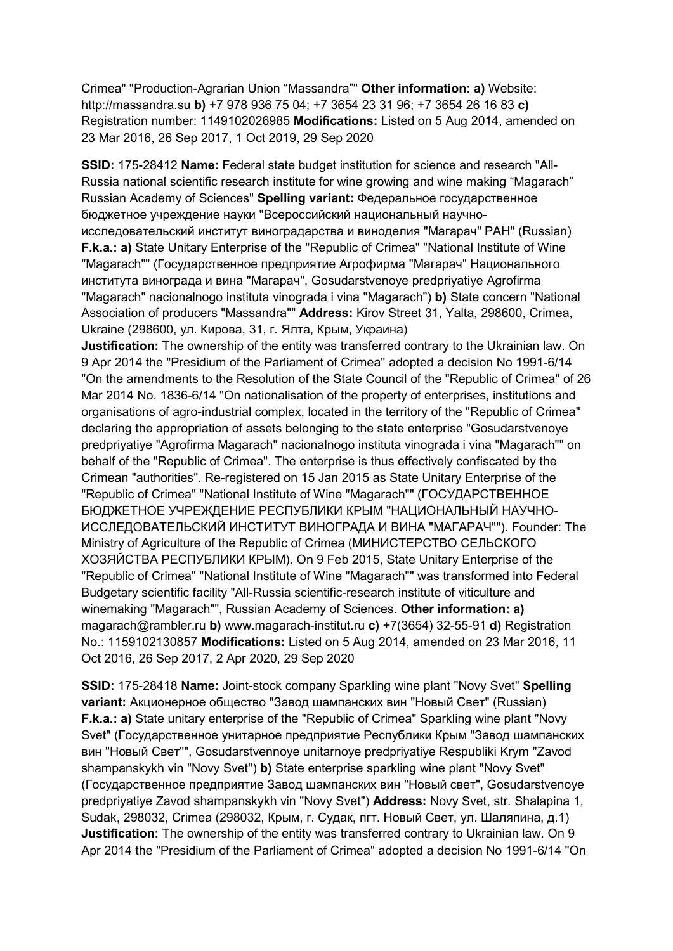Crimea" "Production-Agrarian Union "Massandra"" **Other information: a)** Website: http://massandra.su **b)** +7 978 936 75 04; +7 3654 23 31 96; +7 3654 26 16 83 **c)**  Registration number: 1149102026985 **Modifications:** Listed on 5 Aug 2014, amended on 23 Mar 2016, 26 Sep 2017, 1 Oct 2019, 29 Sep 2020

**SSID:** 175-28412 **Name:** Federal state budget institution for science and research "All-Russia national scientific research institute for wine growing and wine making "Magarach" Russian Academy of Sciences" **Spelling variant:** Федеральное государственное бюджетное учреждение науки "Всероссийский национальный научноисследовательский институт виноградарства и виноделия "Магарач" РАН" (Russian) **F.k.a.: a)** State Unitary Enterprise of the "Republic of Crimea" "National Institute of Wine "Magarach"" (Государственное предприятие Агрофирма "Магарач" Национального института винограда и вина "Магарач", Gosudarstvenoye predpriyatiye Agrofirma "Magarach" nacionalnogo instituta vinograda i vina "Magarach") **b)** State concern "National Association of producers "Massandra"" **Address:** Kirov Street 31, Yalta, 298600, Crimea, Ukraine (298600, ул. Кирова, 31, г. Ялта, Крым, Украина)

**Justification:** The ownership of the entity was transferred contrary to the Ukrainian law. On 9 Apr 2014 the "Presidium of the Parliament of Crimea" adopted a decision No 1991-6/14 "On the amendments to the Resolution of the State Council of the "Republic of Crimea" of 26 Mar 2014 No. 1836-6/14 "On nationalisation of the property of enterprises, institutions and organisations of agro-industrial complex, located in the territory of the "Republic of Crimea" declaring the appropriation of assets belonging to the state enterprise "Gosudarstvenoye predpriyatiye "Agrofirma Magarach" nacionalnogo instituta vinograda i vina "Magarach"" on behalf of the "Republic of Crimea". The enterprise is thus effectively confiscated by the Crimean "authorities". Re-registered on 15 Jan 2015 as State Unitary Enterprise of the "Republic of Crimea" "National Institute of Wine "Magarach"" (ГОСУДАРСТВЕННОЕ БЮДЖЕТНОЕ УЧРЕЖДЕНИЕ РЕСПУБЛИКИ КРЫМ "НАЦИОНАЛЬНЫЙ НАУЧНО-ИССЛЕДОВАТЕЛЬСКИЙ ИНСТИТУТ ВИНОГРАДА И ВИНА "МАГАРАЧ""). Founder: The Ministry of Agriculture of the Republic of Crimea (МИНИСТЕРСТВО СЕЛЬСКОГО ХОЗЯЙСТВА РЕСПУБЛИКИ КРЫМ). On 9 Feb 2015, State Unitary Enterprise of the "Republic of Crimea" "National Institute of Wine "Magarach"" was transformed into Federal Budgetary scientific facility "All-Russia scientific-research institute of viticulture and winemaking "Magarach"", Russian Academy of Sciences. **Other information: a)**  magarach@rambler.ru **b)** www.magarach-institut.ru **c)** +7(3654) 32-55-91 **d)** Registration No.: 1159102130857 **Modifications:** Listed on 5 Aug 2014, amended on 23 Mar 2016, 11 Oct 2016, 26 Sep 2017, 2 Apr 2020, 29 Sep 2020

**SSID:** 175-28418 **Name:** Joint-stock company Sparkling wine plant "Novy Svet" **Spelling variant:** Aкционерное общество "Завод шампанских вин "Новый Свет" (Russian) **F.k.a.: a)** State unitary enterprise of the "Republic of Crimea" Sparkling wine plant "Novy Svet" (Государственное унитарное предприятие Республики Крым "Завод шампанских вин "Новый Свет"", Gosudarstvennoye unitarnoye predpriyatiye Respubliki Krym "Zavod shampanskykh vin "Novy Svet") **b)** State enterprise sparkling wine plant "Novy Svet" (Государственное предприятие Завод шампанских вин "Новый свет", Gosudarstvenoye predpriyatiye Zavod shampanskykh vin "Novy Svet") **Address:** Novy Svet, str. Shalapina 1, Sudak, 298032, Crimea (298032, Крым, г. Судак, пгт. Новый Свет, ул. Шаляпина, д.1) **Justification:** The ownership of the entity was transferred contrary to Ukrainian law. On 9 Apr 2014 the "Presidium of the Parliament of Crimea" adopted a decision No 1991-6/14 "On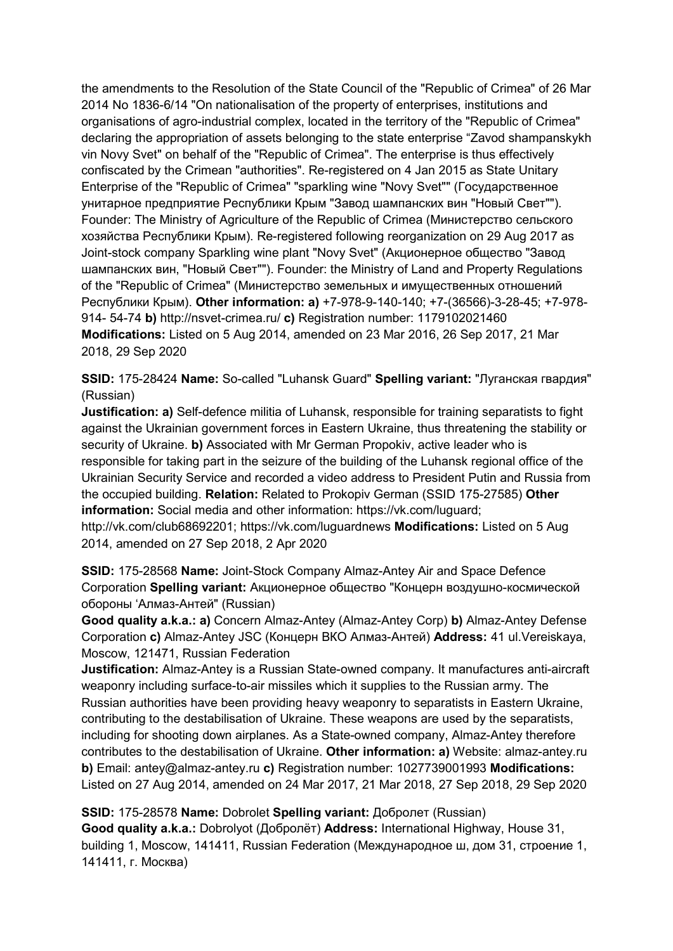the amendments to the Resolution of the State Council of the "Republic of Crimea" of 26 Mar 2014 No 1836-6/14 "On nationalisation of the property of enterprises, institutions and organisations of agro-industrial complex, located in the territory of the "Republic of Crimea" declaring the appropriation of assets belonging to the state enterprise "Zavod shampanskykh vin Novy Svet" on behalf of the "Republic of Crimea". The enterprise is thus effectively confiscated by the Crimean "authorities". Re-registered on 4 Jan 2015 as State Unitary Enterprise of the "Republic of Crimea" "sparkling wine "Novy Svet"" (Государственное унитарное предприятие Республики Крым "Завод шампанских вин "Новый Свет""). Founder: The Ministry of Agriculture of the Republic of Crimea (Министерство сельского хозяйства Республики Крым). Re-registered following reorganization on 29 Aug 2017 as Joint-stock company Sparkling wine plant "Novy Svet" (Aкционерное общество "Завод шампанских вин, "Новый Свет""). Founder: the Ministry of Land and Property Regulations of the "Republic of Crimea" (Министерство земельных и имущественных отношений Республики Крым). **Other information: a)** +7-978-9-140-140; +7-(36566)-3-28-45; +7-978- 914- 54-74 **b)** http://nsvet-crimea.ru/ **c)** Registration number: 1179102021460 **Modifications:** Listed on 5 Aug 2014, amended on 23 Mar 2016, 26 Sep 2017, 21 Mar 2018, 29 Sep 2020

**SSID:** 175-28424 **Name:** So-called "Luhansk Guard" **Spelling variant:** "Луганская гвардия" (Russian)

**Justification: a)** Self-defence militia of Luhansk, responsible for training separatists to fight against the Ukrainian government forces in Eastern Ukraine, thus threatening the stability or security of Ukraine. **b)** Associated with Mr German Propokiv, active leader who is responsible for taking part in the seizure of the building of the Luhansk regional office of the Ukrainian Security Service and recorded a video address to President Putin and Russia from the occupied building. **Relation:** Related to Prokopiv German (SSID 175-27585) **Other information:** Social media and other information: https://vk.com/luguard; http://vk.com/club68692201; https://vk.com/luguardnews **Modifications:** Listed on 5 Aug 2014, amended on 27 Sep 2018, 2 Apr 2020

**SSID:** 175-28568 **Name:** Joint-Stock Company Almaz-Antey Air and Space Defence Corporation **Spelling variant:** Акционерное общество "Концерн воздушно-космической обороны 'Алмаз-Антей" (Russian)

**Good quality a.k.a.: a)** Concern Almaz-Antey (Almaz-Antey Corp) **b)** Almaz-Antey Defense Corporation **c)** Almaz-Antey JSC (Концерн ВКО Алмаз-Антей) **Address:** 41 ul.Vereiskaya, Moscow, 121471, Russian Federation

**Justification:** Almaz-Antey is a Russian State-owned company. It manufactures anti-aircraft weaponry including surface-to-air missiles which it supplies to the Russian army. The Russian authorities have been providing heavy weaponry to separatists in Eastern Ukraine, contributing to the destabilisation of Ukraine. These weapons are used by the separatists, including for shooting down airplanes. As a State-owned company, Almaz-Antey therefore contributes to the destabilisation of Ukraine. **Other information: a)** Website: almaz-antey.ru **b)** Email: antey@almaz-antey.ru **c)** Registration number: 1027739001993 **Modifications:**  Listed on 27 Aug 2014, amended on 24 Mar 2017, 21 Mar 2018, 27 Sep 2018, 29 Sep 2020

**SSID:** 175-28578 **Name:** Dobrolet **Spelling variant:** Добролет (Russian) **Good quality a.k.a.:** Dobrolyot (Добролёт) **Address:** International Highway, House 31, building 1, Moscow, 141411, Russian Federation (Международное ш, дом 31, строение 1, 141411, г. Москва)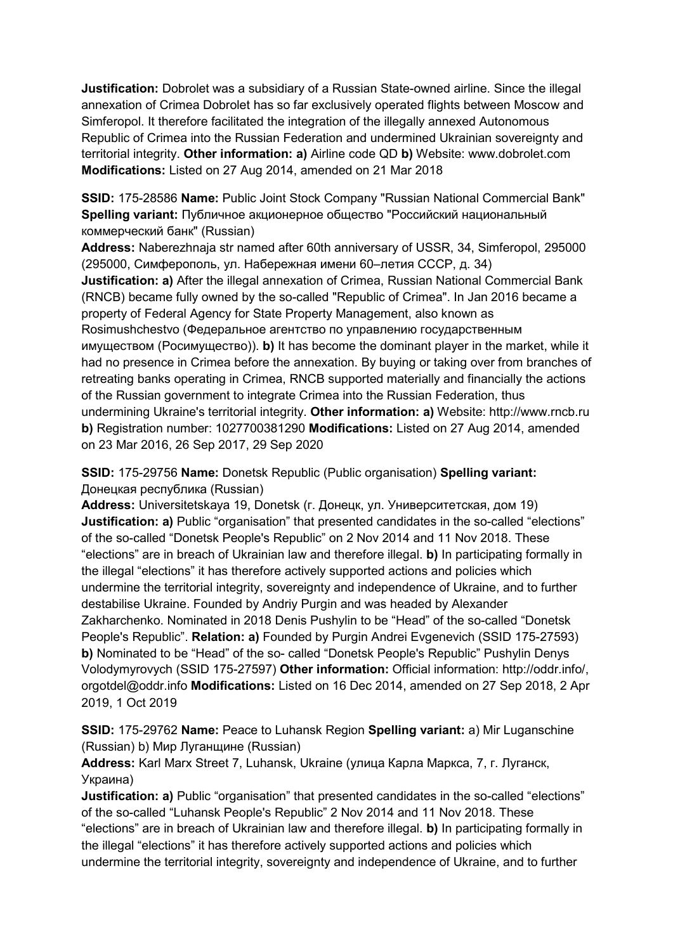**Justification:** Dobrolet was a subsidiary of a Russian State-owned airline. Since the illegal annexation of Crimea Dobrolet has so far exclusively operated flights between Moscow and Simferopol. It therefore facilitated the integration of the illegally annexed Autonomous Republic of Crimea into the Russian Federation and undermined Ukrainian sovereignty and territorial integrity. **Other information: a)** Airline code QD **b)** Website: www.dobrolet.com **Modifications:** Listed on 27 Aug 2014, amended on 21 Mar 2018

**SSID:** 175-28586 **Name:** Public Joint Stock Company "Russian National Commercial Bank" **Spelling variant:** Публичное акционерное общество "Российский национальный коммерческий банк" (Russian)

**Address:** Naberezhnaja str named after 60th anniversary of USSR, 34, Simferopol, 295000 (295000, Симферополь, ул. Набережная имени 60–летия СССР, д. 34)

**Justification: a)** After the illegal annexation of Crimea, Russian National Commercial Bank (RNCB) became fully owned by the so-called "Republic of Crimea". In Jan 2016 became a property of Federal Agency for State Property Management, also known as Rosimushchestvo (Федеральное агентство по управлению государственным имуществом (Росимущество)). **b)** It has become the dominant player in the market, while it had no presence in Crimea before the annexation. By buying or taking over from branches of retreating banks operating in Crimea, RNCB supported materially and financially the actions of the Russian government to integrate Crimea into the Russian Federation, thus undermining Ukraine's territorial integrity. **Other information: a)** Website: http://www.rncb.ru **b)** Registration number: 1027700381290 **Modifications:** Listed on 27 Aug 2014, amended on 23 Mar 2016, 26 Sep 2017, 29 Sep 2020

**SSID:** 175-29756 **Name:** Donetsk Republic (Public organisation) **Spelling variant:**  Донецкая республика (Russian)

**Address:** Universitetskaya 19, Donetsk (г. Донецк, ул. Университетская, дом 19) **Justification: a)** Public "organisation" that presented candidates in the so-called "elections" of the so-called "Donetsk People's Republic" on 2 Nov 2014 and 11 Nov 2018. These "elections" are in breach of Ukrainian law and therefore illegal. **b)** In participating formally in the illegal "elections" it has therefore actively supported actions and policies which undermine the territorial integrity, sovereignty and independence of Ukraine, and to further destabilise Ukraine. Founded by Andriy Purgin and was headed by Alexander Zakharchenko. Nominated in 2018 Denis Pushylin to be "Head" of the so-called "Donetsk People's Republic". **Relation: a)** Founded by Purgin Andrei Evgenevich (SSID 175-27593) **b)** Nominated to be "Head" of the so- called "Donetsk People's Republic" Pushylin Denys Volodymyrovych (SSID 175-27597) **Other information:** Official information: http://oddr.info/, orgotdel@oddr.info **Modifications:** Listed on 16 Dec 2014, amended on 27 Sep 2018, 2 Apr 2019, 1 Oct 2019

**SSID:** 175-29762 **Name:** Peace to Luhansk Region **Spelling variant:** a) Mir Luganschine (Russian) b) Мир Луганщине (Russian)

**Address:** Karl Marx Street 7, Luhansk, Ukraine (улица Карла Маркса, 7, г. Луганск, Украина)

**Justification: a)** Public "organisation" that presented candidates in the so-called "elections" of the so-called "Luhansk People's Republic" 2 Nov 2014 and 11 Nov 2018. These "elections" are in breach of Ukrainian law and therefore illegal. **b)** In participating formally in the illegal "elections" it has therefore actively supported actions and policies which undermine the territorial integrity, sovereignty and independence of Ukraine, and to further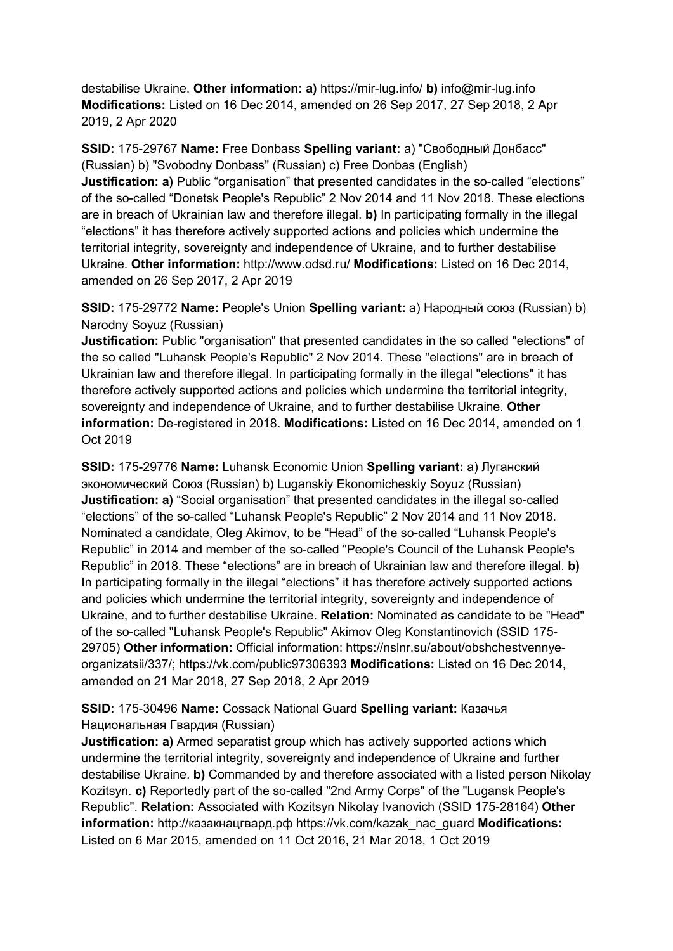destabilise Ukraine. **Other information: a)** https://mir-lug.info/ **b)** info@mir-lug.info **Modifications:** Listed on 16 Dec 2014, amended on 26 Sep 2017, 27 Sep 2018, 2 Apr 2019, 2 Apr 2020

**SSID:** 175-29767 **Name:** Free Donbass **Spelling variant:** a) "Свободный Донбасс" (Russian) b) "Svobodny Donbass" (Russian) c) Free Donbas (English) **Justification: a)** Public "organisation" that presented candidates in the so-called "elections" of the so-called "Donetsk People's Republic" 2 Nov 2014 and 11 Nov 2018. These elections are in breach of Ukrainian law and therefore illegal. **b)** In participating formally in the illegal "elections" it has therefore actively supported actions and policies which undermine the territorial integrity, sovereignty and independence of Ukraine, and to further destabilise Ukraine. **Other information:** http://www.odsd.ru/ **Modifications:** Listed on 16 Dec 2014, amended on 26 Sep 2017, 2 Apr 2019

**SSID:** 175-29772 **Name:** People's Union **Spelling variant:** a) Народный союз (Russian) b) Narodny Soyuz (Russian)

**Justification:** Public "organisation" that presented candidates in the so called "elections" of the so called "Luhansk People's Republic" 2 Nov 2014. These "elections" are in breach of Ukrainian law and therefore illegal. In participating formally in the illegal "elections" it has therefore actively supported actions and policies which undermine the territorial integrity, sovereignty and independence of Ukraine, and to further destabilise Ukraine. **Other information:** De-registered in 2018. **Modifications:** Listed on 16 Dec 2014, amended on 1 Oct 2019

**SSID:** 175-29776 **Name:** Luhansk Economic Union **Spelling variant:** a) Луганский экономический Союз (Russian) b) Luganskiy Ekonomicheskiy Soyuz (Russian) **Justification: a)** "Social organisation" that presented candidates in the illegal so-called "elections" of the so-called "Luhansk People's Republic" 2 Nov 2014 and 11 Nov 2018. Nominated a candidate, Oleg Akimov, to be "Head" of the so-called "Luhansk People's Republic" in 2014 and member of the so-called "People's Council of the Luhansk People's Republic" in 2018. These "elections" are in breach of Ukrainian law and therefore illegal. **b)**  In participating formally in the illegal "elections" it has therefore actively supported actions and policies which undermine the territorial integrity, sovereignty and independence of Ukraine, and to further destabilise Ukraine. **Relation:** Nominated as candidate to be "Head" of the so-called "Luhansk People's Republic" Akimov Oleg Konstantinovich (SSID 175- 29705) **Other information:** Official information: https://nslnr.su/about/obshchestvennyeorganizatsii/337/; https://vk.com/public97306393 **Modifications:** Listed on 16 Dec 2014, amended on 21 Mar 2018, 27 Sep 2018, 2 Apr 2019

## **SSID:** 175-30496 **Name:** Cossack National Guard **Spelling variant:** Казачья Национальная Гвардия (Russian)

**Justification: a)** Armed separatist group which has actively supported actions which undermine the territorial integrity, sovereignty and independence of Ukraine and further destabilise Ukraine. **b)** Commanded by and therefore associated with a listed person Nikolay Kozitsyn. **c)** Reportedly part of the so-called "2nd Army Corps" of the "Lugansk People's Republic". **Relation:** Associated with Kozitsyn Nikolay Ivanovich (SSID 175-28164) **Other information:** http://казакнацгвард.рф https://vk.com/kazak\_nac\_guard **Modifications:**  Listed on 6 Mar 2015, amended on 11 Oct 2016, 21 Mar 2018, 1 Oct 2019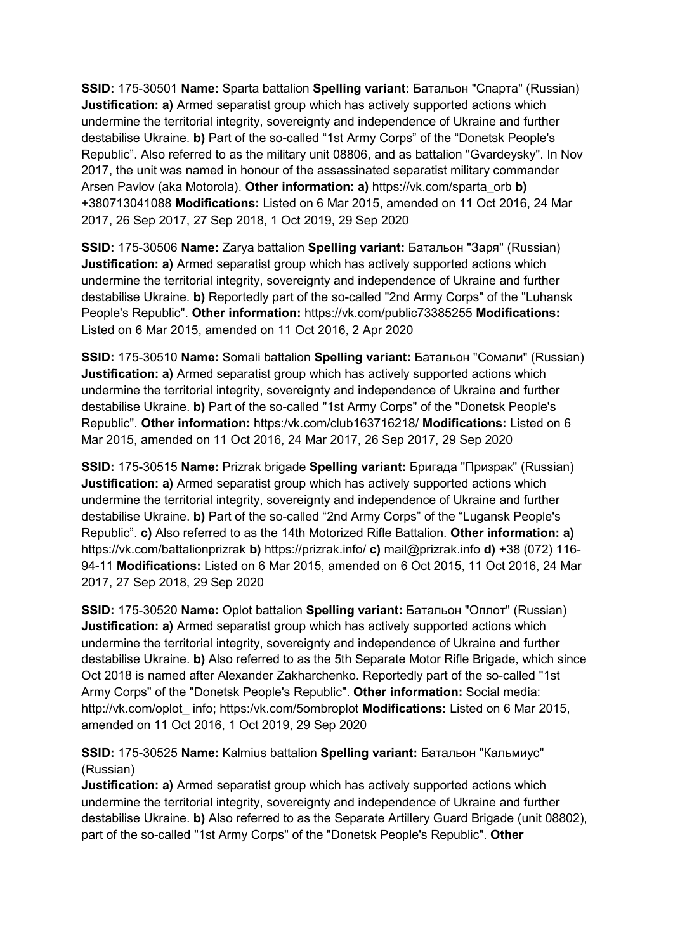**SSID:** 175-30501 **Name:** Sparta battalion **Spelling variant:** Батальон "Спарта" (Russian) **Justification: a)** Armed separatist group which has actively supported actions which undermine the territorial integrity, sovereignty and independence of Ukraine and further destabilise Ukraine. **b)** Part of the so-called "1st Army Corps" of the "Donetsk People's Republic". Also referred to as the military unit 08806, and as battalion "Gvardeysky". In Nov 2017, the unit was named in honour of the assassinated separatist military commander Arsen Pavlov (aka Motorola). **Other information: a)** https://vk.com/sparta\_orb **b)**  +380713041088 **Modifications:** Listed on 6 Mar 2015, amended on 11 Oct 2016, 24 Mar 2017, 26 Sep 2017, 27 Sep 2018, 1 Oct 2019, 29 Sep 2020

**SSID:** 175-30506 **Name:** Zarya battalion **Spelling variant:** Батальон "Заря" (Russian) **Justification: a)** Armed separatist group which has actively supported actions which undermine the territorial integrity, sovereignty and independence of Ukraine and further destabilise Ukraine. **b)** Reportedly part of the so-called "2nd Army Corps" of the "Luhansk People's Republic". **Other information:** https://vk.com/public73385255 **Modifications:**  Listed on 6 Mar 2015, amended on 11 Oct 2016, 2 Apr 2020

**SSID:** 175-30510 **Name:** Somali battalion **Spelling variant:** Батальон "Сомали" (Russian) **Justification: a)** Armed separatist group which has actively supported actions which undermine the territorial integrity, sovereignty and independence of Ukraine and further destabilise Ukraine. **b)** Part of the so-called "1st Army Corps" of the "Donetsk People's Republic". **Other information:** https:/vk.com/club163716218/ **Modifications:** Listed on 6 Mar 2015, amended on 11 Oct 2016, 24 Mar 2017, 26 Sep 2017, 29 Sep 2020

**SSID:** 175-30515 **Name:** Prizrak brigade **Spelling variant:** Бригада "Призрак" (Russian) **Justification: a)** Armed separatist group which has actively supported actions which undermine the territorial integrity, sovereignty and independence of Ukraine and further destabilise Ukraine. **b)** Part of the so-called "2nd Army Corps" of the "Lugansk People's Republic". **c)** Also referred to as the 14th Motorized Rifle Battalion. **Other information: a)**  https://vk.com/battalionprizrak **b)** https://prizrak.info/ **c)** mail@prizrak.info **d)** +38 (072) 116- 94-11 **Modifications:** Listed on 6 Mar 2015, amended on 6 Oct 2015, 11 Oct 2016, 24 Mar 2017, 27 Sep 2018, 29 Sep 2020

**SSID:** 175-30520 **Name:** Oplot battalion **Spelling variant:** Батальон "Оплот" (Russian) **Justification: a)** Armed separatist group which has actively supported actions which undermine the territorial integrity, sovereignty and independence of Ukraine and further destabilise Ukraine. **b)** Also referred to as the 5th Separate Motor Rifle Brigade, which since Oct 2018 is named after Alexander Zakharchenko. Reportedly part of the so-called "1st Army Corps" of the "Donetsk People's Republic". **Other information:** Social media: http://vk.com/oplot\_ info; https:/vk.com/5ombroplot **Modifications:** Listed on 6 Mar 2015, amended on 11 Oct 2016, 1 Oct 2019, 29 Sep 2020

**SSID:** 175-30525 **Name:** Kalmius battalion **Spelling variant:** Батальон "Кальмиус" (Russian)

**Justification: a)** Armed separatist group which has actively supported actions which undermine the territorial integrity, sovereignty and independence of Ukraine and further destabilise Ukraine. **b)** Also referred to as the Separate Artillery Guard Brigade (unit 08802), part of the so-called "1st Army Corps" of the "Donetsk People's Republic". **Other**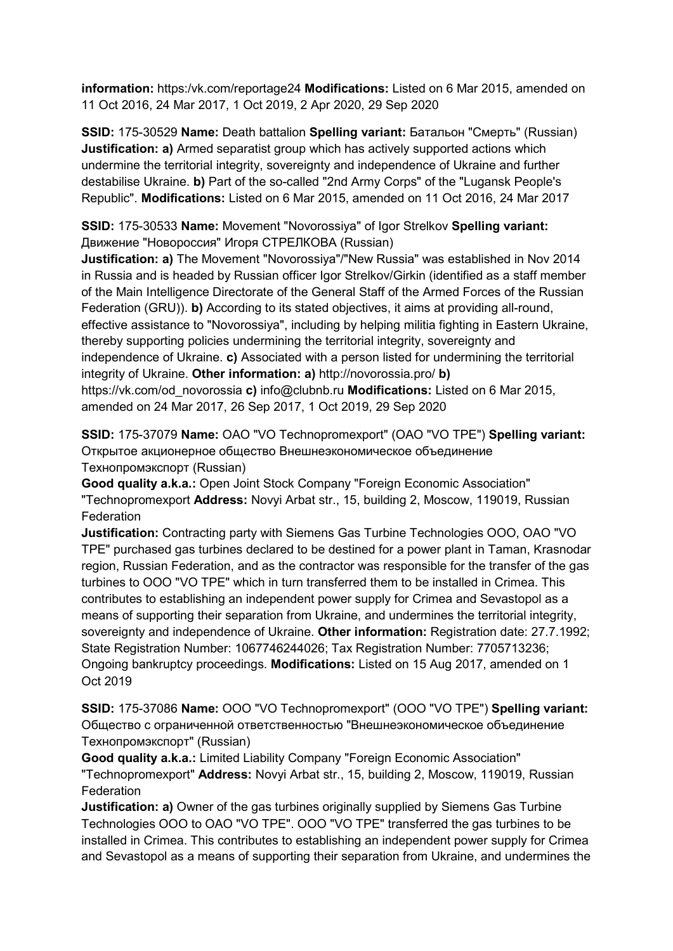**information:** https:/vk.com/reportage24 **Modifications:** Listed on 6 Mar 2015, amended on 11 Oct 2016, 24 Mar 2017, 1 Oct 2019, 2 Apr 2020, 29 Sep 2020

**SSID:** 175-30529 **Name:** Death battalion **Spelling variant:** Батальон "Смерть" (Russian) **Justification: a)** Armed separatist group which has actively supported actions which undermine the territorial integrity, sovereignty and independence of Ukraine and further destabilise Ukraine. **b)** Part of the so-called "2nd Army Corps" of the "Lugansk People's Republic". **Modifications:** Listed on 6 Mar 2015, amended on 11 Oct 2016, 24 Mar 2017

**SSID:** 175-30533 **Name:** Movement "Novorossiya" of Igor Strelkov **Spelling variant:**  Движение "Новороссия" Игоря СТРЕЛКОВА (Russian)

**Justification: a)** The Movement "Novorossiya"/"New Russia" was established in Nov 2014 in Russia and is headed by Russian officer Igor Strelkov/Girkin (identified as a staff member of the Main Intelligence Directorate of the General Staff of the Armed Forces of the Russian Federation (GRU)). **b)** According to its stated objectives, it aims at providing all-round, effective assistance to "Novorossiya", including by helping militia fighting in Eastern Ukraine, thereby supporting policies undermining the territorial integrity, sovereignty and independence of Ukraine. **c)** Associated with a person listed for undermining the territorial integrity of Ukraine. **Other information: a)** http://novorossia.pro/ **b)**  https://vk.com/od\_novorossia **c)** info@clubnb.ru **Modifications:** Listed on 6 Mar 2015, amended on 24 Mar 2017, 26 Sep 2017, 1 Oct 2019, 29 Sep 2020

**SSID:** 175-37079 **Name:** OAO "VO Technopromexport" (OAO "VO TPE") **Spelling variant:**  Открытое акционерное общество Внешнеэкономическое объединение Технопромэкспорт (Russian)

**Good quality a.k.a.:** Open Joint Stock Company "Foreign Economic Association" "Technopromexport **Address:** Novyi Arbat str., 15, building 2, Moscow, 119019, Russian **Federation** 

**Justification:** Contracting party with Siemens Gas Turbine Technologies OOO, OAO "VO TPE" purchased gas turbines declared to be destined for a power plant in Taman, Krasnodar region, Russian Federation, and as the contractor was responsible for the transfer of the gas turbines to OOO "VO TPE" which in turn transferred them to be installed in Crimea. This contributes to establishing an independent power supply for Crimea and Sevastopol as a means of supporting their separation from Ukraine, and undermines the territorial integrity, sovereignty and independence of Ukraine. **Other information:** Registration date: 27.7.1992; State Registration Number: 1067746244026; Tax Registration Number: 7705713236; Ongoing bankruptcy proceedings. **Modifications:** Listed on 15 Aug 2017, amended on 1 Oct 2019

**SSID:** 175-37086 **Name:** OOO "VO Technopromexport" (OOO "VO TPE") **Spelling variant:**  Общество с ограниченной ответственностью "Внешнеэкономическое объединение Технопромэкспорт" (Russian)

**Good quality a.k.a.:** Limited Liability Company "Foreign Economic Association" "Technopromexport" **Address:** Novyi Arbat str., 15, building 2, Moscow, 119019, Russian **Federation** 

**Justification: a)** Owner of the gas turbines originally supplied by Siemens Gas Turbine Technologies OOO to OAO "VO TPE". OOO "VO TPE" transferred the gas turbines to be installed in Crimea. This contributes to establishing an independent power supply for Crimea and Sevastopol as a means of supporting their separation from Ukraine, and undermines the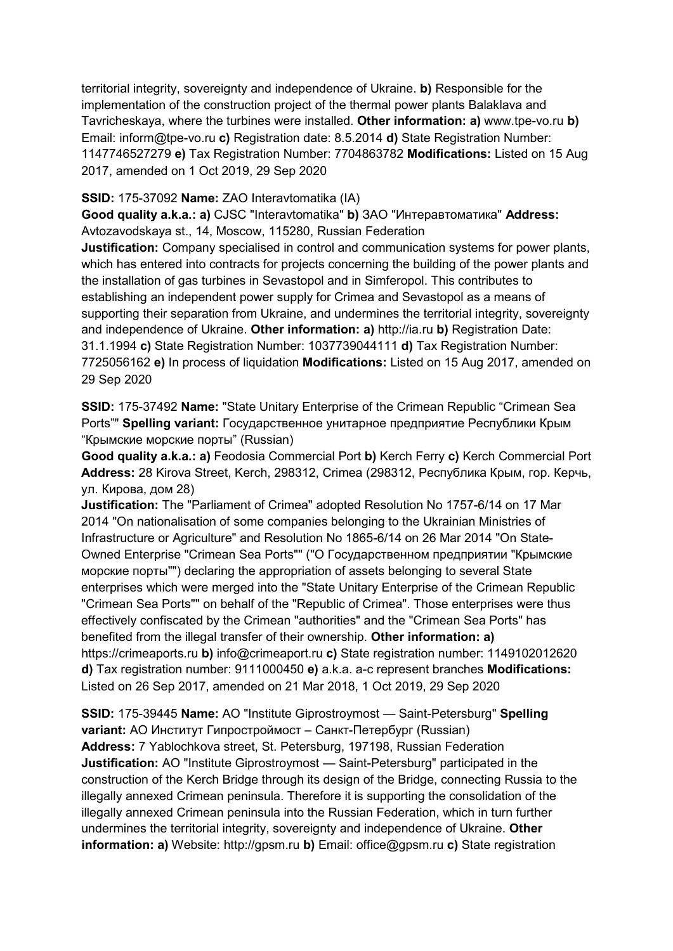territorial integrity, sovereignty and independence of Ukraine. **b)** Responsible for the implementation of the construction project of the thermal power plants Balaklava and Tavricheskaya, where the turbines were installed. **Other information: a)** www.tpe-vo.ru **b)**  Email: inform@tpe-vo.ru **c)** Registration date: 8.5.2014 **d)** State Registration Number: 1147746527279 **e)** Tax Registration Number: 7704863782 **Modifications:** Listed on 15 Aug 2017, amended on 1 Oct 2019, 29 Sep 2020

#### **SSID:** 175-37092 **Name:** ZAO Interavtomatika (IA)

**Good quality a.k.a.: a)** CJSC "Interavtomatika" **b)** ЗАО "Интеравтоматика" **Address:** Avtozavodskaya st., 14, Moscow, 115280, Russian Federation

**Justification:** Company specialised in control and communication systems for power plants, which has entered into contracts for projects concerning the building of the power plants and the installation of gas turbines in Sevastopol and in Simferopol. This contributes to establishing an independent power supply for Crimea and Sevastopol as a means of supporting their separation from Ukraine, and undermines the territorial integrity, sovereignty and independence of Ukraine. **Other information: a)** http://ia.ru **b)** Registration Date: 31.1.1994 **c)** State Registration Number: 1037739044111 **d)** Tax Registration Number: 7725056162 **e)** In process of liquidation **Modifications:** Listed on 15 Aug 2017, amended on 29 Sep 2020

**SSID:** 175-37492 **Name:** "State Unitary Enterprise of the Crimean Republic "Crimean Sea Ports"" **Spelling variant:** Государственное унитарное предприятие Республики Крым "Крымские морские порты" (Russian)

**Good quality a.k.a.: a)** Feodosia Commercial Port **b)** Kerch Ferry **c)** Kerch Commercial Port **Address:** 28 Kirova Street, Kerch, 298312, Crimea (298312, Республика Крым, гор. Керчь, ул. Кирова, дом 28)

**Justification:** The "Parliament of Crimea" adopted Resolution No 1757-6/14 on 17 Mar 2014 "On nationalisation of some companies belonging to the Ukrainian Ministries of Infrastructure or Agriculture" and Resolution No 1865-6/14 on 26 Mar 2014 "On State-Owned Enterprise "Crimean Sea Ports"" ("О Государственном предприятии "Крымские морские порты"") declaring the appropriation of assets belonging to several State enterprises which were merged into the "State Unitary Enterprise of the Crimean Republic "Crimean Sea Ports"" on behalf of the "Republic of Crimea". Those enterprises were thus effectively confiscated by the Crimean "authorities" and the "Crimean Sea Ports" has benefited from the illegal transfer of their ownership. **Other information: a)**  https://crimeaports.ru **b)** info@crimeaport.ru **c)** State registration number: 1149102012620 **d)** Tax registration number: 9111000450 **e)** a.k.a. a-c represent branches **Modifications:**  Listed on 26 Sep 2017, amended on 21 Mar 2018, 1 Oct 2019, 29 Sep 2020

**SSID:** 175-39445 **Name:** AO "Institute Giprostroymost — Saint-Petersburg" **Spelling variant:** АО Институт Гипростроймост – Санкт-Петербург (Russian) **Address:** 7 Yablochkova street, St. Petersburg, 197198, Russian Federation **Justification:** AO "Institute Giprostroymost — Saint-Petersburg" participated in the construction of the Kerch Bridge through its design of the Bridge, connecting Russia to the illegally annexed Crimean peninsula. Therefore it is supporting the consolidation of the illegally annexed Crimean peninsula into the Russian Federation, which in turn further undermines the territorial integrity, sovereignty and independence of Ukraine. **Other information: a)** Website: http://gpsm.ru **b)** Email: office@gpsm.ru **c)** State registration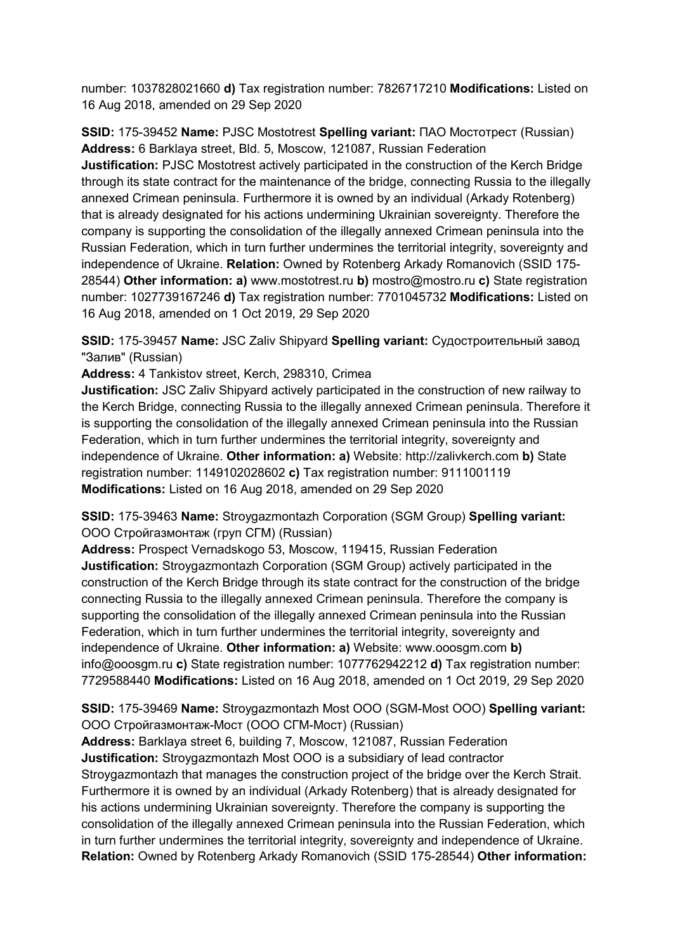number: 1037828021660 **d)** Tax registration number: 7826717210 **Modifications:** Listed on 16 Aug 2018, amended on 29 Sep 2020

**SSID:** 175-39452 **Name:** PJSC Mostotrest **Spelling variant:** ПАО Мостотрест (Russian) **Address:** 6 Barklaya street, Bld. 5, Moscow, 121087, Russian Federation **Justification:** PJSC Mostotrest actively participated in the construction of the Kerch Bridge through its state contract for the maintenance of the bridge, connecting Russia to the illegally annexed Crimean peninsula. Furthermore it is owned by an individual (Arkady Rotenberg) that is already designated for his actions undermining Ukrainian sovereignty. Therefore the company is supporting the consolidation of the illegally annexed Crimean peninsula into the Russian Federation, which in turn further undermines the territorial integrity, sovereignty and independence of Ukraine. **Relation:** Owned by Rotenberg Arkady Romanovich (SSID 175- 28544) **Other information: a)** www.mostotrest.ru **b)** mostro@mostro.ru **c)** State registration number: 1027739167246 **d)** Tax registration number: 7701045732 **Modifications:** Listed on 16 Aug 2018, amended on 1 Oct 2019, 29 Sep 2020

**SSID:** 175-39457 **Name:** JSC Zaliv Shipyard **Spelling variant:** Судостроительный завод "Залив" (Russian)

**Address:** 4 Tankistov street, Kerch, 298310, Crimea

**Justification:** JSC Zaliv Shipyard actively participated in the construction of new railway to the Kerch Bridge, connecting Russia to the illegally annexed Crimean peninsula. Therefore it is supporting the consolidation of the illegally annexed Crimean peninsula into the Russian Federation, which in turn further undermines the territorial integrity, sovereignty and independence of Ukraine. **Other information: a)** Website: http://zalivkerch.com **b)** State registration number: 1149102028602 **c)** Tax registration number: 9111001119 **Modifications:** Listed on 16 Aug 2018, amended on 29 Sep 2020

**SSID:** 175-39463 **Name:** Stroygazmontazh Corporation (SGM Group) **Spelling variant:**  ООО Стройгазмонтаж (груп СГМ) (Russian)

**Address:** Prospect Vernadskogo 53, Moscow, 119415, Russian Federation **Justification:** Stroygazmontazh Corporation (SGM Group) actively participated in the construction of the Kerch Bridge through its state contract for the construction of the bridge connecting Russia to the illegally annexed Crimean peninsula. Therefore the company is supporting the consolidation of the illegally annexed Crimean peninsula into the Russian Federation, which in turn further undermines the territorial integrity, sovereignty and independence of Ukraine. **Other information: a)** Website: www.ooosgm.com **b)**  info@ooosgm.ru **c)** State registration number: 1077762942212 **d)** Tax registration number: 7729588440 **Modifications:** Listed on 16 Aug 2018, amended on 1 Oct 2019, 29 Sep 2020

**SSID:** 175-39469 **Name:** Stroygazmontazh Most OOO (SGM-Most OOO) **Spelling variant:**  OOO Стройгазмонтаж-Мост (ООО СГМ-Мост) (Russian)

**Address:** Barklaya street 6, building 7, Moscow, 121087, Russian Federation **Justification:** Stroygazmontazh Most OOO is a subsidiary of lead contractor Stroygazmontazh that manages the construction project of the bridge over the Kerch Strait. Furthermore it is owned by an individual (Arkady Rotenberg) that is already designated for his actions undermining Ukrainian sovereignty. Therefore the company is supporting the consolidation of the illegally annexed Crimean peninsula into the Russian Federation, which in turn further undermines the territorial integrity, sovereignty and independence of Ukraine. **Relation:** Owned by Rotenberg Arkady Romanovich (SSID 175-28544) **Other information:**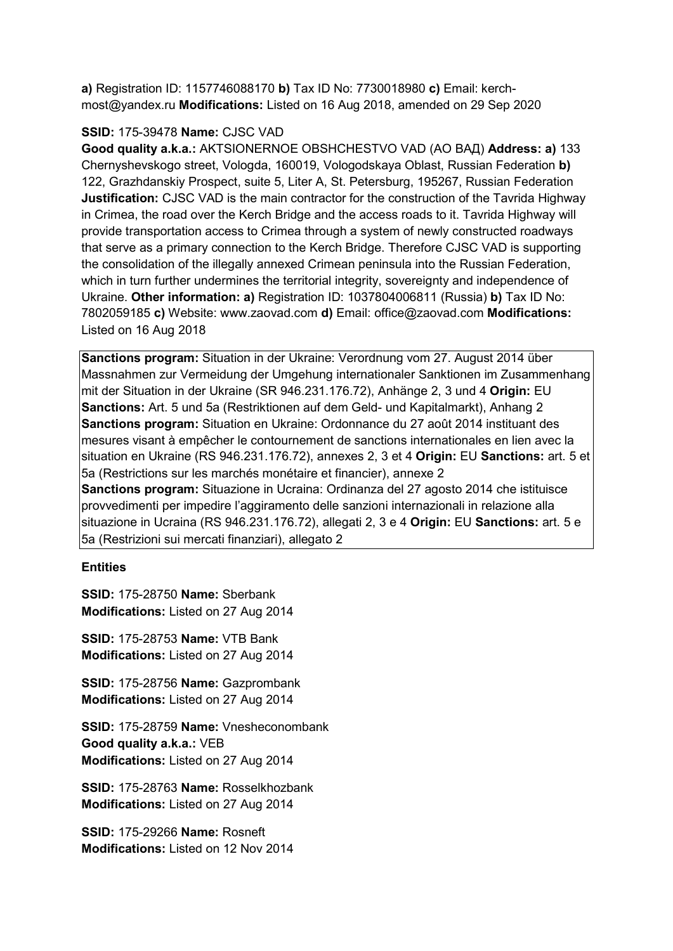**a)** Registration ID: 1157746088170 **b)** Tax ID No: 7730018980 **c)** Email: kerchmost@yandex.ru **Modifications:** Listed on 16 Aug 2018, amended on 29 Sep 2020

## **SSID:** 175-39478 **Name:** CJSC VAD

**Good quality a.k.a.:** AKTSIONERNOE OBSHCHESTVO VAD (АО ВАД) **Address: a)** 133 Chernyshevskogo street, Vologda, 160019, Vologodskaya Oblast, Russian Federation **b)**  122, Grazhdanskiy Prospect, suite 5, Liter A, St. Petersburg, 195267, Russian Federation **Justification:** CJSC VAD is the main contractor for the construction of the Tavrida Highway in Crimea, the road over the Kerch Bridge and the access roads to it. Tavrida Highway will provide transportation access to Crimea through a system of newly constructed roadways that serve as a primary connection to the Kerch Bridge. Therefore CJSC VAD is supporting the consolidation of the illegally annexed Crimean peninsula into the Russian Federation, which in turn further undermines the territorial integrity, sovereignty and independence of Ukraine. **Other information: a)** Registration ID: 1037804006811 (Russia) **b)** Tax ID No: 7802059185 **c)** Website: www.zaovad.com **d)** Email: office@zaovad.com **Modifications:**  Listed on 16 Aug 2018

**Sanctions program:** Situation in der Ukraine: Verordnung vom 27. August 2014 über Massnahmen zur Vermeidung der Umgehung internationaler Sanktionen im Zusammenhang mit der Situation in der Ukraine (SR 946.231.176.72), Anhänge 2, 3 und 4 **Origin:** EU **Sanctions:** Art. 5 und 5a (Restriktionen auf dem Geld- und Kapitalmarkt), Anhang 2 **Sanctions program:** Situation en Ukraine: Ordonnance du 27 août 2014 instituant des mesures visant à empêcher le contournement de sanctions internationales en lien avec la situation en Ukraine (RS 946.231.176.72), annexes 2, 3 et 4 **Origin:** EU **Sanctions:** art. 5 et 5a (Restrictions sur les marchés monétaire et financier), annexe 2 **Sanctions program:** Situazione in Ucraina: Ordinanza del 27 agosto 2014 che istituisce provvedimenti per impedire l'aggiramento delle sanzioni internazionali in relazione alla situazione in Ucraina (RS 946.231.176.72), allegati 2, 3 e 4 **Origin:** EU **Sanctions:** art. 5 e

5a (Restrizioni sui mercati finanziari), allegato 2

#### **Entities**

**SSID:** 175-28750 **Name:** Sberbank **Modifications:** Listed on 27 Aug 2014

**SSID:** 175-28753 **Name:** VTB Bank **Modifications:** Listed on 27 Aug 2014

**SSID:** 175-28756 **Name:** Gazprombank **Modifications:** Listed on 27 Aug 2014

**SSID:** 175-28759 **Name:** Vnesheconombank **Good quality a.k.a.:** VEB **Modifications:** Listed on 27 Aug 2014

**SSID:** 175-28763 **Name:** Rosselkhozbank **Modifications:** Listed on 27 Aug 2014

**SSID:** 175-29266 **Name:** Rosneft **Modifications:** Listed on 12 Nov 2014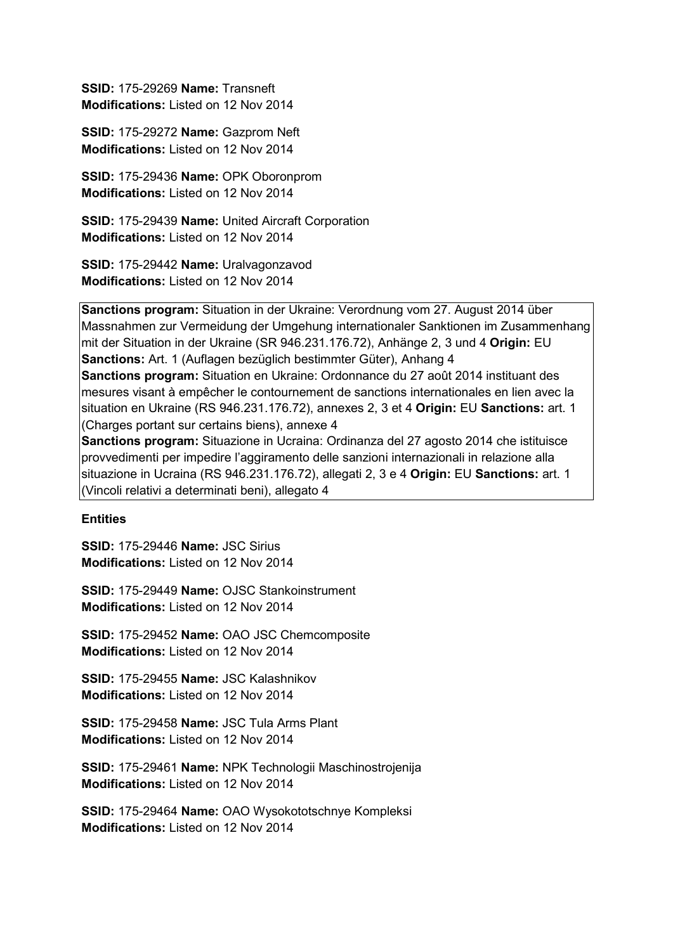**SSID:** 175-29269 **Name:** Transneft **Modifications:** Listed on 12 Nov 2014

**SSID:** 175-29272 **Name:** Gazprom Neft **Modifications:** Listed on 12 Nov 2014

**SSID:** 175-29436 **Name:** OPK Oboronprom **Modifications:** Listed on 12 Nov 2014

**SSID:** 175-29439 **Name:** United Aircraft Corporation **Modifications:** Listed on 12 Nov 2014

**SSID:** 175-29442 **Name:** Uralvagonzavod **Modifications:** Listed on 12 Nov 2014

**Sanctions program:** Situation in der Ukraine: Verordnung vom 27. August 2014 über Massnahmen zur Vermeidung der Umgehung internationaler Sanktionen im Zusammenhang mit der Situation in der Ukraine (SR 946.231.176.72), Anhänge 2, 3 und 4 **Origin:** EU **Sanctions:** Art. 1 (Auflagen bezüglich bestimmter Güter), Anhang 4 **Sanctions program:** Situation en Ukraine: Ordonnance du 27 août 2014 instituant des mesures visant à empêcher le contournement de sanctions internationales en lien avec la situation en Ukraine (RS 946.231.176.72), annexes 2, 3 et 4 **Origin:** EU **Sanctions:** art. 1 (Charges portant sur certains biens), annexe 4

**Sanctions program:** Situazione in Ucraina: Ordinanza del 27 agosto 2014 che istituisce provvedimenti per impedire l'aggiramento delle sanzioni internazionali in relazione alla situazione in Ucraina (RS 946.231.176.72), allegati 2, 3 e 4 **Origin:** EU **Sanctions:** art. 1 (Vincoli relativi a determinati beni), allegato 4

### **Entities**

**SSID:** 175-29446 **Name:** JSC Sirius **Modifications:** Listed on 12 Nov 2014

**SSID:** 175-29449 **Name:** OJSC Stankoinstrument **Modifications:** Listed on 12 Nov 2014

**SSID:** 175-29452 **Name:** OAO JSC Chemcomposite **Modifications:** Listed on 12 Nov 2014

**SSID:** 175-29455 **Name:** JSC Kalashnikov **Modifications:** Listed on 12 Nov 2014

**SSID:** 175-29458 **Name:** JSC Tula Arms Plant **Modifications:** Listed on 12 Nov 2014

**SSID:** 175-29461 **Name:** NPK Technologii Maschinostrojenija **Modifications:** Listed on 12 Nov 2014

**SSID:** 175-29464 **Name:** OAO Wysokototschnye Kompleksi **Modifications:** Listed on 12 Nov 2014